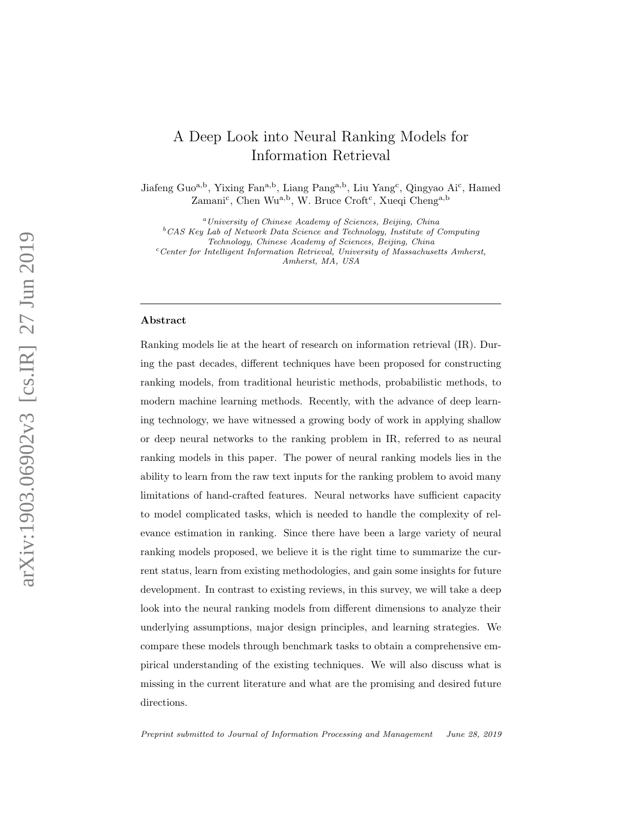# A Deep Look into Neural Ranking Models for Information Retrieval

Jiafeng Guo<sup>a,b</sup>, Yixing Fan<sup>a,b</sup>, Liang Pang<sup>a,b</sup>, Liu Yang<sup>c</sup>, Qingyao Ai<sup>c</sup>, Hamed Zamani<sup>c</sup>, Chen Wu<sup>a,b</sup>, W. Bruce Croft<sup>c</sup>, Xueqi Cheng<sup>a,b</sup>

<sup>a</sup>University of Chinese Academy of Sciences, Beijing, China

 ${}^{b}$ CAS Key Lab of Network Data Science and Technology, Institute of Computing

Technology, Chinese Academy of Sciences, Beijing, China

 $c$ Center for Intelligent Information Retrieval, University of Massachusetts Amherst, Amherst, MA, USA

#### Abstract

Ranking models lie at the heart of research on information retrieval (IR). During the past decades, different techniques have been proposed for constructing ranking models, from traditional heuristic methods, probabilistic methods, to modern machine learning methods. Recently, with the advance of deep learning technology, we have witnessed a growing body of work in applying shallow or deep neural networks to the ranking problem in IR, referred to as neural ranking models in this paper. The power of neural ranking models lies in the ability to learn from the raw text inputs for the ranking problem to avoid many limitations of hand-crafted features. Neural networks have sufficient capacity to model complicated tasks, which is needed to handle the complexity of relevance estimation in ranking. Since there have been a large variety of neural ranking models proposed, we believe it is the right time to summarize the current status, learn from existing methodologies, and gain some insights for future development. In contrast to existing reviews, in this survey, we will take a deep look into the neural ranking models from different dimensions to analyze their underlying assumptions, major design principles, and learning strategies. We compare these models through benchmark tasks to obtain a comprehensive empirical understanding of the existing techniques. We will also discuss what is missing in the current literature and what are the promising and desired future directions.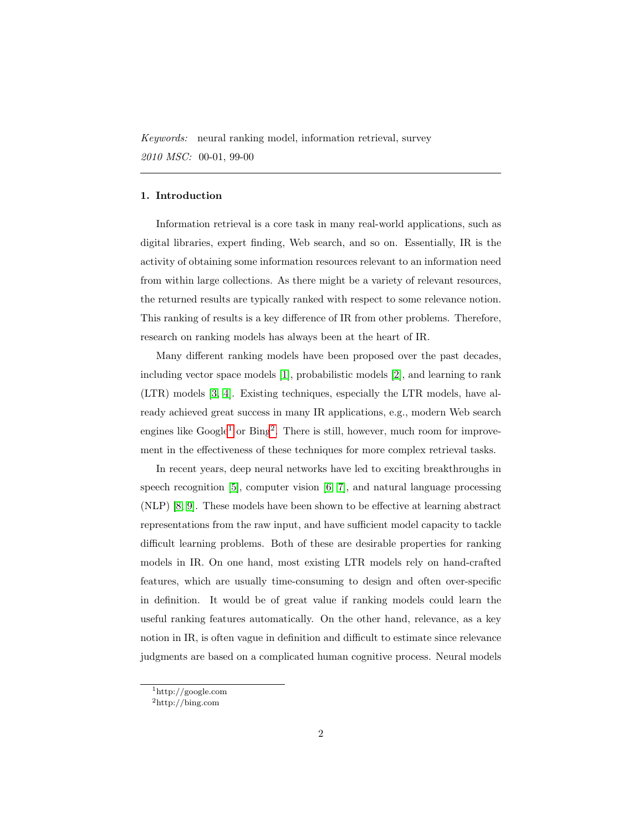Keywords: neural ranking model, information retrieval, survey 2010 MSC: 00-01, 99-00

# 1. Introduction

Information retrieval is a core task in many real-world applications, such as digital libraries, expert finding, Web search, and so on. Essentially, IR is the activity of obtaining some information resources relevant to an information need from within large collections. As there might be a variety of relevant resources, the returned results are typically ranked with respect to some relevance notion. This ranking of results is a key difference of IR from other problems. Therefore, research on ranking models has always been at the heart of IR.

Many different ranking models have been proposed over the past decades, including vector space models [\[1\]](#page-40-0), probabilistic models [\[2\]](#page-40-1), and learning to rank (LTR) models [\[3,](#page-40-2) [4\]](#page-40-3). Existing techniques, especially the LTR models, have already achieved great success in many IR applications, e.g., modern Web search engines like  $Google<sup>1</sup>$  $Google<sup>1</sup>$  $Google<sup>1</sup>$  or  $Bing<sup>2</sup>$  $Bing<sup>2</sup>$  $Bing<sup>2</sup>$ . There is still, however, much room for improvement in the effectiveness of these techniques for more complex retrieval tasks.

In recent years, deep neural networks have led to exciting breakthroughs in speech recognition [\[5\]](#page-40-4), computer vision [\[6,](#page-40-5) [7\]](#page-41-0), and natural language processing (NLP) [\[8,](#page-41-1) [9\]](#page-41-2). These models have been shown to be effective at learning abstract representations from the raw input, and have sufficient model capacity to tackle difficult learning problems. Both of these are desirable properties for ranking models in IR. On one hand, most existing LTR models rely on hand-crafted features, which are usually time-consuming to design and often over-specific in definition. It would be of great value if ranking models could learn the useful ranking features automatically. On the other hand, relevance, as a key notion in IR, is often vague in definition and difficult to estimate since relevance judgments are based on a complicated human cognitive process. Neural models

<span id="page-1-1"></span><span id="page-1-0"></span><sup>1</sup>http://google.com

<sup>2</sup>http://bing.com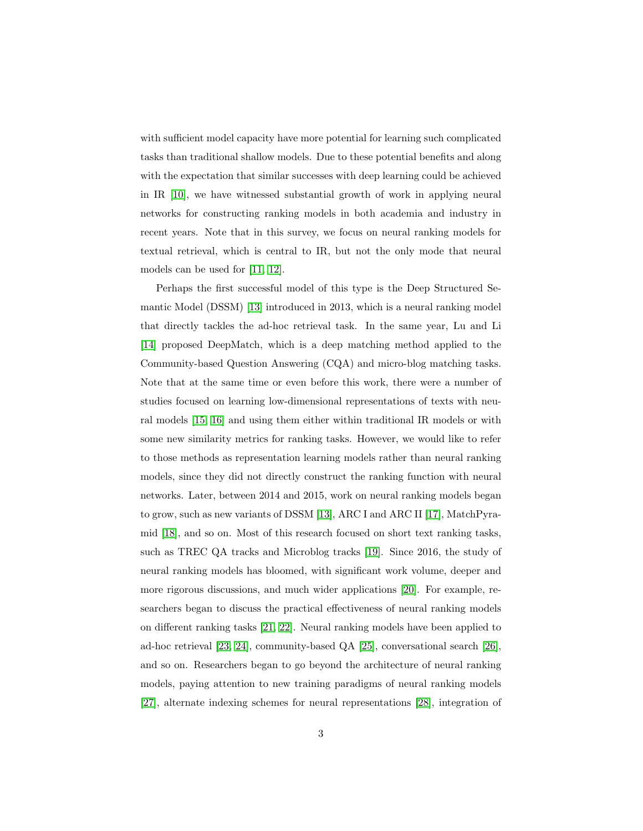with sufficient model capacity have more potential for learning such complicated tasks than traditional shallow models. Due to these potential benefits and along with the expectation that similar successes with deep learning could be achieved in IR [\[10\]](#page-41-3), we have witnessed substantial growth of work in applying neural networks for constructing ranking models in both academia and industry in recent years. Note that in this survey, we focus on neural ranking models for textual retrieval, which is central to IR, but not the only mode that neural models can be used for [\[11,](#page-41-4) [12\]](#page-41-5).

Perhaps the first successful model of this type is the Deep Structured Semantic Model (DSSM) [\[13\]](#page-41-6) introduced in 2013, which is a neural ranking model that directly tackles the ad-hoc retrieval task. In the same year, Lu and Li [\[14\]](#page-41-7) proposed DeepMatch, which is a deep matching method applied to the Community-based Question Answering (CQA) and micro-blog matching tasks. Note that at the same time or even before this work, there were a number of studies focused on learning low-dimensional representations of texts with neural models [\[15,](#page-41-8) [16\]](#page-42-0) and using them either within traditional IR models or with some new similarity metrics for ranking tasks. However, we would like to refer to those methods as representation learning models rather than neural ranking models, since they did not directly construct the ranking function with neural networks. Later, between 2014 and 2015, work on neural ranking models began to grow, such as new variants of DSSM [\[13\]](#page-41-6), ARC I and ARC II [\[17\]](#page-42-1), MatchPyramid [\[18\]](#page-42-2), and so on. Most of this research focused on short text ranking tasks, such as TREC QA tracks and Microblog tracks [\[19\]](#page-42-3). Since 2016, the study of neural ranking models has bloomed, with significant work volume, deeper and more rigorous discussions, and much wider applications [\[20\]](#page-42-4). For example, researchers began to discuss the practical effectiveness of neural ranking models on different ranking tasks [\[21,](#page-42-5) [22\]](#page-42-6). Neural ranking models have been applied to ad-hoc retrieval [\[23,](#page-42-7) [24\]](#page-43-0), community-based QA [\[25\]](#page-43-1), conversational search [\[26\]](#page-43-2), and so on. Researchers began to go beyond the architecture of neural ranking models, paying attention to new training paradigms of neural ranking models [\[27\]](#page-43-3), alternate indexing schemes for neural representations [\[28\]](#page-43-4), integration of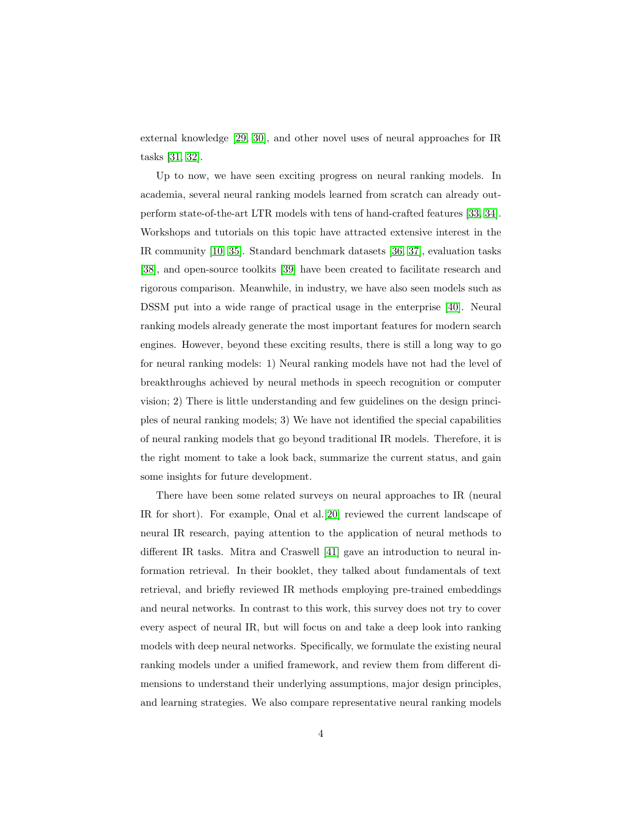external knowledge [\[29,](#page-43-5) [30\]](#page-43-6), and other novel uses of neural approaches for IR tasks [\[31,](#page-44-0) [32\]](#page-44-1).

Up to now, we have seen exciting progress on neural ranking models. In academia, several neural ranking models learned from scratch can already outperform state-of-the-art LTR models with tens of hand-crafted features [\[33,](#page-44-2) [34\]](#page-44-3). Workshops and tutorials on this topic have attracted extensive interest in the IR community [\[10,](#page-41-3) [35\]](#page-44-4). Standard benchmark datasets [\[36,](#page-44-5) [37\]](#page-44-6), evaluation tasks [\[38\]](#page-45-0), and open-source toolkits [\[39\]](#page-45-1) have been created to facilitate research and rigorous comparison. Meanwhile, in industry, we have also seen models such as DSSM put into a wide range of practical usage in the enterprise [\[40\]](#page-45-2). Neural ranking models already generate the most important features for modern search engines. However, beyond these exciting results, there is still a long way to go for neural ranking models: 1) Neural ranking models have not had the level of breakthroughs achieved by neural methods in speech recognition or computer vision; 2) There is little understanding and few guidelines on the design principles of neural ranking models; 3) We have not identified the special capabilities of neural ranking models that go beyond traditional IR models. Therefore, it is the right moment to take a look back, summarize the current status, and gain some insights for future development.

There have been some related surveys on neural approaches to IR (neural IR for short). For example, Onal et al.[\[20\]](#page-42-4) reviewed the current landscape of neural IR research, paying attention to the application of neural methods to different IR tasks. Mitra and Craswell [\[41\]](#page-45-3) gave an introduction to neural information retrieval. In their booklet, they talked about fundamentals of text retrieval, and briefly reviewed IR methods employing pre-trained embeddings and neural networks. In contrast to this work, this survey does not try to cover every aspect of neural IR, but will focus on and take a deep look into ranking models with deep neural networks. Specifically, we formulate the existing neural ranking models under a unified framework, and review them from different dimensions to understand their underlying assumptions, major design principles, and learning strategies. We also compare representative neural ranking models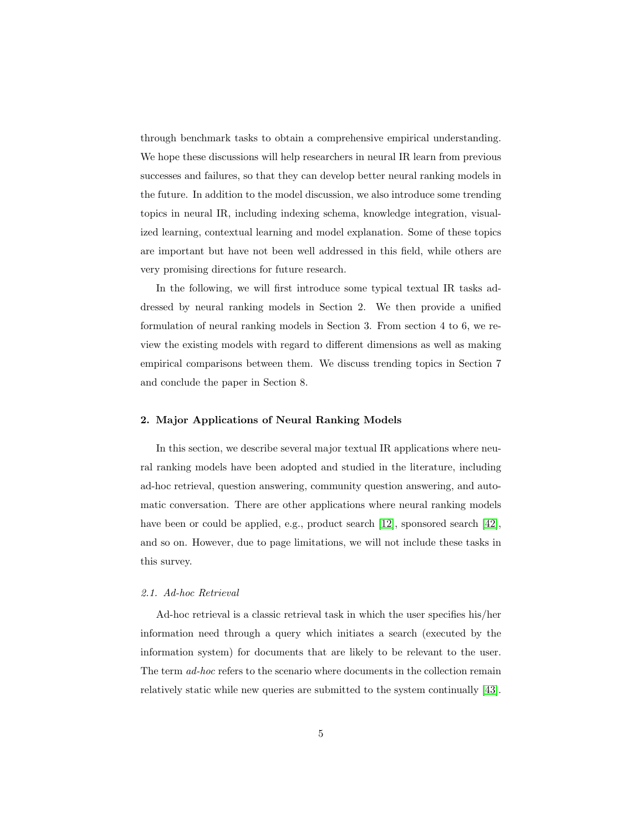through benchmark tasks to obtain a comprehensive empirical understanding. We hope these discussions will help researchers in neural IR learn from previous successes and failures, so that they can develop better neural ranking models in the future. In addition to the model discussion, we also introduce some trending topics in neural IR, including indexing schema, knowledge integration, visualized learning, contextual learning and model explanation. Some of these topics are important but have not been well addressed in this field, while others are very promising directions for future research.

In the following, we will first introduce some typical textual IR tasks addressed by neural ranking models in Section 2. We then provide a unified formulation of neural ranking models in Section 3. From section 4 to 6, we review the existing models with regard to different dimensions as well as making empirical comparisons between them. We discuss trending topics in Section 7 and conclude the paper in Section 8.

# <span id="page-4-1"></span>2. Major Applications of Neural Ranking Models

In this section, we describe several major textual IR applications where neural ranking models have been adopted and studied in the literature, including ad-hoc retrieval, question answering, community question answering, and automatic conversation. There are other applications where neural ranking models have been or could be applied, e.g., product search [\[12\]](#page-41-5), sponsored search [\[42\]](#page-45-4), and so on. However, due to page limitations, we will not include these tasks in this survey.

# <span id="page-4-0"></span>2.1. Ad-hoc Retrieval

Ad-hoc retrieval is a classic retrieval task in which the user specifies his/her information need through a query which initiates a search (executed by the information system) for documents that are likely to be relevant to the user. The term ad-hoc refers to the scenario where documents in the collection remain relatively static while new queries are submitted to the system continually [\[43\]](#page-45-5).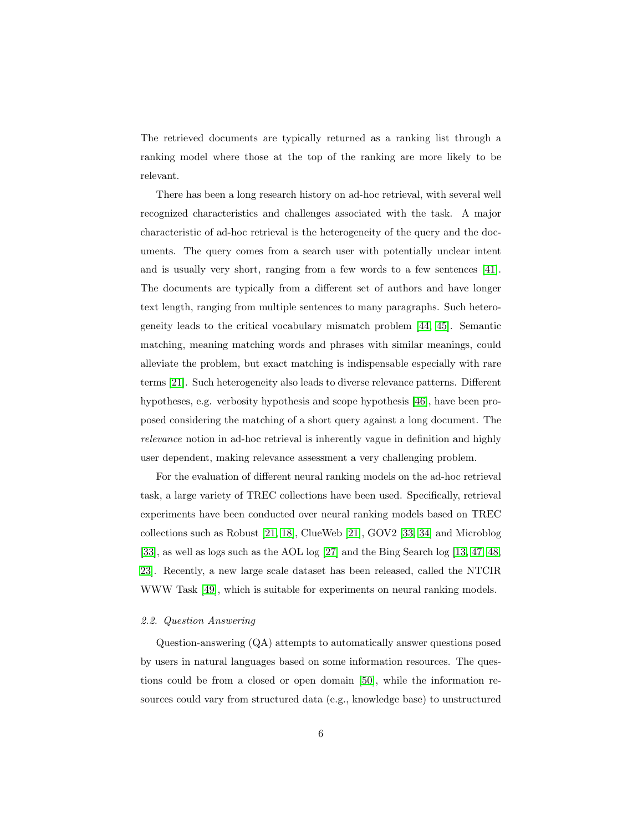The retrieved documents are typically returned as a ranking list through a ranking model where those at the top of the ranking are more likely to be relevant.

There has been a long research history on ad-hoc retrieval, with several well recognized characteristics and challenges associated with the task. A major characteristic of ad-hoc retrieval is the heterogeneity of the query and the documents. The query comes from a search user with potentially unclear intent and is usually very short, ranging from a few words to a few sentences [\[41\]](#page-45-3). The documents are typically from a different set of authors and have longer text length, ranging from multiple sentences to many paragraphs. Such heterogeneity leads to the critical vocabulary mismatch problem [\[44,](#page-45-6) [45\]](#page-45-7). Semantic matching, meaning matching words and phrases with similar meanings, could alleviate the problem, but exact matching is indispensable especially with rare terms [\[21\]](#page-42-5). Such heterogeneity also leads to diverse relevance patterns. Different hypotheses, e.g. verbosity hypothesis and scope hypothesis [\[46\]](#page-45-8), have been proposed considering the matching of a short query against a long document. The relevance notion in ad-hoc retrieval is inherently vague in definition and highly user dependent, making relevance assessment a very challenging problem.

For the evaluation of different neural ranking models on the ad-hoc retrieval task, a large variety of TREC collections have been used. Specifically, retrieval experiments have been conducted over neural ranking models based on TREC collections such as Robust [\[21,](#page-42-5) [18\]](#page-42-2), ClueWeb [\[21\]](#page-42-5), GOV2 [\[33,](#page-44-2) [34\]](#page-44-3) and Microblog [\[33\]](#page-44-2), as well as logs such as the AOL log [\[27\]](#page-43-3) and the Bing Search log [\[13,](#page-41-6) [47,](#page-46-0) [48,](#page-46-1) [23\]](#page-42-7). Recently, a new large scale dataset has been released, called the NTCIR WWW Task [\[49\]](#page-46-2), which is suitable for experiments on neural ranking models.

### 2.2. Question Answering

Question-answering (QA) attempts to automatically answer questions posed by users in natural languages based on some information resources. The questions could be from a closed or open domain [\[50\]](#page-46-3), while the information resources could vary from structured data (e.g., knowledge base) to unstructured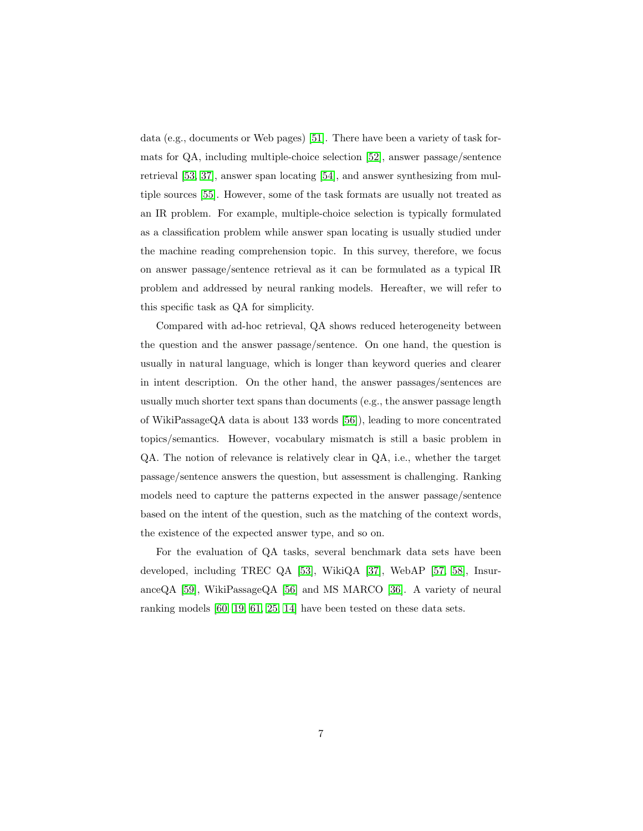data (e.g., documents or Web pages) [\[51\]](#page-46-4). There have been a variety of task formats for  $QA$ , including multiple-choice selection [\[52\]](#page-46-5), answer passage/sentence retrieval [\[53,](#page-46-6) [37\]](#page-44-6), answer span locating [\[54\]](#page-47-0), and answer synthesizing from multiple sources [\[55\]](#page-47-1). However, some of the task formats are usually not treated as an IR problem. For example, multiple-choice selection is typically formulated as a classification problem while answer span locating is usually studied under the machine reading comprehension topic. In this survey, therefore, we focus on answer passage/sentence retrieval as it can be formulated as a typical IR problem and addressed by neural ranking models. Hereafter, we will refer to this specific task as QA for simplicity.

Compared with ad-hoc retrieval, QA shows reduced heterogeneity between the question and the answer passage/sentence. On one hand, the question is usually in natural language, which is longer than keyword queries and clearer in intent description. On the other hand, the answer passages/sentences are usually much shorter text spans than documents (e.g., the answer passage length of WikiPassageQA data is about 133 words [\[56\]](#page-47-2)), leading to more concentrated topics/semantics. However, vocabulary mismatch is still a basic problem in QA. The notion of relevance is relatively clear in QA, i.e., whether the target passage/sentence answers the question, but assessment is challenging. Ranking models need to capture the patterns expected in the answer passage/sentence based on the intent of the question, such as the matching of the context words, the existence of the expected answer type, and so on.

For the evaluation of QA tasks, several benchmark data sets have been developed, including TREC QA [\[53\]](#page-46-6), WikiQA [\[37\]](#page-44-6), WebAP [\[57,](#page-47-3) [58\]](#page-47-4), Insurance $QA$  [\[59\]](#page-47-5), WikiPassage $QA$  [\[56\]](#page-47-2) and MS MARCO [\[36\]](#page-44-5). A variety of neural ranking models [\[60,](#page-47-6) [19,](#page-42-3) [61,](#page-48-0) [25,](#page-43-1) [14\]](#page-41-7) have been tested on these data sets.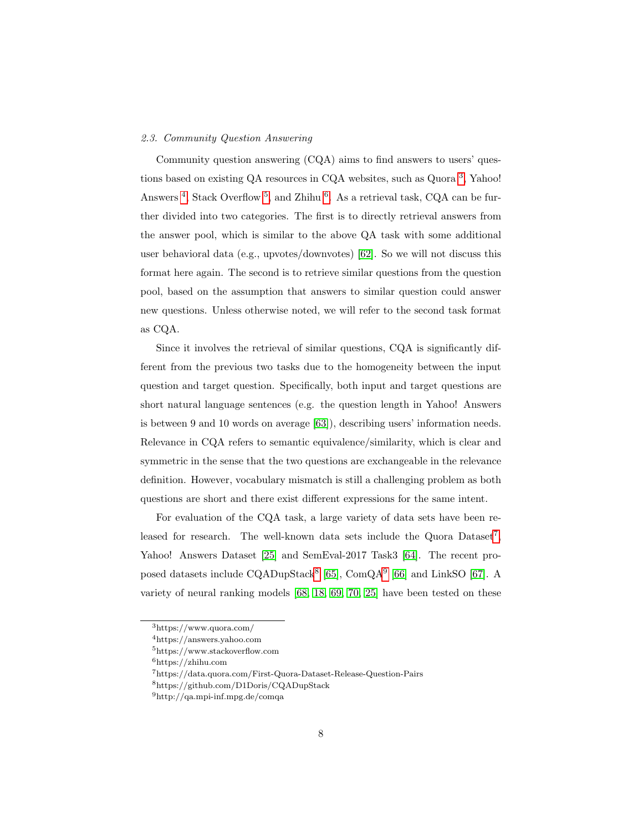# 2.3. Community Question Answering

Community question answering (CQA) aims to find answers to users' ques-tions based on existing QA resources in CQA websites, such as Quora<sup>[3](#page-7-0)</sup>, Yahoo! Answers<sup>[4](#page-7-1)</sup>, Stack Overflow<sup>[5](#page-7-2)</sup>, and Zhihu<sup>[6](#page-7-3)</sup>. As a retrieval task, CQA can be further divided into two categories. The first is to directly retrieval answers from the answer pool, which is similar to the above QA task with some additional user behavioral data (e.g., upvotes/downvotes) [\[62\]](#page-48-1). So we will not discuss this format here again. The second is to retrieve similar questions from the question pool, based on the assumption that answers to similar question could answer new questions. Unless otherwise noted, we will refer to the second task format as CQA.

Since it involves the retrieval of similar questions, CQA is significantly different from the previous two tasks due to the homogeneity between the input question and target question. Specifically, both input and target questions are short natural language sentences (e.g. the question length in Yahoo! Answers is between 9 and 10 words on average [\[63\]](#page-48-2)), describing users' information needs. Relevance in CQA refers to semantic equivalence/similarity, which is clear and symmetric in the sense that the two questions are exchangeable in the relevance definition. However, vocabulary mismatch is still a challenging problem as both questions are short and there exist different expressions for the same intent.

For evaluation of the CQA task, a large variety of data sets have been re-leased for research. The well-known data sets include the Quora Dataset<sup>[7](#page-7-4)</sup>, Yahoo! Answers Dataset [\[25\]](#page-43-1) and SemEval-2017 Task3 [\[64\]](#page-48-3). The recent pro-posed datasets include CQADupStack<sup>[8](#page-7-5)</sup> [\[65\]](#page-48-4), ComQA<sup>[9](#page-7-6)</sup> [\[66\]](#page-48-5) and LinkSO [\[67\]](#page-48-6). A variety of neural ranking models [\[68,](#page-49-0) [18,](#page-42-2) [69,](#page-49-1) [70,](#page-49-2) [25\]](#page-43-1) have been tested on these

<span id="page-7-1"></span><span id="page-7-0"></span><sup>3</sup>https://www.quora.com/

<span id="page-7-2"></span><sup>4</sup>https://answers.yahoo.com

<span id="page-7-3"></span><sup>5</sup>https://www.stackoverflow.com

<span id="page-7-4"></span><sup>6</sup>https://zhihu.com

<span id="page-7-5"></span><sup>7</sup>https://data.quora.com/First-Quora-Dataset-Release-Question-Pairs

<span id="page-7-6"></span><sup>8</sup>https://github.com/D1Doris/CQADupStack

 $^9{\rm http://qa.mpi-inf.mpg.de/comqa}$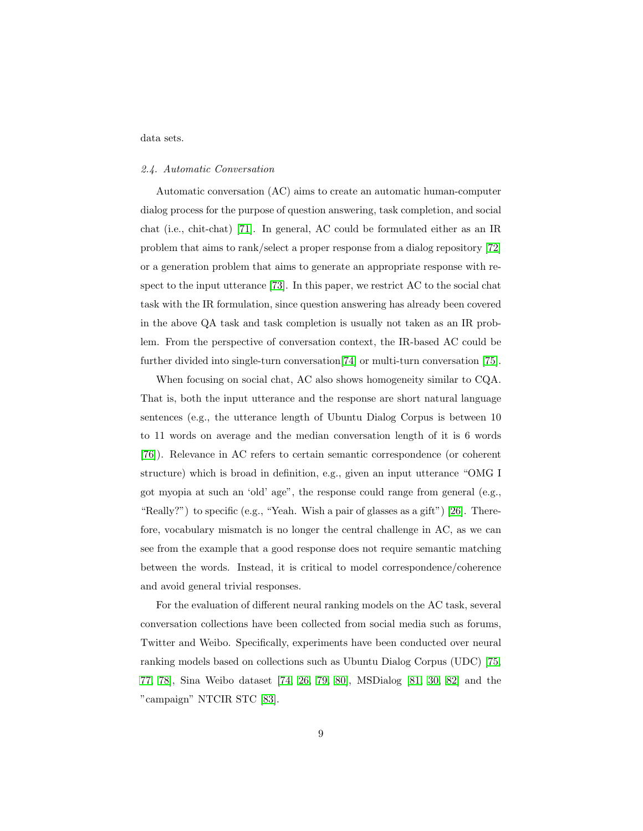data sets.

### 2.4. Automatic Conversation

Automatic conversation (AC) aims to create an automatic human-computer dialog process for the purpose of question answering, task completion, and social chat (i.e., chit-chat) [\[71\]](#page-49-3). In general, AC could be formulated either as an IR problem that aims to rank/select a proper response from a dialog repository [\[72\]](#page-49-4) or a generation problem that aims to generate an appropriate response with respect to the input utterance [\[73\]](#page-49-5). In this paper, we restrict AC to the social chat task with the IR formulation, since question answering has already been covered in the above QA task and task completion is usually not taken as an IR problem. From the perspective of conversation context, the IR-based AC could be further divided into single-turn conversation[\[74\]](#page-49-6) or multi-turn conversation [\[75\]](#page-49-7).

When focusing on social chat, AC also shows homogeneity similar to CQA. That is, both the input utterance and the response are short natural language sentences (e.g., the utterance length of Ubuntu Dialog Corpus is between 10 to 11 words on average and the median conversation length of it is 6 words [\[76\]](#page-50-0)). Relevance in AC refers to certain semantic correspondence (or coherent structure) which is broad in definition, e.g., given an input utterance "OMG I got myopia at such an 'old' age", the response could range from general (e.g., "Really?") to specific (e.g., "Yeah. Wish a pair of glasses as a gift") [\[26\]](#page-43-2). Therefore, vocabulary mismatch is no longer the central challenge in AC, as we can see from the example that a good response does not require semantic matching between the words. Instead, it is critical to model correspondence/coherence and avoid general trivial responses.

For the evaluation of different neural ranking models on the AC task, several conversation collections have been collected from social media such as forums, Twitter and Weibo. Specifically, experiments have been conducted over neural ranking models based on collections such as Ubuntu Dialog Corpus (UDC) [\[75,](#page-49-7) [77,](#page-50-1) [78\]](#page-50-2), Sina Weibo dataset [\[74,](#page-49-6) [26,](#page-43-2) [79,](#page-50-3) [80\]](#page-50-4), MSDialog [\[81,](#page-50-5) [30,](#page-43-6) [82\]](#page-50-6) and the "campaign" NTCIR STC [\[83\]](#page-50-7).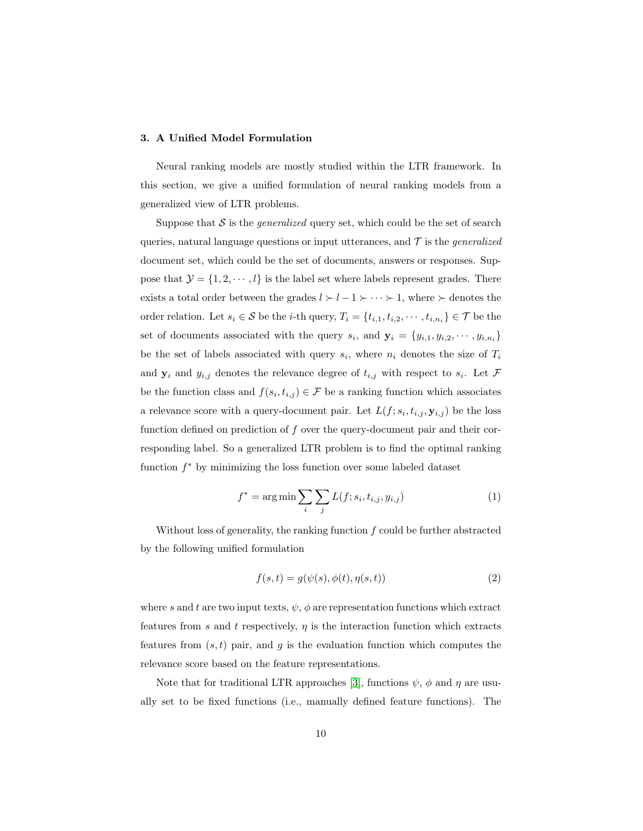### 3. A Unified Model Formulation

Neural ranking models are mostly studied within the LTR framework. In this section, we give a unified formulation of neural ranking models from a generalized view of LTR problems.

Suppose that  $S$  is the *generalized* query set, which could be the set of search queries, natural language questions or input utterances, and  $\mathcal T$  is the *generalized* document set, which could be the set of documents, answers or responses. Suppose that  $\mathcal{Y} = \{1, 2, \dots, l\}$  is the label set where labels represent grades. There exists a total order between the grades  $l \succ l - 1 \succ \cdots \succ 1$ , where  $\succ$  denotes the order relation. Let  $s_i \in \mathcal{S}$  be the *i*-th query,  $T_i = \{t_{i,1}, t_{i,2}, \cdots, t_{i,n_i}\} \in \mathcal{T}$  be the set of documents associated with the query  $s_i$ , and  $\mathbf{y}_i = \{y_{i,1}, y_{i,2}, \dots, y_{i,n_i}\}\$ be the set of labels associated with query  $s_i$ , where  $n_i$  denotes the size of  $T_i$ and  $y_i$  and  $y_{i,j}$  denotes the relevance degree of  $t_{i,j}$  with respect to  $s_i$ . Let  $\mathcal F$ be the function class and  $f(s_i, t_{i,j}) \in \mathcal{F}$  be a ranking function which associates a relevance score with a query-document pair. Let  $L(f; s_i, t_{i,j}, \mathbf{y}_{i,j})$  be the loss function defined on prediction of  $f$  over the query-document pair and their corresponding label. So a generalized LTR problem is to find the optimal ranking function  $f^*$  by minimizing the loss function over some labeled dataset

$$
f^* = \arg\min \sum_{i} \sum_{j} L(f; s_i, t_{i,j}, y_{i,j})
$$
 (1)

Without loss of generality, the ranking function  $f$  could be further abstracted by the following unified formulation

$$
f(s,t) = g(\psi(s), \phi(t), \eta(s,t))
$$
\n<sup>(2)</sup>

where s and t are two input texts,  $\psi$ ,  $\phi$  are representation functions which extract features from s and t respectively,  $\eta$  is the interaction function which extracts features from  $(s, t)$  pair, and g is the evaluation function which computes the relevance score based on the feature representations.

Note that for traditional LTR approaches [\[3\]](#page-40-2), functions  $\psi$ ,  $\phi$  and  $\eta$  are usually set to be fixed functions (i.e., manually defined feature functions). The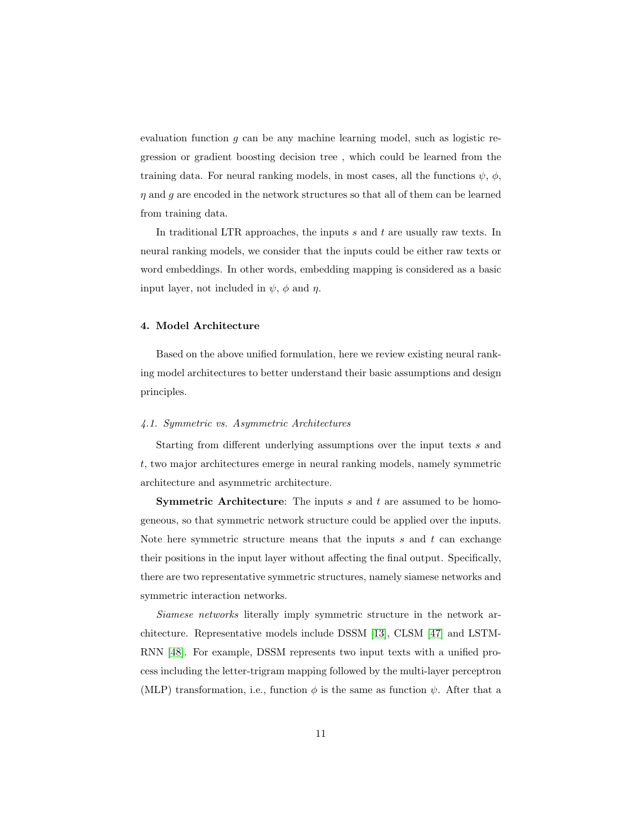evaluation function  $g$  can be any machine learning model, such as logistic regression or gradient boosting decision tree , which could be learned from the training data. For neural ranking models, in most cases, all the functions  $\psi$ ,  $\phi$ ,  $\eta$  and  $g$  are encoded in the network structures so that all of them can be learned from training data.

In traditional LTR approaches, the inputs  $s$  and  $t$  are usually raw texts. In neural ranking models, we consider that the inputs could be either raw texts or word embeddings. In other words, embedding mapping is considered as a basic input layer, not included in  $\psi$ ,  $\phi$  and  $\eta$ .

# 4. Model Architecture

Based on the above unified formulation, here we review existing neural ranking model architectures to better understand their basic assumptions and design principles.

# <span id="page-10-0"></span>4.1. Symmetric vs. Asymmetric Architectures

Starting from different underlying assumptions over the input texts s and t, two major architectures emerge in neural ranking models, namely symmetric architecture and asymmetric architecture.

**Symmetric Architecture:** The inputs  $s$  and  $t$  are assumed to be homogeneous, so that symmetric network structure could be applied over the inputs. Note here symmetric structure means that the inputs  $s$  and  $t$  can exchange their positions in the input layer without affecting the final output. Specifically, there are two representative symmetric structures, namely siamese networks and symmetric interaction networks.

Siamese networks literally imply symmetric structure in the network architecture. Representative models include DSSM [\[13\]](#page-41-6), CLSM [\[47\]](#page-46-0) and LSTM-RNN [\[48\]](#page-46-1). For example, DSSM represents two input texts with a unified process including the letter-trigram mapping followed by the multi-layer perceptron (MLP) transformation, i.e., function  $\phi$  is the same as function  $\psi$ . After that a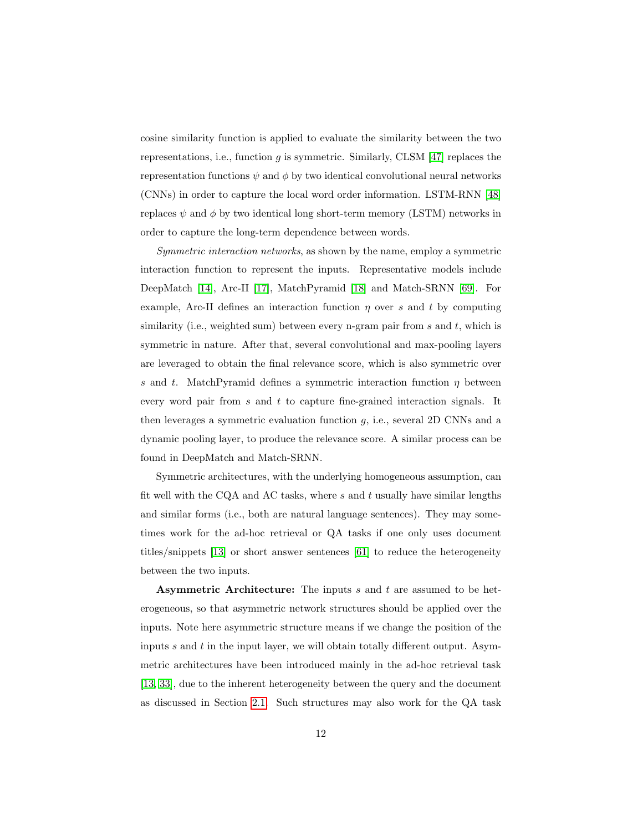cosine similarity function is applied to evaluate the similarity between the two representations, i.e., function  $g$  is symmetric. Similarly, CLSM [\[47\]](#page-46-0) replaces the representation functions  $\psi$  and  $\phi$  by two identical convolutional neural networks (CNNs) in order to capture the local word order information. LSTM-RNN [\[48\]](#page-46-1) replaces  $\psi$  and  $\phi$  by two identical long short-term memory (LSTM) networks in order to capture the long-term dependence between words.

Symmetric interaction networks, as shown by the name, employ a symmetric interaction function to represent the inputs. Representative models include DeepMatch [\[14\]](#page-41-7), Arc-II [\[17\]](#page-42-1), MatchPyramid [\[18\]](#page-42-2) and Match-SRNN [\[69\]](#page-49-1). For example, Arc-II defines an interaction function  $\eta$  over s and t by computing similarity (i.e., weighted sum) between every n-gram pair from  $s$  and  $t$ , which is symmetric in nature. After that, several convolutional and max-pooling layers are leveraged to obtain the final relevance score, which is also symmetric over s and t. MatchPyramid defines a symmetric interaction function  $\eta$  between every word pair from  $s$  and  $t$  to capture fine-grained interaction signals. It then leverages a symmetric evaluation function  $g$ , i.e., several 2D CNNs and a dynamic pooling layer, to produce the relevance score. A similar process can be found in DeepMatch and Match-SRNN.

Symmetric architectures, with the underlying homogeneous assumption, can fit well with the CQA and AC tasks, where  $s$  and  $t$  usually have similar lengths and similar forms (i.e., both are natural language sentences). They may sometimes work for the ad-hoc retrieval or QA tasks if one only uses document titles/snippets [\[13\]](#page-41-6) or short answer sentences [\[61\]](#page-48-0) to reduce the heterogeneity between the two inputs.

Asymmetric Architecture: The inputs s and t are assumed to be heterogeneous, so that asymmetric network structures should be applied over the inputs. Note here asymmetric structure means if we change the position of the inputs  $s$  and  $t$  in the input layer, we will obtain totally different output. Asymmetric architectures have been introduced mainly in the ad-hoc retrieval task [\[13,](#page-41-6) [33\]](#page-44-2), due to the inherent heterogeneity between the query and the document as discussed in Section [2.1.](#page-4-0) Such structures may also work for the QA task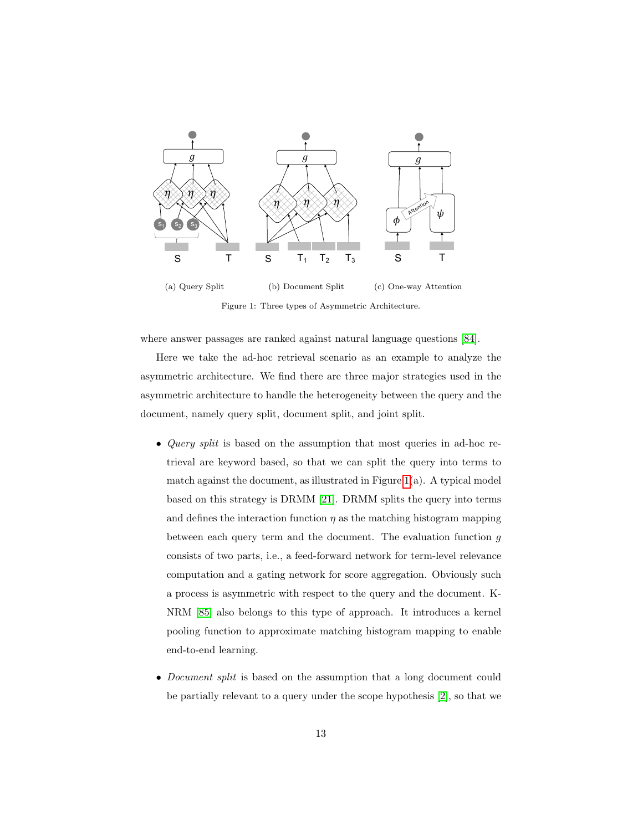

<span id="page-12-0"></span>Figure 1: Three types of Asymmetric Architecture.

where answer passages are ranked against natural language questions [\[84\]](#page-50-8).

Here we take the ad-hoc retrieval scenario as an example to analyze the asymmetric architecture. We find there are three major strategies used in the asymmetric architecture to handle the heterogeneity between the query and the document, namely query split, document split, and joint split.

- *Query split* is based on the assumption that most queries in ad-hoc retrieval are keyword based, so that we can split the query into terms to match against the document, as illustrated in Figure [1\(](#page-12-0)a). A typical model based on this strategy is DRMM [\[21\]](#page-42-5). DRMM splits the query into terms and defines the interaction function  $\eta$  as the matching histogram mapping between each query term and the document. The evaluation function g consists of two parts, i.e., a feed-forward network for term-level relevance computation and a gating network for score aggregation. Obviously such a process is asymmetric with respect to the query and the document. K-NRM [\[85\]](#page-50-9) also belongs to this type of approach. It introduces a kernel pooling function to approximate matching histogram mapping to enable end-to-end learning.
- *Document split* is based on the assumption that a long document could be partially relevant to a query under the scope hypothesis [\[2\]](#page-40-1), so that we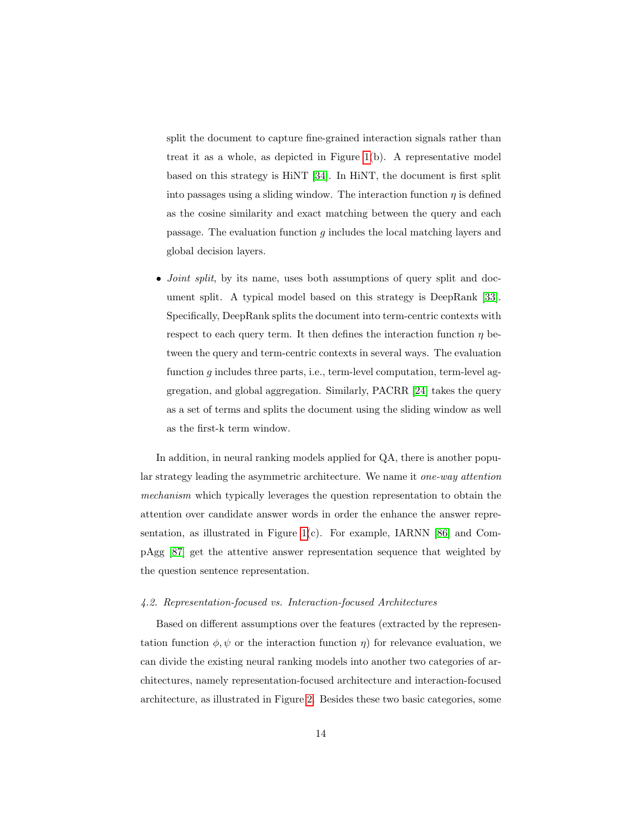split the document to capture fine-grained interaction signals rather than treat it as a whole, as depicted in Figure [1\(](#page-12-0)b). A representative model based on this strategy is HiNT [\[34\]](#page-44-3). In HiNT, the document is first split into passages using a sliding window. The interaction function  $\eta$  is defined as the cosine similarity and exact matching between the query and each passage. The evaluation function  $q$  includes the local matching layers and global decision layers.

• *Joint split*, by its name, uses both assumptions of query split and document split. A typical model based on this strategy is DeepRank [\[33\]](#page-44-2). Specifically, DeepRank splits the document into term-centric contexts with respect to each query term. It then defines the interaction function  $\eta$  between the query and term-centric contexts in several ways. The evaluation function  $g$  includes three parts, i.e., term-level computation, term-level aggregation, and global aggregation. Similarly, PACRR [\[24\]](#page-43-0) takes the query as a set of terms and splits the document using the sliding window as well as the first-k term window.

In addition, in neural ranking models applied for QA, there is another popular strategy leading the asymmetric architecture. We name it one-way attention mechanism which typically leverages the question representation to obtain the attention over candidate answer words in order the enhance the answer representation, as illustrated in Figure [1\(](#page-12-0)c). For example, IARNN [\[86\]](#page-51-0) and CompAgg [\[87\]](#page-51-1) get the attentive answer representation sequence that weighted by the question sentence representation.

### 4.2. Representation-focused vs. Interaction-focused Architectures

Based on different assumptions over the features (extracted by the representation function  $\phi, \psi$  or the interaction function  $\eta$ ) for relevance evaluation, we can divide the existing neural ranking models into another two categories of architectures, namely representation-focused architecture and interaction-focused architecture, as illustrated in Figure [2.](#page-14-0) Besides these two basic categories, some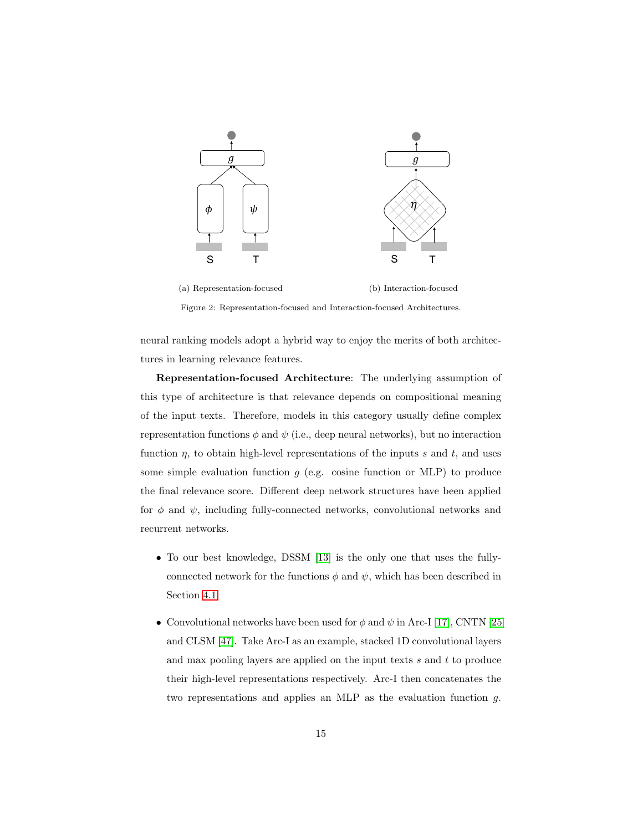

<span id="page-14-0"></span>

Figure 2: Representation-focused and Interaction-focused Architectures.

neural ranking models adopt a hybrid way to enjoy the merits of both architectures in learning relevance features.

Representation-focused Architecture: The underlying assumption of this type of architecture is that relevance depends on compositional meaning of the input texts. Therefore, models in this category usually define complex representation functions  $\phi$  and  $\psi$  (i.e., deep neural networks), but no interaction function  $\eta$ , to obtain high-level representations of the inputs s and t, and uses some simple evaluation function  $g$  (e.g. cosine function or MLP) to produce the final relevance score. Different deep network structures have been applied for  $\phi$  and  $\psi$ , including fully-connected networks, convolutional networks and recurrent networks.

- To our best knowledge, DSSM [\[13\]](#page-41-6) is the only one that uses the fullyconnected network for the functions  $\phi$  and  $\psi$ , which has been described in Section [4.1.](#page-10-0)
- Convolutional networks have been used for  $\phi$  and  $\psi$  in Arc-I [\[17\]](#page-42-1), CNTN [\[25\]](#page-43-1) and CLSM [\[47\]](#page-46-0). Take Arc-I as an example, stacked 1D convolutional layers and max pooling layers are applied on the input texts  $s$  and  $t$  to produce their high-level representations respectively. Arc-I then concatenates the two representations and applies an MLP as the evaluation function g.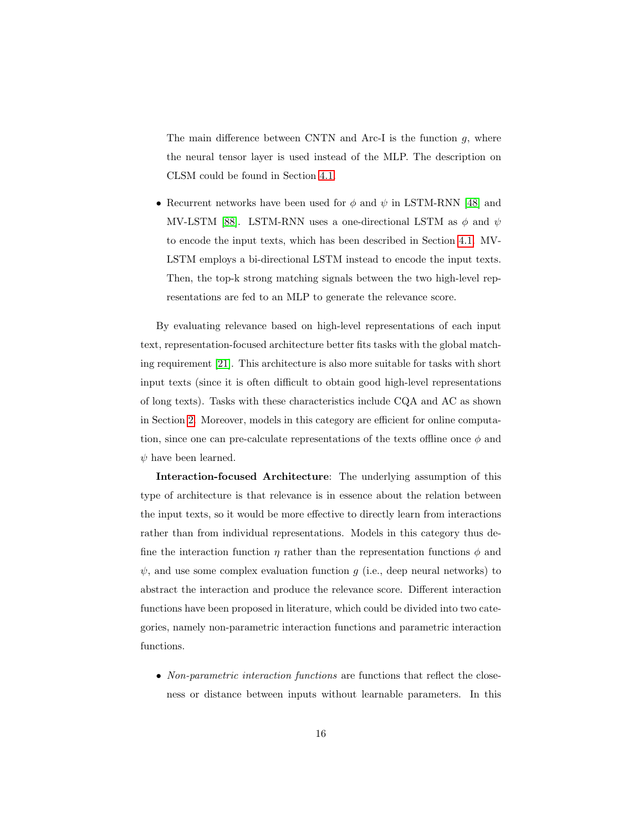The main difference between CNTN and Arc-I is the function  $g$ , where the neural tensor layer is used instead of the MLP. The description on CLSM could be found in Section [4.1.](#page-10-0)

• Recurrent networks have been used for  $\phi$  and  $\psi$  in LSTM-RNN [\[48\]](#page-46-1) and MV-LSTM [\[88\]](#page-51-2). LSTM-RNN uses a one-directional LSTM as  $\phi$  and  $\psi$ to encode the input texts, which has been described in Section [4.1.](#page-10-0) MV-LSTM employs a bi-directional LSTM instead to encode the input texts. Then, the top-k strong matching signals between the two high-level representations are fed to an MLP to generate the relevance score.

By evaluating relevance based on high-level representations of each input text, representation-focused architecture better fits tasks with the global matching requirement [\[21\]](#page-42-5). This architecture is also more suitable for tasks with short input texts (since it is often difficult to obtain good high-level representations of long texts). Tasks with these characteristics include CQA and AC as shown in Section [2.](#page-4-1) Moreover, models in this category are efficient for online computation, since one can pre-calculate representations of the texts offline once  $\phi$  and  $\psi$  have been learned.

Interaction-focused Architecture: The underlying assumption of this type of architecture is that relevance is in essence about the relation between the input texts, so it would be more effective to directly learn from interactions rather than from individual representations. Models in this category thus define the interaction function  $\eta$  rather than the representation functions  $\phi$  and  $\psi$ , and use some complex evaluation function g (i.e., deep neural networks) to abstract the interaction and produce the relevance score. Different interaction functions have been proposed in literature, which could be divided into two categories, namely non-parametric interaction functions and parametric interaction functions.

• Non-parametric interaction functions are functions that reflect the closeness or distance between inputs without learnable parameters. In this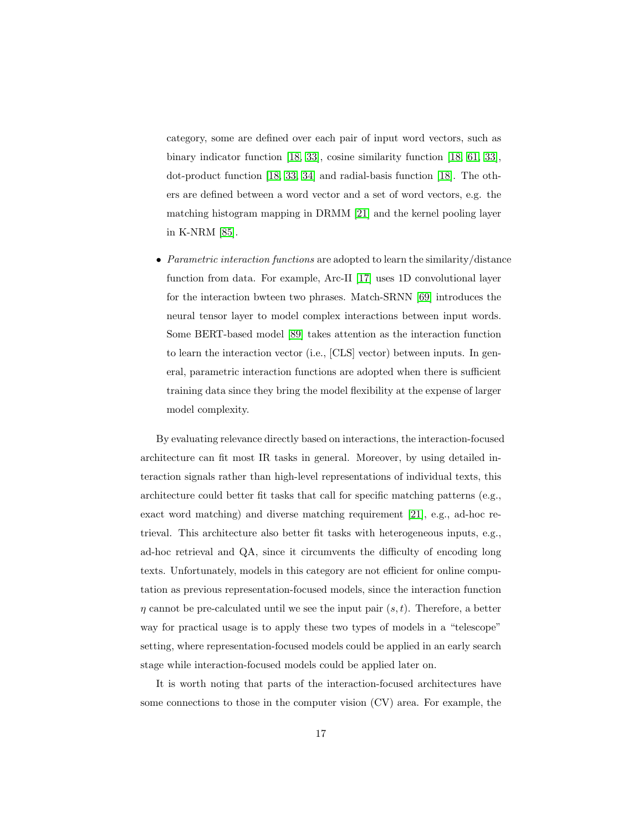category, some are defined over each pair of input word vectors, such as binary indicator function [\[18,](#page-42-2) [33\]](#page-44-2), cosine similarity function [\[18,](#page-42-2) [61,](#page-48-0) [33\]](#page-44-2), dot-product function [\[18,](#page-42-2) [33,](#page-44-2) [34\]](#page-44-3) and radial-basis function [\[18\]](#page-42-2). The others are defined between a word vector and a set of word vectors, e.g. the matching histogram mapping in DRMM [\[21\]](#page-42-5) and the kernel pooling layer in K-NRM [\[85\]](#page-50-9).

• Parametric interaction functions are adopted to learn the similarity/distance function from data. For example, Arc-II [\[17\]](#page-42-1) uses 1D convolutional layer for the interaction bwteen two phrases. Match-SRNN [\[69\]](#page-49-1) introduces the neural tensor layer to model complex interactions between input words. Some BERT-based model [\[89\]](#page-51-3) takes attention as the interaction function to learn the interaction vector (i.e., [CLS] vector) between inputs. In general, parametric interaction functions are adopted when there is sufficient training data since they bring the model flexibility at the expense of larger model complexity.

By evaluating relevance directly based on interactions, the interaction-focused architecture can fit most IR tasks in general. Moreover, by using detailed interaction signals rather than high-level representations of individual texts, this architecture could better fit tasks that call for specific matching patterns (e.g., exact word matching) and diverse matching requirement [\[21\]](#page-42-5), e.g., ad-hoc retrieval. This architecture also better fit tasks with heterogeneous inputs, e.g., ad-hoc retrieval and QA, since it circumvents the difficulty of encoding long texts. Unfortunately, models in this category are not efficient for online computation as previous representation-focused models, since the interaction function  $\eta$  cannot be pre-calculated until we see the input pair  $(s, t)$ . Therefore, a better way for practical usage is to apply these two types of models in a "telescope" setting, where representation-focused models could be applied in an early search stage while interaction-focused models could be applied later on.

It is worth noting that parts of the interaction-focused architectures have some connections to those in the computer vision (CV) area. For example, the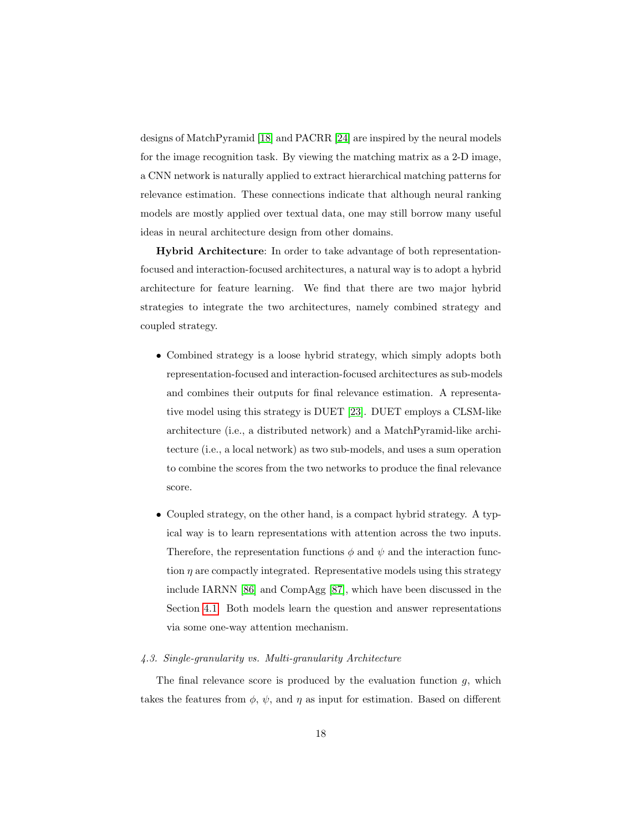designs of MatchPyramid [\[18\]](#page-42-2) and PACRR [\[24\]](#page-43-0) are inspired by the neural models for the image recognition task. By viewing the matching matrix as a 2-D image, a CNN network is naturally applied to extract hierarchical matching patterns for relevance estimation. These connections indicate that although neural ranking models are mostly applied over textual data, one may still borrow many useful ideas in neural architecture design from other domains.

Hybrid Architecture: In order to take advantage of both representationfocused and interaction-focused architectures, a natural way is to adopt a hybrid architecture for feature learning. We find that there are two major hybrid strategies to integrate the two architectures, namely combined strategy and coupled strategy.

- Combined strategy is a loose hybrid strategy, which simply adopts both representation-focused and interaction-focused architectures as sub-models and combines their outputs for final relevance estimation. A representative model using this strategy is DUET [\[23\]](#page-42-7). DUET employs a CLSM-like architecture (i.e., a distributed network) and a MatchPyramid-like architecture (i.e., a local network) as two sub-models, and uses a sum operation to combine the scores from the two networks to produce the final relevance score.
- Coupled strategy, on the other hand, is a compact hybrid strategy. A typical way is to learn representations with attention across the two inputs. Therefore, the representation functions  $\phi$  and  $\psi$  and the interaction function  $\eta$  are compactly integrated. Representative models using this strategy include IARNN [\[86\]](#page-51-0) and CompAgg [\[87\]](#page-51-1), which have been discussed in the Section [4.1.](#page-10-0) Both models learn the question and answer representations via some one-way attention mechanism.

### 4.3. Single-granularity vs. Multi-granularity Architecture

The final relevance score is produced by the evaluation function  $g$ , which takes the features from  $\phi$ ,  $\psi$ , and  $\eta$  as input for estimation. Based on different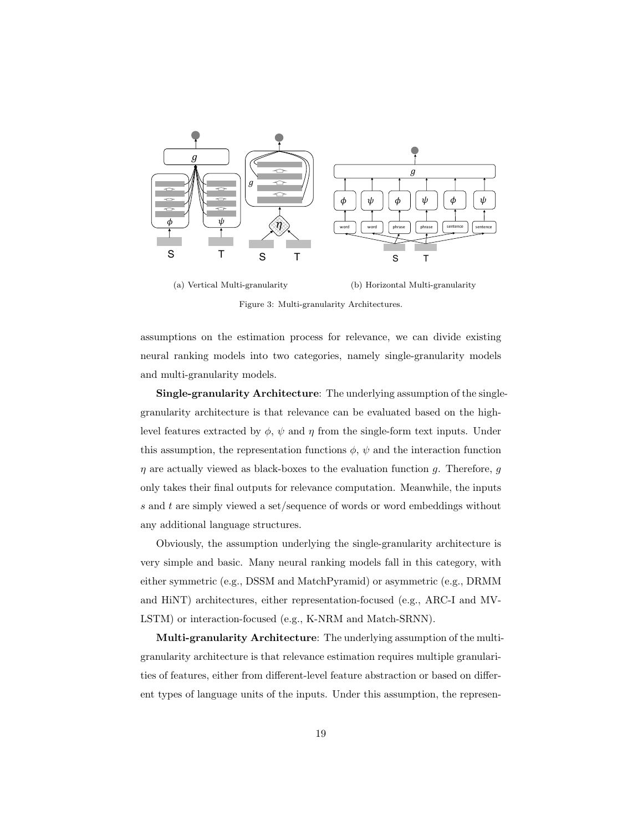

(a) Vertical Multi-granularity

(b) Horizontal Multi-granularity

<span id="page-18-0"></span>Figure 3: Multi-granularity Architectures.

assumptions on the estimation process for relevance, we can divide existing neural ranking models into two categories, namely single-granularity models and multi-granularity models.

Single-granularity Architecture: The underlying assumption of the singlegranularity architecture is that relevance can be evaluated based on the highlevel features extracted by  $\phi$ ,  $\psi$  and  $\eta$  from the single-form text inputs. Under this assumption, the representation functions  $\phi$ ,  $\psi$  and the interaction function  $\eta$  are actually viewed as black-boxes to the evaluation function g. Therefore, g only takes their final outputs for relevance computation. Meanwhile, the inputs s and t are simply viewed a set/sequence of words or word embeddings without any additional language structures.

Obviously, the assumption underlying the single-granularity architecture is very simple and basic. Many neural ranking models fall in this category, with either symmetric (e.g., DSSM and MatchPyramid) or asymmetric (e.g., DRMM and HiNT) architectures, either representation-focused (e.g., ARC-I and MV-LSTM) or interaction-focused (e.g., K-NRM and Match-SRNN).

Multi-granularity Architecture: The underlying assumption of the multigranularity architecture is that relevance estimation requires multiple granularities of features, either from different-level feature abstraction or based on different types of language units of the inputs. Under this assumption, the represen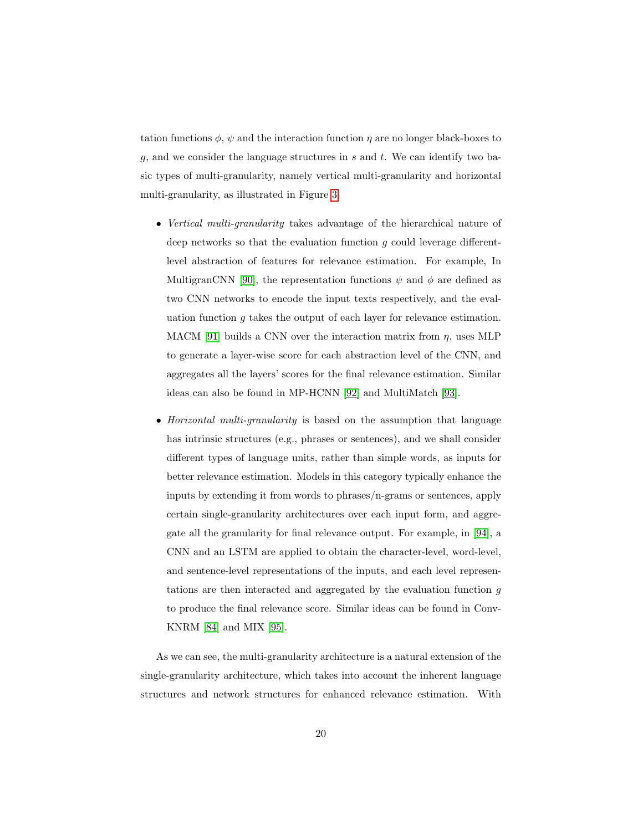tation functions  $\phi$ ,  $\psi$  and the interaction function  $\eta$  are no longer black-boxes to g, and we consider the language structures in  $s$  and  $t$ . We can identify two basic types of multi-granularity, namely vertical multi-granularity and horizontal multi-granularity, as illustrated in Figure [3.](#page-18-0)

- Vertical multi-granularity takes advantage of the hierarchical nature of deep networks so that the evaluation function  $g$  could leverage differentlevel abstraction of features for relevance estimation. For example, In MultigranCNN [\[90\]](#page-51-4), the representation functions  $\psi$  and  $\phi$  are defined as two CNN networks to encode the input texts respectively, and the evaluation function  $g$  takes the output of each layer for relevance estimation. MACM [\[91\]](#page-51-5) builds a CNN over the interaction matrix from  $\eta$ , uses MLP to generate a layer-wise score for each abstraction level of the CNN, and aggregates all the layers' scores for the final relevance estimation. Similar ideas can also be found in MP-HCNN [\[92\]](#page-51-6) and MultiMatch [\[93\]](#page-52-0).
- Horizontal multi-granularity is based on the assumption that language has intrinsic structures (e.g., phrases or sentences), and we shall consider different types of language units, rather than simple words, as inputs for better relevance estimation. Models in this category typically enhance the inputs by extending it from words to phrases/n-grams or sentences, apply certain single-granularity architectures over each input form, and aggregate all the granularity for final relevance output. For example, in [\[94\]](#page-52-1), a CNN and an LSTM are applied to obtain the character-level, word-level, and sentence-level representations of the inputs, and each level representations are then interacted and aggregated by the evaluation function g to produce the final relevance score. Similar ideas can be found in Conv-KNRM [\[84\]](#page-50-8) and MIX [\[95\]](#page-52-2).

As we can see, the multi-granularity architecture is a natural extension of the single-granularity architecture, which takes into account the inherent language structures and network structures for enhanced relevance estimation. With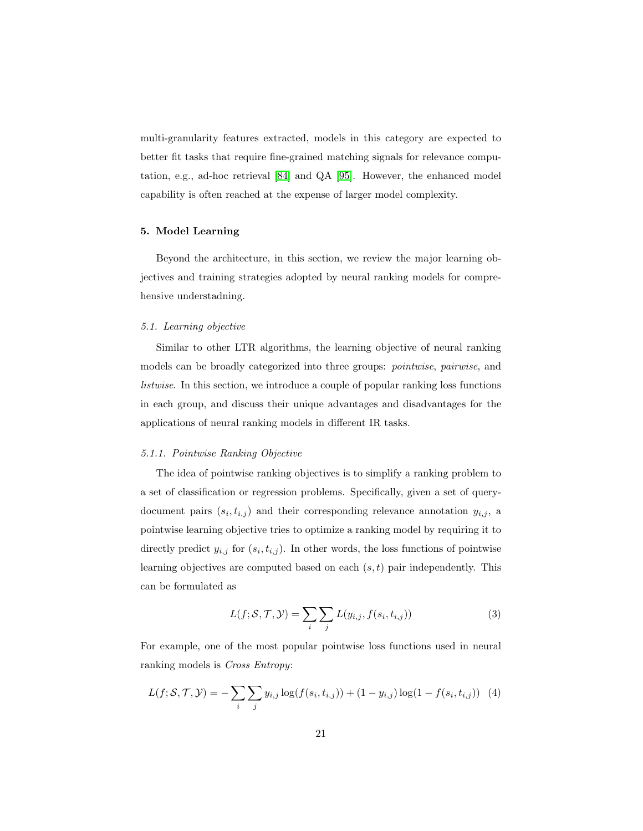multi-granularity features extracted, models in this category are expected to better fit tasks that require fine-grained matching signals for relevance computation, e.g., ad-hoc retrieval [\[84\]](#page-50-8) and QA [\[95\]](#page-52-2). However, the enhanced model capability is often reached at the expense of larger model complexity.

# 5. Model Learning

Beyond the architecture, in this section, we review the major learning objectives and training strategies adopted by neural ranking models for comprehensive understadning.

### 5.1. Learning objective

Similar to other LTR algorithms, the learning objective of neural ranking models can be broadly categorized into three groups: pointwise, pairwise, and listwise. In this section, we introduce a couple of popular ranking loss functions in each group, and discuss their unique advantages and disadvantages for the applications of neural ranking models in different IR tasks.

#### 5.1.1. Pointwise Ranking Objective

The idea of pointwise ranking objectives is to simplify a ranking problem to a set of classification or regression problems. Specifically, given a set of querydocument pairs  $(s_i, t_{i,j})$  and their corresponding relevance annotation  $y_{i,j}$ , a pointwise learning objective tries to optimize a ranking model by requiring it to directly predict  $y_{i,j}$  for  $(s_i, t_{i,j})$ . In other words, the loss functions of pointwise learning objectives are computed based on each  $(s, t)$  pair independently. This can be formulated as

$$
L(f; \mathcal{S}, \mathcal{T}, \mathcal{Y}) = \sum_{i} \sum_{j} L(y_{i,j}, f(s_i, t_{i,j}))
$$
\n(3)

For example, one of the most popular pointwise loss functions used in neural ranking models is Cross Entropy:

$$
L(f; S, \mathcal{T}, \mathcal{Y}) = -\sum_{i} \sum_{j} y_{i,j} \log(f(s_i, t_{i,j})) + (1 - y_{i,j}) \log(1 - f(s_i, t_{i,j})) \quad (4)
$$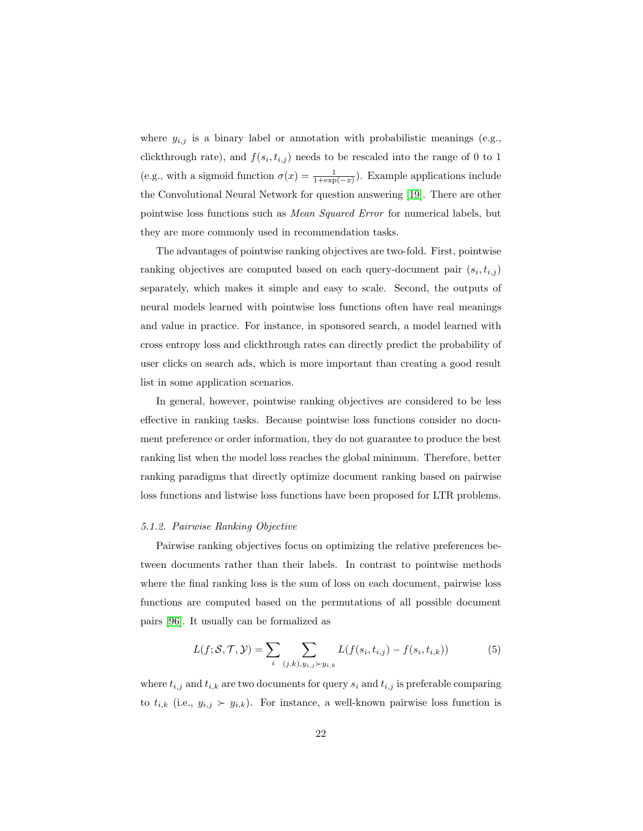where  $y_{i,j}$  is a binary label or annotation with probabilistic meanings (e.g., clickthrough rate), and  $f(s_i, t_{i,j})$  needs to be rescaled into the range of 0 to 1 (e.g., with a sigmoid function  $\sigma(x) = \frac{1}{1 + \exp(-x)}$ ). Example applications include the Convolutional Neural Network for question answering [\[19\]](#page-42-3). There are other pointwise loss functions such as Mean Squared Error for numerical labels, but they are more commonly used in recommendation tasks.

The advantages of pointwise ranking objectives are two-fold. First, pointwise ranking objectives are computed based on each query-document pair  $(s_i, t_{i,j})$ separately, which makes it simple and easy to scale. Second, the outputs of neural models learned with pointwise loss functions often have real meanings and value in practice. For instance, in sponsored search, a model learned with cross entropy loss and clickthrough rates can directly predict the probability of user clicks on search ads, which is more important than creating a good result list in some application scenarios.

In general, however, pointwise ranking objectives are considered to be less effective in ranking tasks. Because pointwise loss functions consider no document preference or order information, they do not guarantee to produce the best ranking list when the model loss reaches the global minimum. Therefore, better ranking paradigms that directly optimize document ranking based on pairwise loss functions and listwise loss functions have been proposed for LTR problems.

#### 5.1.2. Pairwise Ranking Objective

Pairwise ranking objectives focus on optimizing the relative preferences between documents rather than their labels. In contrast to pointwise methods where the final ranking loss is the sum of loss on each document, pairwise loss functions are computed based on the permutations of all possible document pairs [\[96\]](#page-52-3). It usually can be formalized as

$$
L(f; S, \mathcal{T}, \mathcal{Y}) = \sum_{i} \sum_{(j,k), y_{i,j} \succ y_{i,k}} L(f(s_i, t_{i,j}) - f(s_i, t_{i,k}))
$$
(5)

where  $t_{i,j}$  and  $t_{i,k}$  are two documents for query  $s_i$  and  $t_{i,j}$  is preferable comparing to  $t_{i,k}$  (i.e.,  $y_{i,j} \succ y_{i,k}$ ). For instance, a well-known pairwise loss function is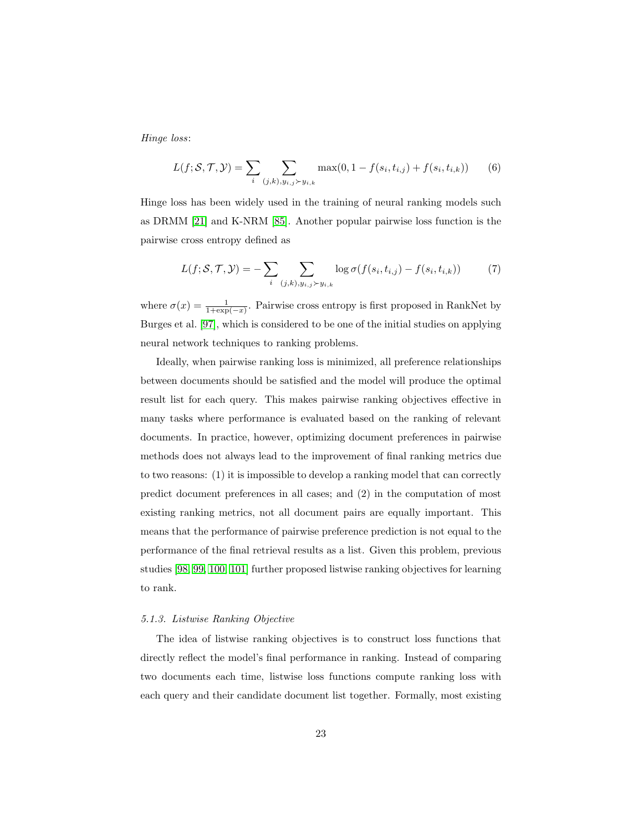Hinge loss:

$$
L(f; S, \mathcal{T}, \mathcal{Y}) = \sum_{i} \sum_{(j,k), y_{i,j} > y_{i,k}} \max(0, 1 - f(s_i, t_{i,j}) + f(s_i, t_{i,k})) \tag{6}
$$

Hinge loss has been widely used in the training of neural ranking models such as DRMM [\[21\]](#page-42-5) and K-NRM [\[85\]](#page-50-9). Another popular pairwise loss function is the pairwise cross entropy defined as

$$
L(f; \mathcal{S}, \mathcal{T}, \mathcal{Y}) = -\sum_{i} \sum_{(j,k), y_{i,j} \succ y_{i,k}} \log \sigma(f(s_i, t_{i,j}) - f(s_i, t_{i,k})) \tag{7}
$$

where  $\sigma(x) = \frac{1}{1 + \exp(-x)}$ . Pairwise cross entropy is first proposed in RankNet by Burges et al. [\[97\]](#page-52-4), which is considered to be one of the initial studies on applying neural network techniques to ranking problems.

Ideally, when pairwise ranking loss is minimized, all preference relationships between documents should be satisfied and the model will produce the optimal result list for each query. This makes pairwise ranking objectives effective in many tasks where performance is evaluated based on the ranking of relevant documents. In practice, however, optimizing document preferences in pairwise methods does not always lead to the improvement of final ranking metrics due to two reasons: (1) it is impossible to develop a ranking model that can correctly predict document preferences in all cases; and (2) in the computation of most existing ranking metrics, not all document pairs are equally important. This means that the performance of pairwise preference prediction is not equal to the performance of the final retrieval results as a list. Given this problem, previous studies [\[98,](#page-52-5) [99,](#page-52-6) [100,](#page-52-7) [101\]](#page-52-8) further proposed listwise ranking objectives for learning to rank.

#### 5.1.3. Listwise Ranking Objective

The idea of listwise ranking objectives is to construct loss functions that directly reflect the model's final performance in ranking. Instead of comparing two documents each time, listwise loss functions compute ranking loss with each query and their candidate document list together. Formally, most existing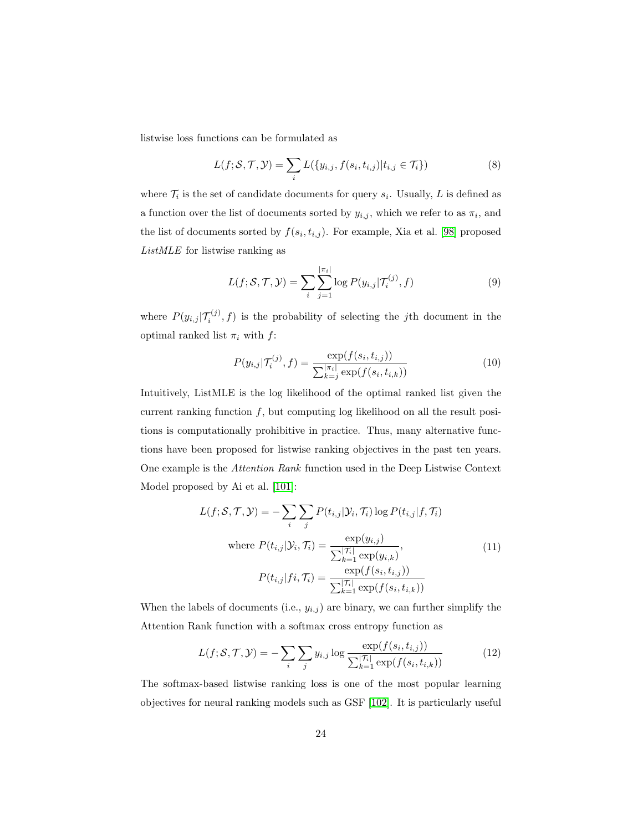listwise loss functions can be formulated as

$$
L(f; \mathcal{S}, \mathcal{T}, \mathcal{Y}) = \sum_{i} L(\{y_{i,j}, f(s_i, t_{i,j}) | t_{i,j} \in \mathcal{T}_i\})
$$
\n(8)

where  $\mathcal{T}_i$  is the set of candidate documents for query  $s_i$ . Usually, L is defined as a function over the list of documents sorted by  $y_{i,j}$ , which we refer to as  $\pi_i$ , and the list of documents sorted by  $f(s_i, t_{i,j})$ . For example, Xia et al. [\[98\]](#page-52-5) proposed ListMLE for listwise ranking as

$$
L(f; \mathcal{S}, \mathcal{T}, \mathcal{Y}) = \sum_{i} \sum_{j=1}^{|\pi_i|} \log P(y_{i,j} | \mathcal{T}_i^{(j)}, f)
$$
(9)

where  $P(y_{i,j} | \mathcal{T}_i^{(j)}, f)$  is the probability of selecting the jth document in the optimal ranked list  $\pi_i$  with  $f$ :

$$
P(y_{i,j}|\mathcal{T}_i^{(j)}, f) = \frac{\exp(f(s_i, t_{i,j}))}{\sum_{k=j}^{|\pi_i|} \exp(f(s_i, t_{i,k}))}
$$
(10)

Intuitively, ListMLE is the log likelihood of the optimal ranked list given the current ranking function  $f$ , but computing log likelihood on all the result positions is computationally prohibitive in practice. Thus, many alternative functions have been proposed for listwise ranking objectives in the past ten years. One example is the Attention Rank function used in the Deep Listwise Context Model proposed by Ai et al. [\[101\]](#page-52-8):

$$
L(f; S, T, Y) = -\sum_{i} \sum_{j} P(t_{i,j} | Y_i, T_i) \log P(t_{i,j} | f, T_i)
$$
  
where  $P(t_{i,j} | Y_i, T_i) = \frac{\exp(y_{i,j})}{\sum_{k=1}^{|T_i|} \exp(y_{i,k})}$ ,  

$$
P(t_{i,j} | f_i, T_i) = \frac{\exp(f(s_i, t_{i,j}))}{\sum_{k=1}^{|T_i|} \exp(f(s_i, t_{i,k}))}
$$
(11)

When the labels of documents (i.e.,  $y_{i,j}$ ) are binary, we can further simplify the Attention Rank function with a softmax cross entropy function as

$$
L(f; S, \mathcal{T}, \mathcal{Y}) = -\sum_{i} \sum_{j} y_{i,j} \log \frac{\exp(f(s_i, t_{i,j}))}{\sum_{k=1}^{|\mathcal{T}_i|} \exp(f(s_i, t_{i,k}))}
$$
(12)

The softmax-based listwise ranking loss is one of the most popular learning objectives for neural ranking models such as GSF [\[102\]](#page-53-0). It is particularly useful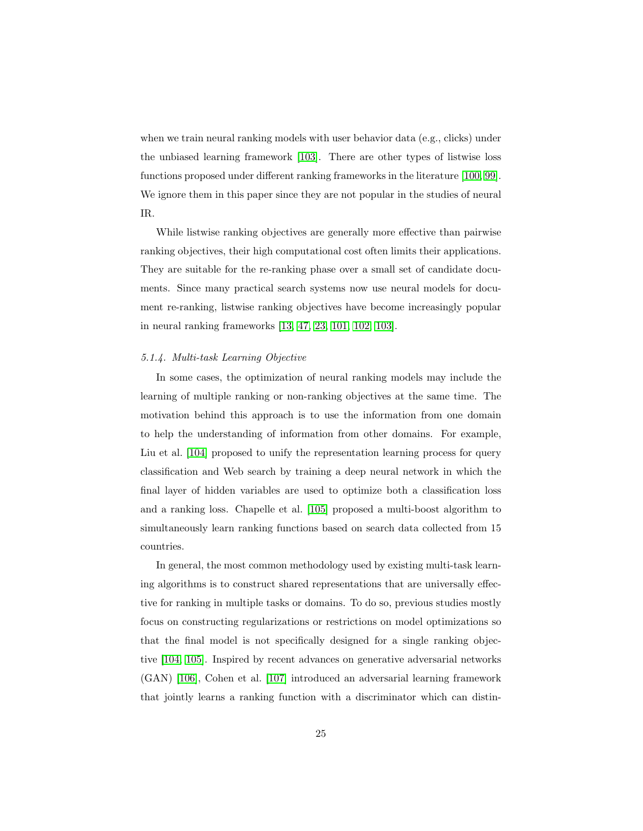when we train neural ranking models with user behavior data (e.g., clicks) under the unbiased learning framework [\[103\]](#page-53-1). There are other types of listwise loss functions proposed under different ranking frameworks in the literature [\[100,](#page-52-7) [99\]](#page-52-6). We ignore them in this paper since they are not popular in the studies of neural IR.

While listwise ranking objectives are generally more effective than pairwise ranking objectives, their high computational cost often limits their applications. They are suitable for the re-ranking phase over a small set of candidate documents. Since many practical search systems now use neural models for document re-ranking, listwise ranking objectives have become increasingly popular in neural ranking frameworks [\[13,](#page-41-6) [47,](#page-46-0) [23,](#page-42-7) [101,](#page-52-8) [102,](#page-53-0) [103\]](#page-53-1).

### 5.1.4. Multi-task Learning Objective

In some cases, the optimization of neural ranking models may include the learning of multiple ranking or non-ranking objectives at the same time. The motivation behind this approach is to use the information from one domain to help the understanding of information from other domains. For example, Liu et al. [\[104\]](#page-53-2) proposed to unify the representation learning process for query classification and Web search by training a deep neural network in which the final layer of hidden variables are used to optimize both a classification loss and a ranking loss. Chapelle et al. [\[105\]](#page-53-3) proposed a multi-boost algorithm to simultaneously learn ranking functions based on search data collected from 15 countries.

In general, the most common methodology used by existing multi-task learning algorithms is to construct shared representations that are universally effective for ranking in multiple tasks or domains. To do so, previous studies mostly focus on constructing regularizations or restrictions on model optimizations so that the final model is not specifically designed for a single ranking objective [\[104,](#page-53-2) [105\]](#page-53-3). Inspired by recent advances on generative adversarial networks (GAN) [\[106\]](#page-53-4), Cohen et al. [\[107\]](#page-53-5) introduced an adversarial learning framework that jointly learns a ranking function with a discriminator which can distin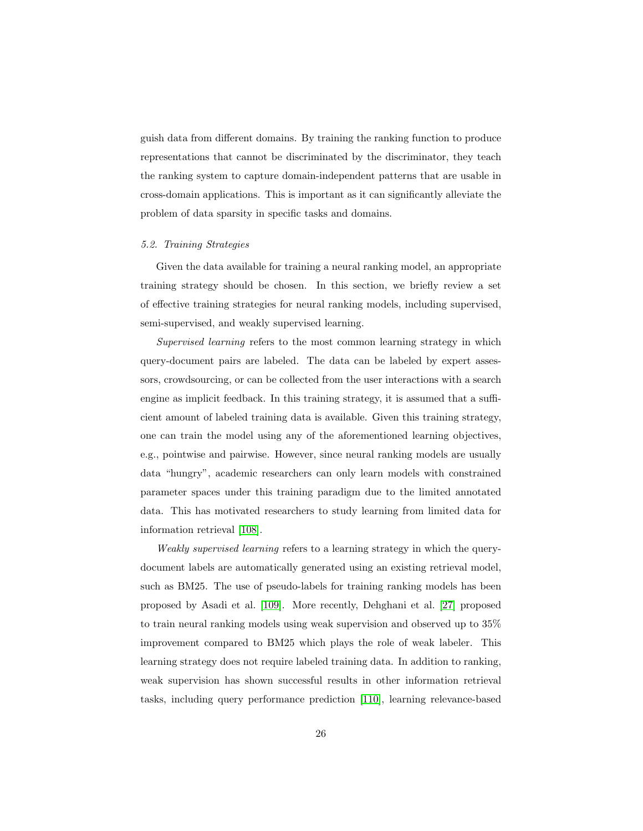guish data from different domains. By training the ranking function to produce representations that cannot be discriminated by the discriminator, they teach the ranking system to capture domain-independent patterns that are usable in cross-domain applications. This is important as it can significantly alleviate the problem of data sparsity in specific tasks and domains.

### 5.2. Training Strategies

Given the data available for training a neural ranking model, an appropriate training strategy should be chosen. In this section, we briefly review a set of effective training strategies for neural ranking models, including supervised, semi-supervised, and weakly supervised learning.

Supervised learning refers to the most common learning strategy in which query-document pairs are labeled. The data can be labeled by expert assessors, crowdsourcing, or can be collected from the user interactions with a search engine as implicit feedback. In this training strategy, it is assumed that a sufficient amount of labeled training data is available. Given this training strategy, one can train the model using any of the aforementioned learning objectives, e.g., pointwise and pairwise. However, since neural ranking models are usually data "hungry", academic researchers can only learn models with constrained parameter spaces under this training paradigm due to the limited annotated data. This has motivated researchers to study learning from limited data for information retrieval [\[108\]](#page-53-6).

Weakly supervised learning refers to a learning strategy in which the querydocument labels are automatically generated using an existing retrieval model, such as BM25. The use of pseudo-labels for training ranking models has been proposed by Asadi et al. [\[109\]](#page-54-0). More recently, Dehghani et al. [\[27\]](#page-43-3) proposed to train neural ranking models using weak supervision and observed up to 35% improvement compared to BM25 which plays the role of weak labeler. This learning strategy does not require labeled training data. In addition to ranking, weak supervision has shown successful results in other information retrieval tasks, including query performance prediction [\[110\]](#page-54-1), learning relevance-based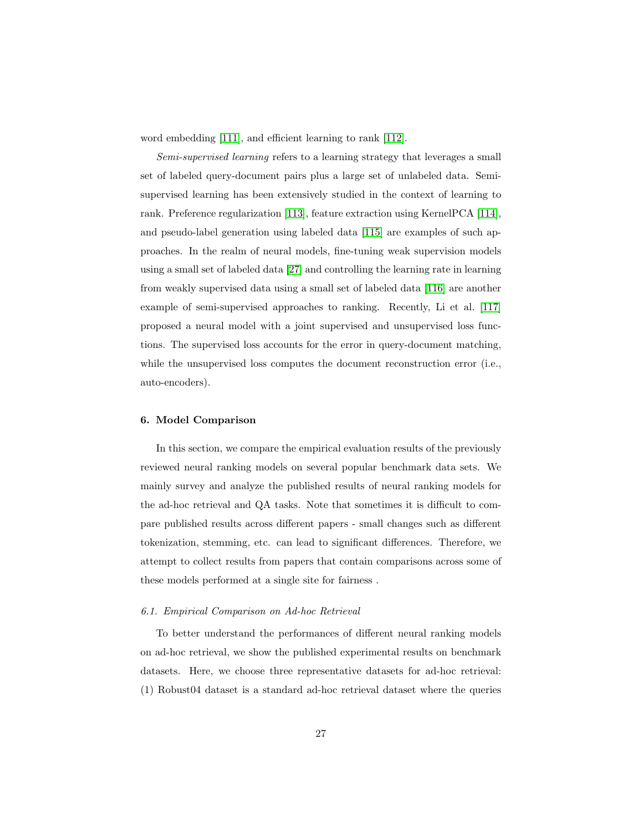word embedding [\[111\]](#page-54-2), and efficient learning to rank [\[112\]](#page-54-3).

Semi-supervised learning refers to a learning strategy that leverages a small set of labeled query-document pairs plus a large set of unlabeled data. Semisupervised learning has been extensively studied in the context of learning to rank. Preference regularization [\[113\]](#page-54-4), feature extraction using KernelPCA [\[114\]](#page-54-5), and pseudo-label generation using labeled data [\[115\]](#page-54-6) are examples of such approaches. In the realm of neural models, fine-tuning weak supervision models using a small set of labeled data [\[27\]](#page-43-3) and controlling the learning rate in learning from weakly supervised data using a small set of labeled data [\[116\]](#page-55-0) are another example of semi-supervised approaches to ranking. Recently, Li et al. [\[117\]](#page-55-1) proposed a neural model with a joint supervised and unsupervised loss functions. The supervised loss accounts for the error in query-document matching, while the unsupervised loss computes the document reconstruction error (i.e., auto-encoders).

# 6. Model Comparison

In this section, we compare the empirical evaluation results of the previously reviewed neural ranking models on several popular benchmark data sets. We mainly survey and analyze the published results of neural ranking models for the ad-hoc retrieval and QA tasks. Note that sometimes it is difficult to compare published results across different papers - small changes such as different tokenization, stemming, etc. can lead to significant differences. Therefore, we attempt to collect results from papers that contain comparisons across some of these models performed at a single site for fairness .

### 6.1. Empirical Comparison on Ad-hoc Retrieval

To better understand the performances of different neural ranking models on ad-hoc retrieval, we show the published experimental results on benchmark datasets. Here, we choose three representative datasets for ad-hoc retrieval: (1) Robust04 dataset is a standard ad-hoc retrieval dataset where the queries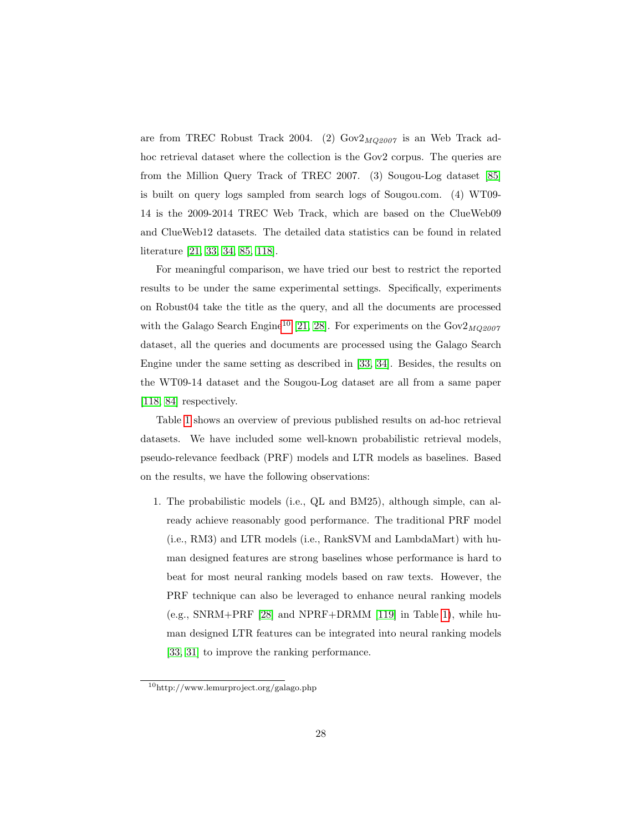are from TREC Robust Track 2004. (2)  $Gov2_{MQ2007}$  is an Web Track adhoc retrieval dataset where the collection is the Gov2 corpus. The queries are from the Million Query Track of TREC 2007. (3) Sougou-Log dataset [\[85\]](#page-50-9) is built on query logs sampled from search logs of Sougou.com. (4) WT09- 14 is the 2009-2014 TREC Web Track, which are based on the ClueWeb09 and ClueWeb12 datasets. The detailed data statistics can be found in related literature [\[21,](#page-42-5) [33,](#page-44-2) [34,](#page-44-3) [85,](#page-50-9) [118\]](#page-55-2).

For meaningful comparison, we have tried our best to restrict the reported results to be under the same experimental settings. Specifically, experiments on Robust04 take the title as the query, and all the documents are processed with the Galago Search Engine<sup>[10](#page-27-0)</sup> [\[21,](#page-42-5) [28\]](#page-43-4). For experiments on the  $\text{Gov2}_{MQ2007}$ dataset, all the queries and documents are processed using the Galago Search Engine under the same setting as described in [\[33,](#page-44-2) [34\]](#page-44-3). Besides, the results on the WT09-14 dataset and the Sougou-Log dataset are all from a same paper [\[118,](#page-55-2) [84\]](#page-50-8) respectively.

Table [1](#page-28-0) shows an overview of previous published results on ad-hoc retrieval datasets. We have included some well-known probabilistic retrieval models, pseudo-relevance feedback (PRF) models and LTR models as baselines. Based on the results, we have the following observations:

1. The probabilistic models (i.e., QL and BM25), although simple, can already achieve reasonably good performance. The traditional PRF model (i.e., RM3) and LTR models (i.e., RankSVM and LambdaMart) with human designed features are strong baselines whose performance is hard to beat for most neural ranking models based on raw texts. However, the PRF technique can also be leveraged to enhance neural ranking models (e.g., SNRM+PRF [\[28\]](#page-43-4) and NPRF+DRMM [\[119\]](#page-55-3) in Table [1\)](#page-28-0), while human designed LTR features can be integrated into neural ranking models [\[33,](#page-44-2) [31\]](#page-44-0) to improve the ranking performance.

<span id="page-27-0"></span><sup>10</sup>http://www.lemurproject.org/galago.php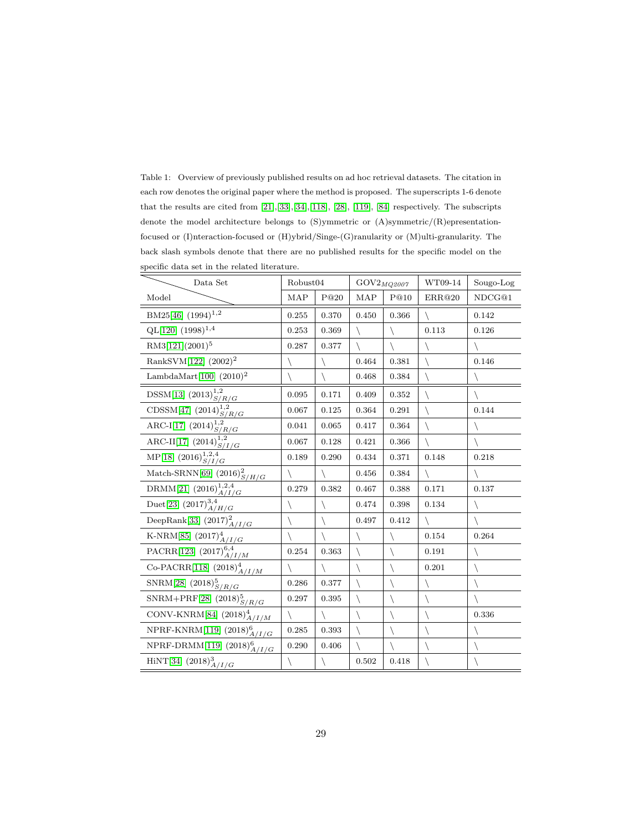<span id="page-28-0"></span>Table 1: Overview of previously published results on ad hoc retrieval datasets. The citation in each row denotes the original paper where the method is proposed. The superscripts 1-6 denote that the results are cited from [\[21\]](#page-42-5),[\[33\]](#page-44-2),[\[34\]](#page-44-3),[\[118\]](#page-55-2), [\[28\]](#page-43-4), [\[119\]](#page-55-3), [\[84\]](#page-50-8) respectively. The subscripts denote the model architecture belongs to (S)ymmetric or (A)symmetric/(R)epresentationfocused or (I)nteraction-focused or (H)ybrid/Singe-(G)ranularity or (M)ulti-granularity. The back slash symbols denote that there are no published results for the specific model on the specific data set in the related literature.

| Data Set                                                           | Robust04     |       | $\mathrm{GOV2}_{MQ2007}$ |             | WT09-14      | Sougo-Log |
|--------------------------------------------------------------------|--------------|-------|--------------------------|-------------|--------------|-----------|
| Model                                                              | <b>MAP</b>   | P@20  | <b>MAP</b>               | P@10        | ERR@20       | NDCG@1    |
| BM25[46] $(1994)^{1,2}$                                            | 0.255        | 0.370 | 0.450                    | 0.366       |              | 0.142     |
| $QL[120]$ $(1998)^{1,4}$                                           | 0.253        | 0.369 |                          |             | 0.113        | 0.126     |
| RM3[121](2001) <sup>5</sup>                                        | 0.287        | 0.377 |                          | ∖           | $\setminus$  |           |
| RankSVM[122] (2002) <sup>2</sup>                                   | ∖            |       | 0.464                    | 0.381       | $\backslash$ | 0.146     |
| LambdaMart $[100]$ $(2010)^2$                                      | ∖            |       | 0.468                    | 0.384       | $\setminus$  |           |
| $\text{DSSM}[13]~(2013)^{1,2}_{S/R/G}$                             | 0.095        | 0.171 | 0.409                    | 0.352       | $\backslash$ |           |
| CDSSM[47] $(2014)^{1,2}_{S/R/G}$                                   | 0.067        | 0.125 | 0.364                    | 0.291       | ∖            | 0.144     |
| ARC-I[17] $(2014)^{1,2}_{S/R/G}$                                   | 0.041        | 0.065 | 0.417                    | 0.364       | ∖            |           |
| ARC-II[17] $(2014)^{1,2}_{S/I/G}$                                  | 0.067        | 0.128 | 0.421                    | 0.366       | $\backslash$ |           |
| MP[18] $(2016)^{1,2,4}_{S/I/G}$                                    | 0.189        | 0.290 | 0.434                    | 0.371       | 0.148        | 0.218     |
| Match-SRNN[69] $(2016)_{S/H/G}^2$                                  |              |       | 0.456                    | 0.384       | ∖            |           |
| DRMM[21] $(2016)_{A/I/G}^{1,2,4}$                                  | 0.279        | 0.382 | 0.467                    | 0.388       | 0.171        | 0.137     |
| Duet[23] $(2017)_{A/H/G}^{3,4}$                                    | ∖            |       | 0.474                    | 0.398       | 0.134        |           |
| DeepRank[33] $(2017)^2_{A/I/G}$                                    | ∖            |       | 0.497                    | 0.412       | $\backslash$ |           |
| K-NRM[85] $(2017)4A/I/G$                                           |              |       |                          | ∖           | 0.154        | 0.264     |
| PACRR[123] $(2017)^{6,4}_{A/I/M}$                                  | 0.254        | 0.363 | $\backslash$             |             | 0.191        | ∖         |
| Co-PACRR[118] $(2018)_{A/I/M}^4$                                   | ∖            |       |                          | ∖           | 0.201        |           |
| SNRM[28] $(2018)_{S/R/G}^5$                                        | 0.286        | 0.377 | $\backslash$             |             | $\setminus$  |           |
| SNRM+PRF[28] $(2018)_{S/R/G}^5$                                    | 0.297        | 0.395 |                          | ∖           |              |           |
| CONV-KNRM[84] $(2018)_{A/I/M}^4$                                   | $\backslash$ |       | $\backslash$             | ∖           |              | 0.336     |
| $\overline{\text{NPRF-KNRM}[119]}$ (2018) $^{6}_{A/I/G}$           | 0.285        | 0.393 | $\backslash$             | $\setminus$ |              |           |
| $\overline{\mbox{NPRF-DRMM}[119]} \; \underline{(2018)^6}_{A/I/G}$ | 0.290        | 0.406 |                          | ∖           | ∖            |           |
| HiNT[34] $(2018)_{A/I/G}^3$                                        |              |       | 0.502                    | 0.418       |              |           |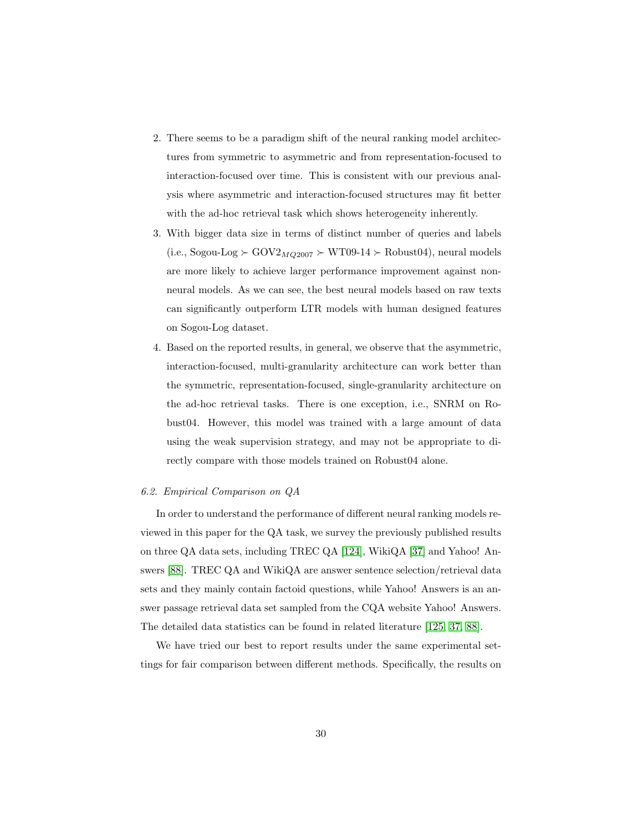- 2. There seems to be a paradigm shift of the neural ranking model architectures from symmetric to asymmetric and from representation-focused to interaction-focused over time. This is consistent with our previous analysis where asymmetric and interaction-focused structures may fit better with the ad-hoc retrieval task which shows heterogeneity inherently.
- 3. With bigger data size in terms of distinct number of queries and labels  $(i.e., Sogou-Log \succ GOV2_{MQ2007} \succ WT09-14 \succ Robust04), neural models$ are more likely to achieve larger performance improvement against nonneural models. As we can see, the best neural models based on raw texts can significantly outperform LTR models with human designed features on Sogou-Log dataset.
- 4. Based on the reported results, in general, we observe that the asymmetric, interaction-focused, multi-granularity architecture can work better than the symmetric, representation-focused, single-granularity architecture on the ad-hoc retrieval tasks. There is one exception, i.e., SNRM on Robust04. However, this model was trained with a large amount of data using the weak supervision strategy, and may not be appropriate to directly compare with those models trained on Robust04 alone.

### 6.2. Empirical Comparison on QA

In order to understand the performance of different neural ranking models reviewed in this paper for the QA task, we survey the previously published results on three QA data sets, including TREC QA [\[124\]](#page-55-8), WikiQA [\[37\]](#page-44-6) and Yahoo! Answers [\[88\]](#page-51-2). TREC QA and WikiQA are answer sentence selection/retrieval data sets and they mainly contain factoid questions, while Yahoo! Answers is an answer passage retrieval data set sampled from the CQA website Yahoo! Answers. The detailed data statistics can be found in related literature [\[125,](#page-56-0) [37,](#page-44-6) [88\]](#page-51-2).

We have tried our best to report results under the same experimental settings for fair comparison between different methods. Specifically, the results on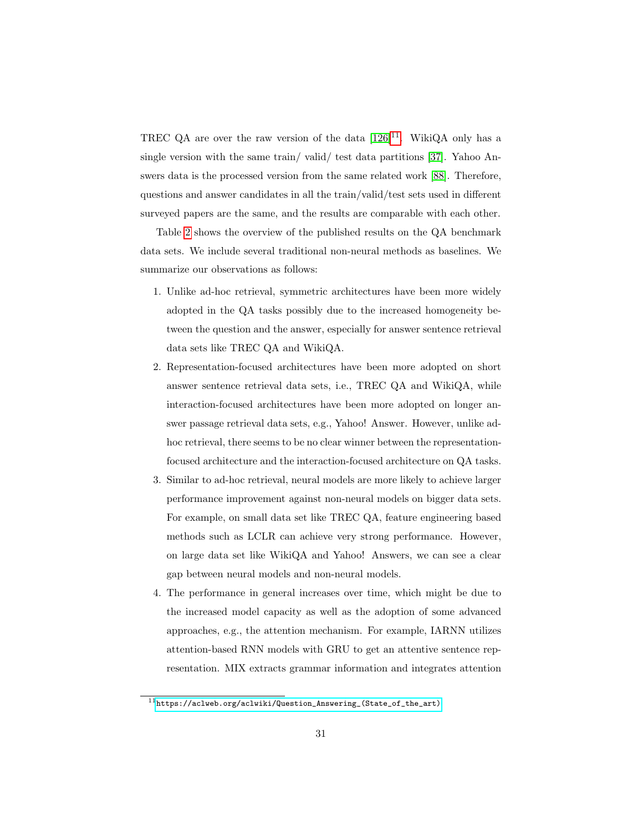TREC QA are over the raw version of the data  $[126]^{11}$  $[126]^{11}$  $[126]^{11}$  $[126]^{11}$ . WikiQA only has a single version with the same train/ valid/ test data partitions [\[37\]](#page-44-6). Yahoo Answers data is the processed version from the same related work [\[88\]](#page-51-2). Therefore, questions and answer candidates in all the train/valid/test sets used in different surveyed papers are the same, and the results are comparable with each other.

Table [2](#page-31-0) shows the overview of the published results on the QA benchmark data sets. We include several traditional non-neural methods as baselines. We summarize our observations as follows:

- 1. Unlike ad-hoc retrieval, symmetric architectures have been more widely adopted in the QA tasks possibly due to the increased homogeneity between the question and the answer, especially for answer sentence retrieval data sets like TREC QA and WikiQA.
- 2. Representation-focused architectures have been more adopted on short answer sentence retrieval data sets, i.e., TREC QA and WikiQA, while interaction-focused architectures have been more adopted on longer answer passage retrieval data sets, e.g., Yahoo! Answer. However, unlike adhoc retrieval, there seems to be no clear winner between the representationfocused architecture and the interaction-focused architecture on QA tasks.
- 3. Similar to ad-hoc retrieval, neural models are more likely to achieve larger performance improvement against non-neural models on bigger data sets. For example, on small data set like TREC QA, feature engineering based methods such as LCLR can achieve very strong performance. However, on large data set like WikiQA and Yahoo! Answers, we can see a clear gap between neural models and non-neural models.
- 4. The performance in general increases over time, which might be due to the increased model capacity as well as the adoption of some advanced approaches, e.g., the attention mechanism. For example, IARNN utilizes attention-based RNN models with GRU to get an attentive sentence representation. MIX extracts grammar information and integrates attention

<span id="page-30-0"></span><sup>11</sup>[https://aclweb.org/aclwiki/Question\\_Answering\\_\(State\\_of\\_the\\_art\)](https://aclweb.org/aclwiki/Question_Answering_(State_of_the_art))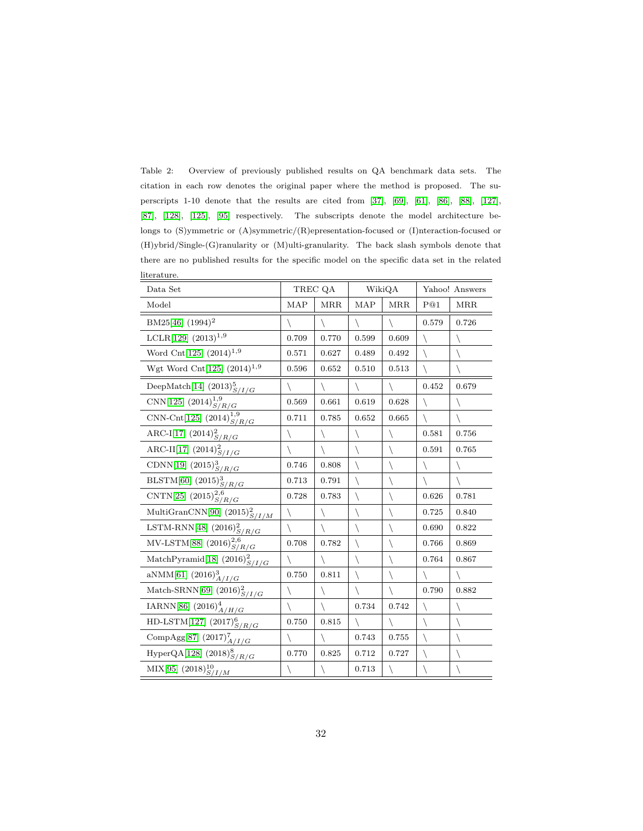<span id="page-31-0"></span>Table 2: Overview of previously published results on QA benchmark data sets. The citation in each row denotes the original paper where the method is proposed. The superscripts 1-10 denote that the results are cited from [\[37\]](#page-44-6), [\[69\]](#page-49-1), [\[61\]](#page-48-0), [\[86\]](#page-51-0), [\[88\]](#page-51-2), [\[127\]](#page-56-2), [\[87\]](#page-51-1), [\[128\]](#page-56-3), [\[125\]](#page-56-0), [\[95\]](#page-52-2) respectively. The subscripts denote the model architecture belongs to (S)ymmetric or (A)symmetric/(R)epresentation-focused or (I)nteraction-focused or (H)ybrid/Single-(G)ranularity or (M)ulti-granularity. The back slash symbols denote that there are no published results for the specific model on the specific data set in the related literature.

| Data Set                                                                               | TREC QA      |              | WikiQA     |              | Yahoo! Answers |              |
|----------------------------------------------------------------------------------------|--------------|--------------|------------|--------------|----------------|--------------|
| Model                                                                                  | MAP          | <b>MRR</b>   | <b>MAP</b> | <b>MRR</b>   | P@1            | <b>MRR</b>   |
| BM25[46] (1994) <sup>2</sup>                                                           |              |              |            | ∖            | 0.579          | 0.726        |
| LCLR[129] $(2013)^{1,9}$                                                               | 0.709        | 0.770        | 0.599      | 0.609        | $\backslash$   | ∖            |
| Word Cnt[125] $(2014)^{1,9}$                                                           | 0.571        | 0.627        | 0.489      | 0.492        | $\backslash$   | $\setminus$  |
| Wgt Word Cnt<br>[125] $(2014)^{1,9}\,$                                                 | 0.596        | 0.652        | 0.510      | 0.513        | $\backslash$   |              |
| DeepMatch[14] $(2013)_{S/I/G}^5$                                                       | $\backslash$ | $\setminus$  |            | $\setminus$  | 0.452          | 0.679        |
| CNN[125] $(2014)^{1,9}_{S/R/G}$                                                        | 0.569        | 0.661        | 0.619      | 0.628        | $\setminus$    | ∖            |
| CNN-Cnt[125] $(2014)^{1,9}_{S/R/G}$                                                    | 0.711        | 0.785        | 0.652      | 0.665        | $\backslash$   | $\backslash$ |
| ARC-I[17] $(2014)^2_{S/R/G}$                                                           | $\backslash$ | $\backslash$ |            | ∖            | 0.581          | 0.756        |
| ARC-II[17] $(2014)^2_{S/I/G}$                                                          | $\backslash$ | $\backslash$ | ∖          | ∖            | 0.591          | 0.765        |
| CDNN[19] $(2015)_{S/R/G}^3$                                                            | 0.746        | 0.808        |            | $\backslash$ | ∖              |              |
| BLSTM[60] $(2015)^3_{S/R/G}$                                                           | 0.713        | 0.791        |            |              |                | $\setminus$  |
| $\overline{\text{CNTN}}[25]~(2015)_{S/R/G}^{2,6}$                                      | 0.728        | 0.783        |            | ∖            | 0.626          | 0.781        |
| MultiGranCNN[90] $(2015)_{S/I/M}^2$                                                    | ∖            |              |            | ∖            | 0.725          | 0.840        |
| $\frac{\text{LSTM-RNN}[48]~(2016)_{S/R/G}^2}{\text{MV-LSTM}[88]~(2016)_{S/R/G}^{2,6}}$ | $\backslash$ | $\backslash$ |            | ∖            | 0.690          | 0.822        |
|                                                                                        | 0.708        | 0.782        | ∖          | ∖            | 0.766          | 0.869        |
| MatchPyramid[18] $(2016)_{S/I/G}^2$                                                    | ∖            | $\backslash$ |            | ∖            | 0.764          | 0.867        |
| aNMM[61] $(2016)^{3}_{\underline{A/I/G}}$                                              | 0.750        | 0.811        |            | ∖            | ∖              |              |
| Match-SRNN[69] $(2016)_{S/I/G}^2$                                                      | $\backslash$ | $\backslash$ |            | $\backslash$ | 0.790          | 0.882        |
| IARNN[86] $(2016)_{A/H/G}^4$                                                           |              | $\backslash$ | 0.734      | 0.742        | ∖              |              |
| HD-LSTM[127] $(2017)^6_{S/R/G}$                                                        | 0.750        | 0.815        |            | ∖            | $\backslash$   | $\setminus$  |
| Comp $\text{Agg}[87]$ $(2017)^7_{A/I/G}$                                               | ∖            | $\backslash$ | 0.743      | 0.755        | $\backslash$   | $\backslash$ |
| HyperQA[128] $(2018)_{S/R/G}^8$                                                        | 0.770        | 0.825        | 0.712      | 0.727        | $\setminus$    | $\setminus$  |
| MIX[95] $(2018)_{S/I/M}^{10}$                                                          |              |              | 0.713      |              |                |              |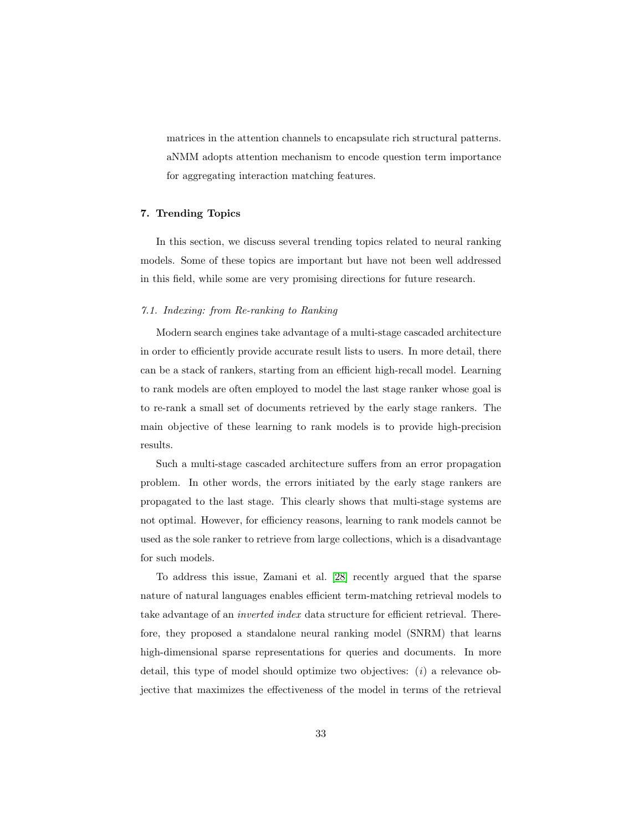matrices in the attention channels to encapsulate rich structural patterns. aNMM adopts attention mechanism to encode question term importance for aggregating interaction matching features.

# 7. Trending Topics

In this section, we discuss several trending topics related to neural ranking models. Some of these topics are important but have not been well addressed in this field, while some are very promising directions for future research.

# 7.1. Indexing: from Re-ranking to Ranking

Modern search engines take advantage of a multi-stage cascaded architecture in order to efficiently provide accurate result lists to users. In more detail, there can be a stack of rankers, starting from an efficient high-recall model. Learning to rank models are often employed to model the last stage ranker whose goal is to re-rank a small set of documents retrieved by the early stage rankers. The main objective of these learning to rank models is to provide high-precision results.

Such a multi-stage cascaded architecture suffers from an error propagation problem. In other words, the errors initiated by the early stage rankers are propagated to the last stage. This clearly shows that multi-stage systems are not optimal. However, for efficiency reasons, learning to rank models cannot be used as the sole ranker to retrieve from large collections, which is a disadvantage for such models.

To address this issue, Zamani et al. [\[28\]](#page-43-4) recently argued that the sparse nature of natural languages enables efficient term-matching retrieval models to take advantage of an inverted index data structure for efficient retrieval. Therefore, they proposed a standalone neural ranking model (SNRM) that learns high-dimensional sparse representations for queries and documents. In more detail, this type of model should optimize two objectives:  $(i)$  a relevance objective that maximizes the effectiveness of the model in terms of the retrieval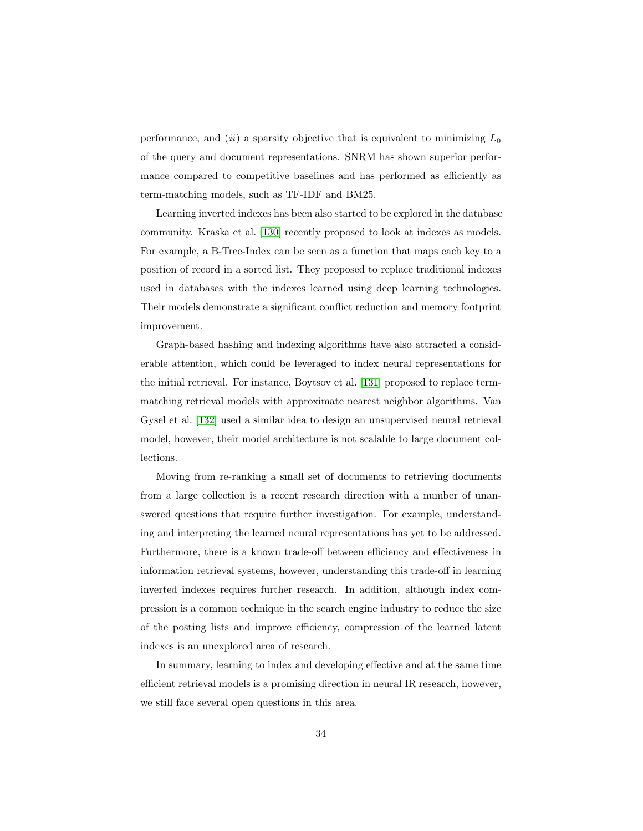performance, and  $(ii)$  a sparsity objective that is equivalent to minimizing  $L_0$ of the query and document representations. SNRM has shown superior performance compared to competitive baselines and has performed as efficiently as term-matching models, such as TF-IDF and BM25.

Learning inverted indexes has been also started to be explored in the database community. Kraska et al. [\[130\]](#page-56-5) recently proposed to look at indexes as models. For example, a B-Tree-Index can be seen as a function that maps each key to a position of record in a sorted list. They proposed to replace traditional indexes used in databases with the indexes learned using deep learning technologies. Their models demonstrate a significant conflict reduction and memory footprint improvement.

Graph-based hashing and indexing algorithms have also attracted a considerable attention, which could be leveraged to index neural representations for the initial retrieval. For instance, Boytsov et al. [\[131\]](#page-56-6) proposed to replace termmatching retrieval models with approximate nearest neighbor algorithms. Van Gysel et al. [\[132\]](#page-57-0) used a similar idea to design an unsupervised neural retrieval model, however, their model architecture is not scalable to large document collections.

Moving from re-ranking a small set of documents to retrieving documents from a large collection is a recent research direction with a number of unanswered questions that require further investigation. For example, understanding and interpreting the learned neural representations has yet to be addressed. Furthermore, there is a known trade-off between efficiency and effectiveness in information retrieval systems, however, understanding this trade-off in learning inverted indexes requires further research. In addition, although index compression is a common technique in the search engine industry to reduce the size of the posting lists and improve efficiency, compression of the learned latent indexes is an unexplored area of research.

In summary, learning to index and developing effective and at the same time efficient retrieval models is a promising direction in neural IR research, however, we still face several open questions in this area.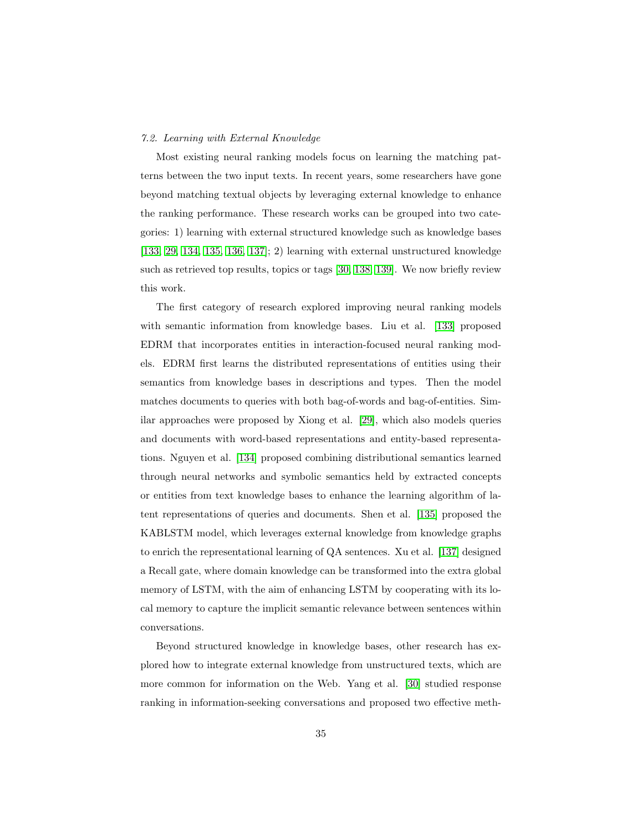# 7.2. Learning with External Knowledge

Most existing neural ranking models focus on learning the matching patterns between the two input texts. In recent years, some researchers have gone beyond matching textual objects by leveraging external knowledge to enhance the ranking performance. These research works can be grouped into two categories: 1) learning with external structured knowledge such as knowledge bases [\[133,](#page-57-1) [29,](#page-43-5) [134,](#page-57-2) [135,](#page-57-3) [136,](#page-57-4) [137\]](#page-57-5); 2) learning with external unstructured knowledge such as retrieved top results, topics or tags [\[30,](#page-43-6) [138,](#page-57-6) [139\]](#page-58-0). We now briefly review this work.

The first category of research explored improving neural ranking models with semantic information from knowledge bases. Liu et al. [\[133\]](#page-57-1) proposed EDRM that incorporates entities in interaction-focused neural ranking models. EDRM first learns the distributed representations of entities using their semantics from knowledge bases in descriptions and types. Then the model matches documents to queries with both bag-of-words and bag-of-entities. Similar approaches were proposed by Xiong et al. [\[29\]](#page-43-5), which also models queries and documents with word-based representations and entity-based representations. Nguyen et al. [\[134\]](#page-57-2) proposed combining distributional semantics learned through neural networks and symbolic semantics held by extracted concepts or entities from text knowledge bases to enhance the learning algorithm of latent representations of queries and documents. Shen et al. [\[135\]](#page-57-3) proposed the KABLSTM model, which leverages external knowledge from knowledge graphs to enrich the representational learning of QA sentences. Xu et al. [\[137\]](#page-57-5) designed a Recall gate, where domain knowledge can be transformed into the extra global memory of LSTM, with the aim of enhancing LSTM by cooperating with its local memory to capture the implicit semantic relevance between sentences within conversations.

Beyond structured knowledge in knowledge bases, other research has explored how to integrate external knowledge from unstructured texts, which are more common for information on the Web. Yang et al. [\[30\]](#page-43-6) studied response ranking in information-seeking conversations and proposed two effective meth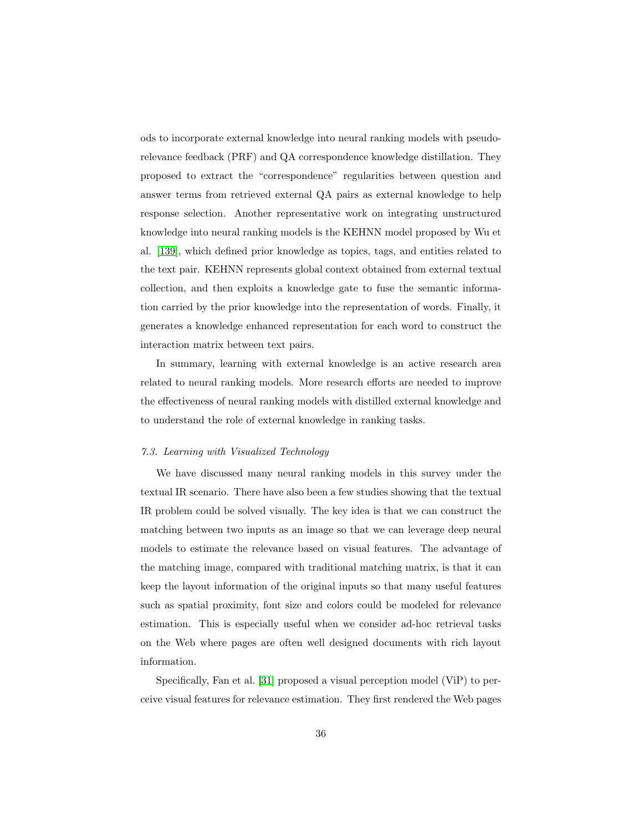ods to incorporate external knowledge into neural ranking models with pseudorelevance feedback (PRF) and QA correspondence knowledge distillation. They proposed to extract the "correspondence" regularities between question and answer terms from retrieved external QA pairs as external knowledge to help response selection. Another representative work on integrating unstructured knowledge into neural ranking models is the KEHNN model proposed by Wu et al. [\[139\]](#page-58-0), which defined prior knowledge as topics, tags, and entities related to the text pair. KEHNN represents global context obtained from external textual collection, and then exploits a knowledge gate to fuse the semantic information carried by the prior knowledge into the representation of words. Finally, it generates a knowledge enhanced representation for each word to construct the interaction matrix between text pairs.

In summary, learning with external knowledge is an active research area related to neural ranking models. More research efforts are needed to improve the effectiveness of neural ranking models with distilled external knowledge and to understand the role of external knowledge in ranking tasks.

# 7.3. Learning with Visualized Technology

We have discussed many neural ranking models in this survey under the textual IR scenario. There have also been a few studies showing that the textual IR problem could be solved visually. The key idea is that we can construct the matching between two inputs as an image so that we can leverage deep neural models to estimate the relevance based on visual features. The advantage of the matching image, compared with traditional matching matrix, is that it can keep the layout information of the original inputs so that many useful features such as spatial proximity, font size and colors could be modeled for relevance estimation. This is especially useful when we consider ad-hoc retrieval tasks on the Web where pages are often well designed documents with rich layout information.

Specifically, Fan et al. [\[31\]](#page-44-0) proposed a visual perception model (ViP) to perceive visual features for relevance estimation. They first rendered the Web pages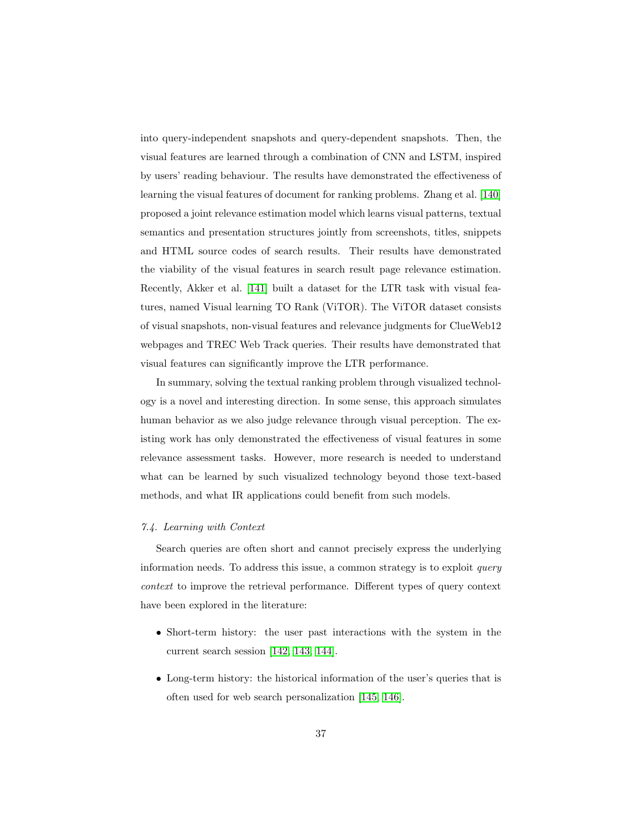into query-independent snapshots and query-dependent snapshots. Then, the visual features are learned through a combination of CNN and LSTM, inspired by users' reading behaviour. The results have demonstrated the effectiveness of learning the visual features of document for ranking problems. Zhang et al. [\[140\]](#page-58-1) proposed a joint relevance estimation model which learns visual patterns, textual semantics and presentation structures jointly from screenshots, titles, snippets and HTML source codes of search results. Their results have demonstrated the viability of the visual features in search result page relevance estimation. Recently, Akker et al. [\[141\]](#page-58-2) built a dataset for the LTR task with visual features, named Visual learning TO Rank (ViTOR). The ViTOR dataset consists of visual snapshots, non-visual features and relevance judgments for ClueWeb12 webpages and TREC Web Track queries. Their results have demonstrated that visual features can significantly improve the LTR performance.

In summary, solving the textual ranking problem through visualized technology is a novel and interesting direction. In some sense, this approach simulates human behavior as we also judge relevance through visual perception. The existing work has only demonstrated the effectiveness of visual features in some relevance assessment tasks. However, more research is needed to understand what can be learned by such visualized technology beyond those text-based methods, and what IR applications could benefit from such models.

### 7.4. Learning with Context

Search queries are often short and cannot precisely express the underlying information needs. To address this issue, a common strategy is to exploit query context to improve the retrieval performance. Different types of query context have been explored in the literature:

- Short-term history: the user past interactions with the system in the current search session [\[142,](#page-58-3) [143,](#page-58-4) [144\]](#page-58-5).
- Long-term history: the historical information of the user's queries that is often used for web search personalization [\[145,](#page-58-6) [146\]](#page-58-7).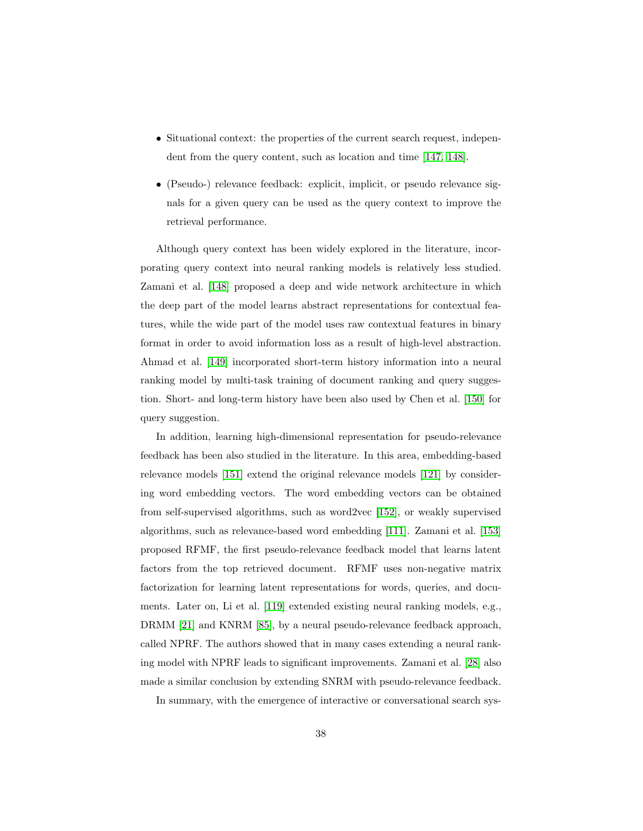- Situational context: the properties of the current search request, independent from the query content, such as location and time [\[147,](#page-59-0) [148\]](#page-59-1).
- (Pseudo-) relevance feedback: explicit, implicit, or pseudo relevance signals for a given query can be used as the query context to improve the retrieval performance.

Although query context has been widely explored in the literature, incorporating query context into neural ranking models is relatively less studied. Zamani et al. [\[148\]](#page-59-1) proposed a deep and wide network architecture in which the deep part of the model learns abstract representations for contextual features, while the wide part of the model uses raw contextual features in binary format in order to avoid information loss as a result of high-level abstraction. Ahmad et al. [\[149\]](#page-59-2) incorporated short-term history information into a neural ranking model by multi-task training of document ranking and query suggestion. Short- and long-term history have been also used by Chen et al. [\[150\]](#page-59-3) for query suggestion.

In addition, learning high-dimensional representation for pseudo-relevance feedback has been also studied in the literature. In this area, embedding-based relevance models [\[151\]](#page-59-4) extend the original relevance models [\[121\]](#page-55-5) by considering word embedding vectors. The word embedding vectors can be obtained from self-supervised algorithms, such as word2vec [\[152\]](#page-59-5), or weakly supervised algorithms, such as relevance-based word embedding [\[111\]](#page-54-2). Zamani et al. [\[153\]](#page-59-6) proposed RFMF, the first pseudo-relevance feedback model that learns latent factors from the top retrieved document. RFMF uses non-negative matrix factorization for learning latent representations for words, queries, and documents. Later on, Li et al. [\[119\]](#page-55-3) extended existing neural ranking models, e.g., DRMM [\[21\]](#page-42-5) and KNRM [\[85\]](#page-50-9), by a neural pseudo-relevance feedback approach, called NPRF. The authors showed that in many cases extending a neural ranking model with NPRF leads to significant improvements. Zamani et al. [\[28\]](#page-43-4) also made a similar conclusion by extending SNRM with pseudo-relevance feedback.

In summary, with the emergence of interactive or conversational search sys-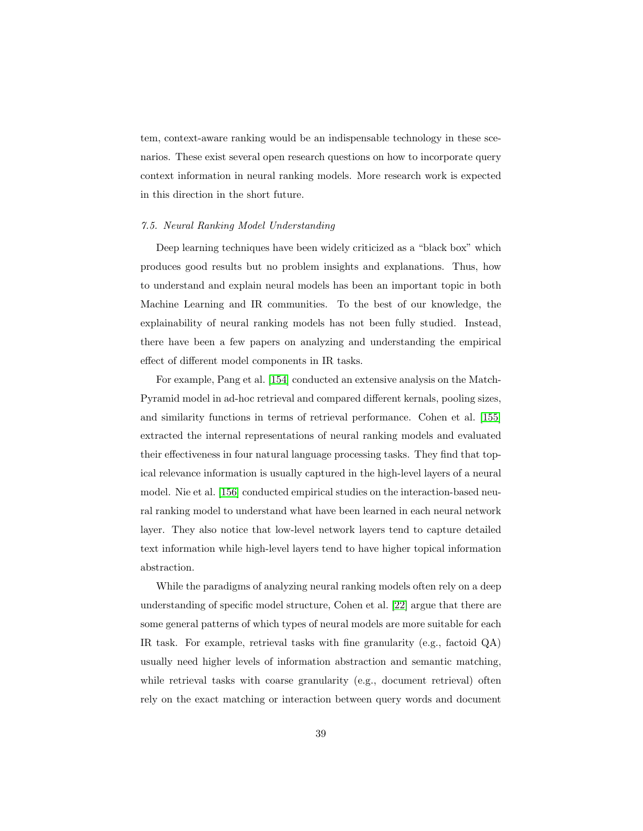tem, context-aware ranking would be an indispensable technology in these scenarios. These exist several open research questions on how to incorporate query context information in neural ranking models. More research work is expected in this direction in the short future.

### 7.5. Neural Ranking Model Understanding

Deep learning techniques have been widely criticized as a "black box" which produces good results but no problem insights and explanations. Thus, how to understand and explain neural models has been an important topic in both Machine Learning and IR communities. To the best of our knowledge, the explainability of neural ranking models has not been fully studied. Instead, there have been a few papers on analyzing and understanding the empirical effect of different model components in IR tasks.

For example, Pang et al. [\[154\]](#page-60-0) conducted an extensive analysis on the Match-Pyramid model in ad-hoc retrieval and compared different kernals, pooling sizes, and similarity functions in terms of retrieval performance. Cohen et al. [\[155\]](#page-60-1) extracted the internal representations of neural ranking models and evaluated their effectiveness in four natural language processing tasks. They find that topical relevance information is usually captured in the high-level layers of a neural model. Nie et al. [\[156\]](#page-60-2) conducted empirical studies on the interaction-based neural ranking model to understand what have been learned in each neural network layer. They also notice that low-level network layers tend to capture detailed text information while high-level layers tend to have higher topical information abstraction.

While the paradigms of analyzing neural ranking models often rely on a deep understanding of specific model structure, Cohen et al. [\[22\]](#page-42-6) argue that there are some general patterns of which types of neural models are more suitable for each IR task. For example, retrieval tasks with fine granularity (e.g., factoid QA) usually need higher levels of information abstraction and semantic matching, while retrieval tasks with coarse granularity (e.g., document retrieval) often rely on the exact matching or interaction between query words and document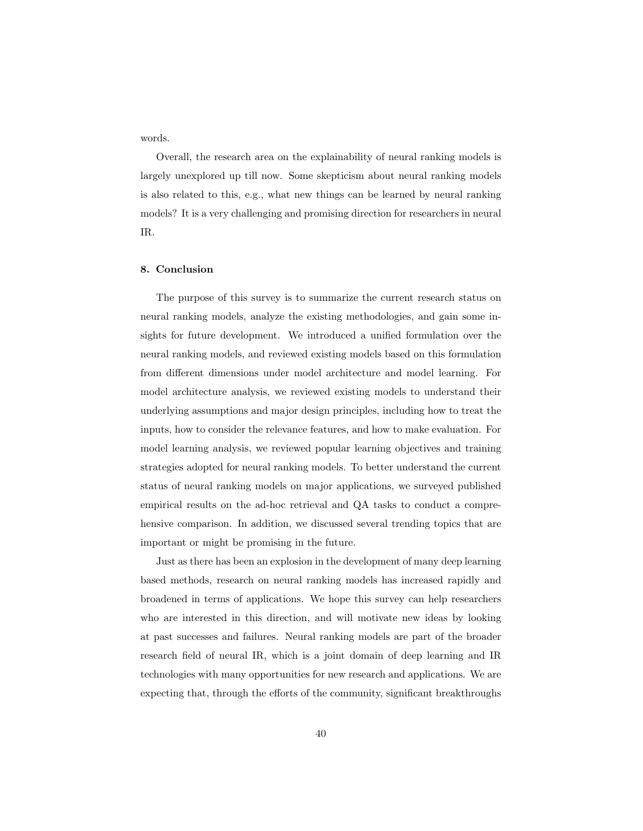words.

Overall, the research area on the explainability of neural ranking models is largely unexplored up till now. Some skepticism about neural ranking models is also related to this, e.g., what new things can be learned by neural ranking models? It is a very challenging and promising direction for researchers in neural IR.

### 8. Conclusion

The purpose of this survey is to summarize the current research status on neural ranking models, analyze the existing methodologies, and gain some insights for future development. We introduced a unified formulation over the neural ranking models, and reviewed existing models based on this formulation from different dimensions under model architecture and model learning. For model architecture analysis, we reviewed existing models to understand their underlying assumptions and major design principles, including how to treat the inputs, how to consider the relevance features, and how to make evaluation. For model learning analysis, we reviewed popular learning objectives and training strategies adopted for neural ranking models. To better understand the current status of neural ranking models on major applications, we surveyed published empirical results on the ad-hoc retrieval and QA tasks to conduct a comprehensive comparison. In addition, we discussed several trending topics that are important or might be promising in the future.

Just as there has been an explosion in the development of many deep learning based methods, research on neural ranking models has increased rapidly and broadened in terms of applications. We hope this survey can help researchers who are interested in this direction, and will motivate new ideas by looking at past successes and failures. Neural ranking models are part of the broader research field of neural IR, which is a joint domain of deep learning and IR technologies with many opportunities for new research and applications. We are expecting that, through the efforts of the community, significant breakthroughs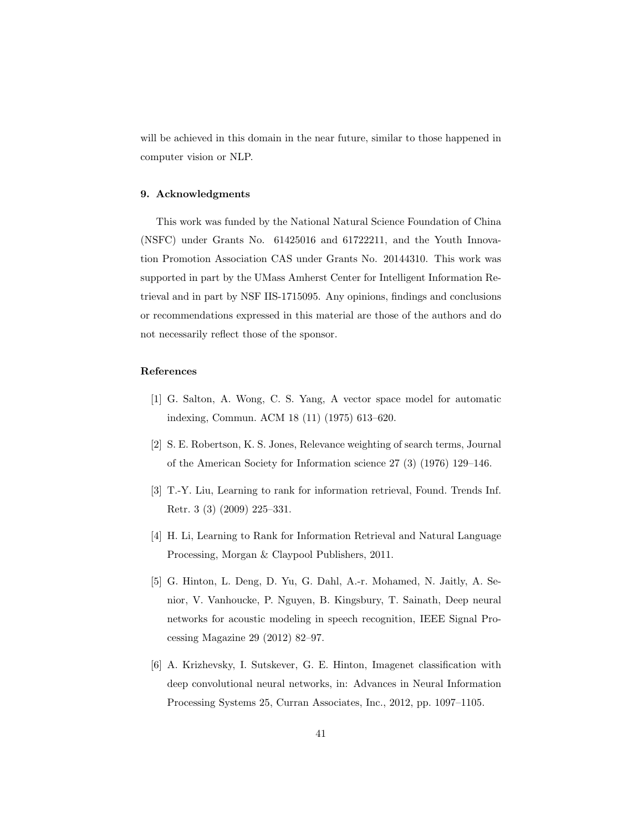will be achieved in this domain in the near future, similar to those happened in computer vision or NLP.

# 9. Acknowledgments

This work was funded by the National Natural Science Foundation of China (NSFC) under Grants No. 61425016 and 61722211, and the Youth Innovation Promotion Association CAS under Grants No. 20144310. This work was supported in part by the UMass Amherst Center for Intelligent Information Retrieval and in part by NSF IIS-1715095. Any opinions, findings and conclusions or recommendations expressed in this material are those of the authors and do not necessarily reflect those of the sponsor.

# References

- <span id="page-40-0"></span>[1] G. Salton, A. Wong, C. S. Yang, A vector space model for automatic indexing, Commun. ACM 18 (11) (1975) 613–620.
- <span id="page-40-1"></span>[2] S. E. Robertson, K. S. Jones, Relevance weighting of search terms, Journal of the American Society for Information science 27 (3) (1976) 129–146.
- <span id="page-40-2"></span>[3] T.-Y. Liu, Learning to rank for information retrieval, Found. Trends Inf. Retr. 3 (3) (2009) 225–331.
- <span id="page-40-3"></span>[4] H. Li, Learning to Rank for Information Retrieval and Natural Language Processing, Morgan & Claypool Publishers, 2011.
- <span id="page-40-4"></span>[5] G. Hinton, L. Deng, D. Yu, G. Dahl, A.-r. Mohamed, N. Jaitly, A. Senior, V. Vanhoucke, P. Nguyen, B. Kingsbury, T. Sainath, Deep neural networks for acoustic modeling in speech recognition, IEEE Signal Processing Magazine 29 (2012) 82–97.
- <span id="page-40-5"></span>[6] A. Krizhevsky, I. Sutskever, G. E. Hinton, Imagenet classification with deep convolutional neural networks, in: Advances in Neural Information Processing Systems 25, Curran Associates, Inc., 2012, pp. 1097–1105.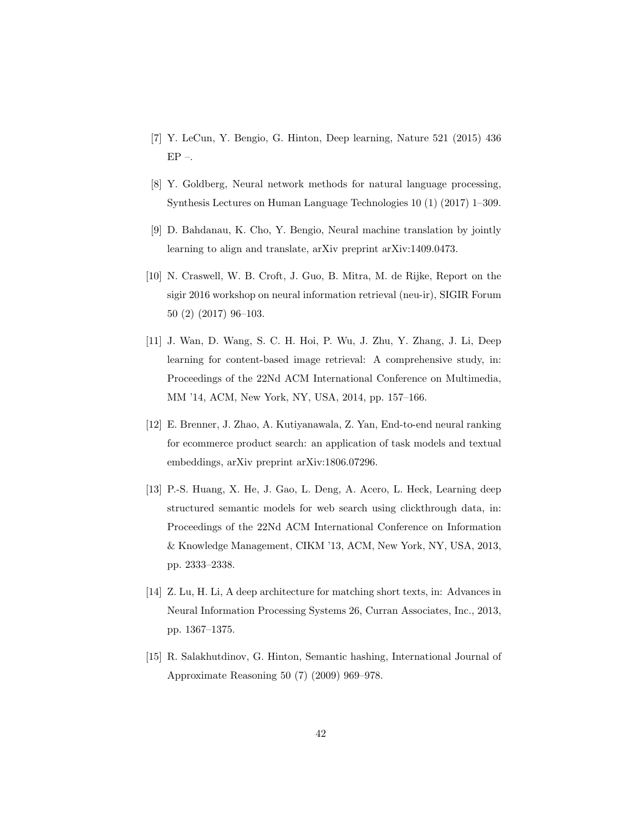- <span id="page-41-0"></span>[7] Y. LeCun, Y. Bengio, G. Hinton, Deep learning, Nature 521 (2015) 436 EP –.
- <span id="page-41-1"></span>[8] Y. Goldberg, Neural network methods for natural language processing, Synthesis Lectures on Human Language Technologies 10 (1) (2017) 1–309.
- <span id="page-41-2"></span>[9] D. Bahdanau, K. Cho, Y. Bengio, Neural machine translation by jointly learning to align and translate, arXiv preprint arXiv:1409.0473.
- <span id="page-41-3"></span>[10] N. Craswell, W. B. Croft, J. Guo, B. Mitra, M. de Rijke, Report on the sigir 2016 workshop on neural information retrieval (neu-ir), SIGIR Forum 50 (2) (2017) 96–103.
- <span id="page-41-4"></span>[11] J. Wan, D. Wang, S. C. H. Hoi, P. Wu, J. Zhu, Y. Zhang, J. Li, Deep learning for content-based image retrieval: A comprehensive study, in: Proceedings of the 22Nd ACM International Conference on Multimedia, MM '14, ACM, New York, NY, USA, 2014, pp. 157–166.
- <span id="page-41-5"></span>[12] E. Brenner, J. Zhao, A. Kutiyanawala, Z. Yan, End-to-end neural ranking for ecommerce product search: an application of task models and textual embeddings, arXiv preprint arXiv:1806.07296.
- <span id="page-41-6"></span>[13] P.-S. Huang, X. He, J. Gao, L. Deng, A. Acero, L. Heck, Learning deep structured semantic models for web search using clickthrough data, in: Proceedings of the 22Nd ACM International Conference on Information & Knowledge Management, CIKM '13, ACM, New York, NY, USA, 2013, pp. 2333–2338.
- <span id="page-41-7"></span>[14] Z. Lu, H. Li, A deep architecture for matching short texts, in: Advances in Neural Information Processing Systems 26, Curran Associates, Inc., 2013, pp. 1367–1375.
- <span id="page-41-8"></span>[15] R. Salakhutdinov, G. Hinton, Semantic hashing, International Journal of Approximate Reasoning 50 (7) (2009) 969–978.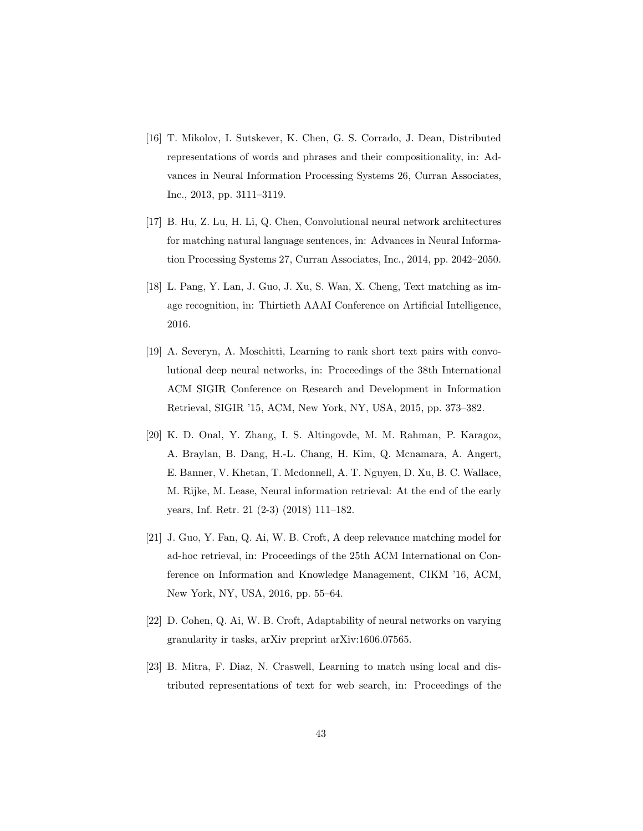- <span id="page-42-0"></span>[16] T. Mikolov, I. Sutskever, K. Chen, G. S. Corrado, J. Dean, Distributed representations of words and phrases and their compositionality, in: Advances in Neural Information Processing Systems 26, Curran Associates, Inc., 2013, pp. 3111–3119.
- <span id="page-42-1"></span>[17] B. Hu, Z. Lu, H. Li, Q. Chen, Convolutional neural network architectures for matching natural language sentences, in: Advances in Neural Information Processing Systems 27, Curran Associates, Inc., 2014, pp. 2042–2050.
- <span id="page-42-2"></span>[18] L. Pang, Y. Lan, J. Guo, J. Xu, S. Wan, X. Cheng, Text matching as image recognition, in: Thirtieth AAAI Conference on Artificial Intelligence, 2016.
- <span id="page-42-3"></span>[19] A. Severyn, A. Moschitti, Learning to rank short text pairs with convolutional deep neural networks, in: Proceedings of the 38th International ACM SIGIR Conference on Research and Development in Information Retrieval, SIGIR '15, ACM, New York, NY, USA, 2015, pp. 373–382.
- <span id="page-42-4"></span>[20] K. D. Onal, Y. Zhang, I. S. Altingovde, M. M. Rahman, P. Karagoz, A. Braylan, B. Dang, H.-L. Chang, H. Kim, Q. Mcnamara, A. Angert, E. Banner, V. Khetan, T. Mcdonnell, A. T. Nguyen, D. Xu, B. C. Wallace, M. Rijke, M. Lease, Neural information retrieval: At the end of the early years, Inf. Retr. 21 (2-3) (2018) 111–182.
- <span id="page-42-5"></span>[21] J. Guo, Y. Fan, Q. Ai, W. B. Croft, A deep relevance matching model for ad-hoc retrieval, in: Proceedings of the 25th ACM International on Conference on Information and Knowledge Management, CIKM '16, ACM, New York, NY, USA, 2016, pp. 55–64.
- <span id="page-42-6"></span>[22] D. Cohen, Q. Ai, W. B. Croft, Adaptability of neural networks on varying granularity ir tasks, arXiv preprint arXiv:1606.07565.
- <span id="page-42-7"></span>[23] B. Mitra, F. Diaz, N. Craswell, Learning to match using local and distributed representations of text for web search, in: Proceedings of the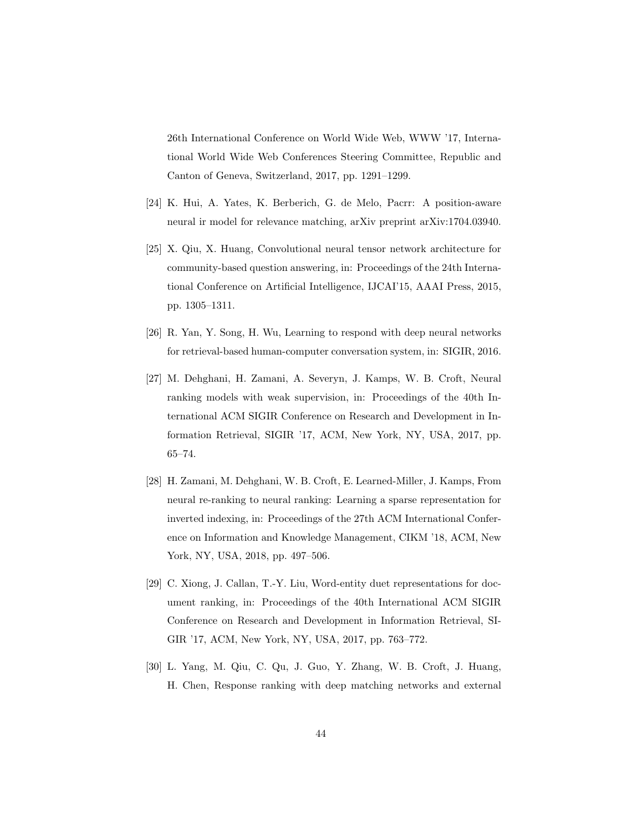26th International Conference on World Wide Web, WWW '17, International World Wide Web Conferences Steering Committee, Republic and Canton of Geneva, Switzerland, 2017, pp. 1291–1299.

- <span id="page-43-0"></span>[24] K. Hui, A. Yates, K. Berberich, G. de Melo, Pacrr: A position-aware neural ir model for relevance matching, arXiv preprint arXiv:1704.03940.
- <span id="page-43-1"></span>[25] X. Qiu, X. Huang, Convolutional neural tensor network architecture for community-based question answering, in: Proceedings of the 24th International Conference on Artificial Intelligence, IJCAI'15, AAAI Press, 2015, pp. 1305–1311.
- <span id="page-43-2"></span>[26] R. Yan, Y. Song, H. Wu, Learning to respond with deep neural networks for retrieval-based human-computer conversation system, in: SIGIR, 2016.
- <span id="page-43-3"></span>[27] M. Dehghani, H. Zamani, A. Severyn, J. Kamps, W. B. Croft, Neural ranking models with weak supervision, in: Proceedings of the 40th International ACM SIGIR Conference on Research and Development in Information Retrieval, SIGIR '17, ACM, New York, NY, USA, 2017, pp. 65–74.
- <span id="page-43-4"></span>[28] H. Zamani, M. Dehghani, W. B. Croft, E. Learned-Miller, J. Kamps, From neural re-ranking to neural ranking: Learning a sparse representation for inverted indexing, in: Proceedings of the 27th ACM International Conference on Information and Knowledge Management, CIKM '18, ACM, New York, NY, USA, 2018, pp. 497–506.
- <span id="page-43-5"></span>[29] C. Xiong, J. Callan, T.-Y. Liu, Word-entity duet representations for document ranking, in: Proceedings of the 40th International ACM SIGIR Conference on Research and Development in Information Retrieval, SI-GIR '17, ACM, New York, NY, USA, 2017, pp. 763–772.
- <span id="page-43-6"></span>[30] L. Yang, M. Qiu, C. Qu, J. Guo, Y. Zhang, W. B. Croft, J. Huang, H. Chen, Response ranking with deep matching networks and external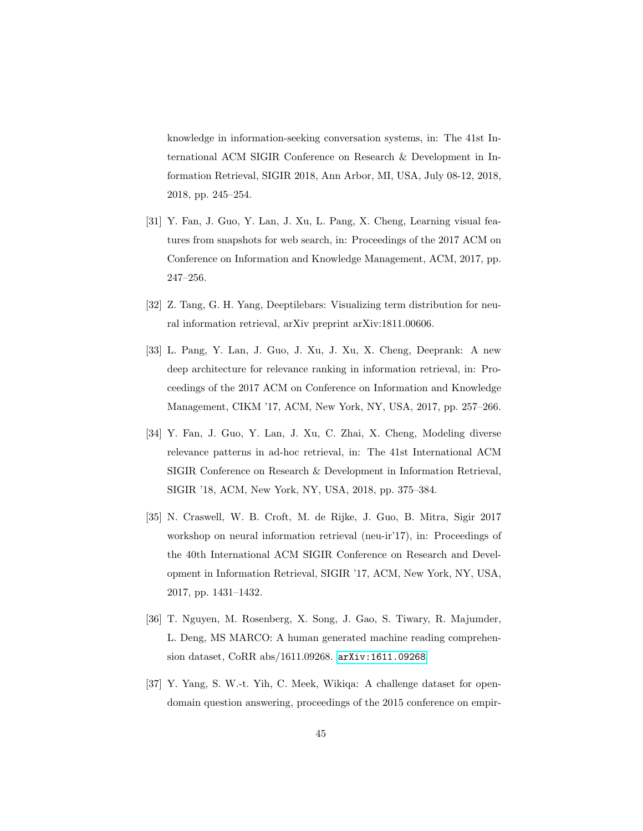knowledge in information-seeking conversation systems, in: The 41st International ACM SIGIR Conference on Research & Development in Information Retrieval, SIGIR 2018, Ann Arbor, MI, USA, July 08-12, 2018, 2018, pp. 245–254.

- <span id="page-44-0"></span>[31] Y. Fan, J. Guo, Y. Lan, J. Xu, L. Pang, X. Cheng, Learning visual features from snapshots for web search, in: Proceedings of the 2017 ACM on Conference on Information and Knowledge Management, ACM, 2017, pp. 247–256.
- <span id="page-44-1"></span>[32] Z. Tang, G. H. Yang, Deeptilebars: Visualizing term distribution for neural information retrieval, arXiv preprint arXiv:1811.00606.
- <span id="page-44-2"></span>[33] L. Pang, Y. Lan, J. Guo, J. Xu, J. Xu, X. Cheng, Deeprank: A new deep architecture for relevance ranking in information retrieval, in: Proceedings of the 2017 ACM on Conference on Information and Knowledge Management, CIKM '17, ACM, New York, NY, USA, 2017, pp. 257–266.
- <span id="page-44-3"></span>[34] Y. Fan, J. Guo, Y. Lan, J. Xu, C. Zhai, X. Cheng, Modeling diverse relevance patterns in ad-hoc retrieval, in: The 41st International ACM SIGIR Conference on Research & Development in Information Retrieval, SIGIR '18, ACM, New York, NY, USA, 2018, pp. 375–384.
- <span id="page-44-4"></span>[35] N. Craswell, W. B. Croft, M. de Rijke, J. Guo, B. Mitra, Sigir 2017 workshop on neural information retrieval (neu-ir'17), in: Proceedings of the 40th International ACM SIGIR Conference on Research and Development in Information Retrieval, SIGIR '17, ACM, New York, NY, USA, 2017, pp. 1431–1432.
- <span id="page-44-5"></span>[36] T. Nguyen, M. Rosenberg, X. Song, J. Gao, S. Tiwary, R. Majumder, L. Deng, MS MARCO: A human generated machine reading comprehension dataset, CoRR abs/1611.09268. [arXiv:1611.09268](http://arxiv.org/abs/1611.09268).
- <span id="page-44-6"></span>[37] Y. Yang, S. W.-t. Yih, C. Meek, Wikiqa: A challenge dataset for opendomain question answering, proceedings of the 2015 conference on empir-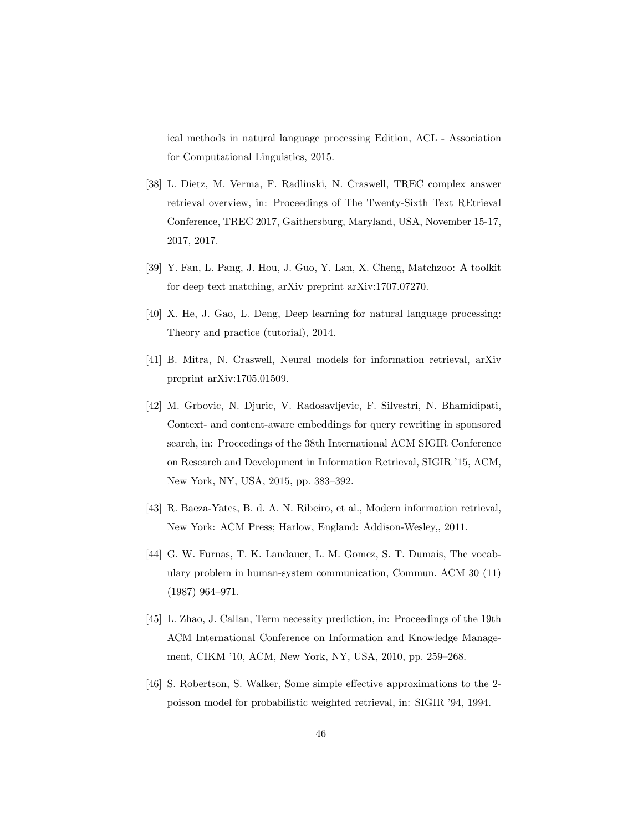ical methods in natural language processing Edition, ACL - Association for Computational Linguistics, 2015.

- <span id="page-45-0"></span>[38] L. Dietz, M. Verma, F. Radlinski, N. Craswell, TREC complex answer retrieval overview, in: Proceedings of The Twenty-Sixth Text REtrieval Conference, TREC 2017, Gaithersburg, Maryland, USA, November 15-17, 2017, 2017.
- <span id="page-45-1"></span>[39] Y. Fan, L. Pang, J. Hou, J. Guo, Y. Lan, X. Cheng, Matchzoo: A toolkit for deep text matching, arXiv preprint arXiv:1707.07270.
- <span id="page-45-2"></span>[40] X. He, J. Gao, L. Deng, Deep learning for natural language processing: Theory and practice (tutorial), 2014.
- <span id="page-45-3"></span>[41] B. Mitra, N. Craswell, Neural models for information retrieval, arXiv preprint arXiv:1705.01509.
- <span id="page-45-4"></span>[42] M. Grbovic, N. Djuric, V. Radosavljevic, F. Silvestri, N. Bhamidipati, Context- and content-aware embeddings for query rewriting in sponsored search, in: Proceedings of the 38th International ACM SIGIR Conference on Research and Development in Information Retrieval, SIGIR '15, ACM, New York, NY, USA, 2015, pp. 383–392.
- <span id="page-45-5"></span>[43] R. Baeza-Yates, B. d. A. N. Ribeiro, et al., Modern information retrieval, New York: ACM Press; Harlow, England: Addison-Wesley,, 2011.
- <span id="page-45-6"></span>[44] G. W. Furnas, T. K. Landauer, L. M. Gomez, S. T. Dumais, The vocabulary problem in human-system communication, Commun. ACM 30 (11) (1987) 964–971.
- <span id="page-45-7"></span>[45] L. Zhao, J. Callan, Term necessity prediction, in: Proceedings of the 19th ACM International Conference on Information and Knowledge Management, CIKM '10, ACM, New York, NY, USA, 2010, pp. 259–268.
- <span id="page-45-8"></span>[46] S. Robertson, S. Walker, Some simple effective approximations to the 2 poisson model for probabilistic weighted retrieval, in: SIGIR '94, 1994.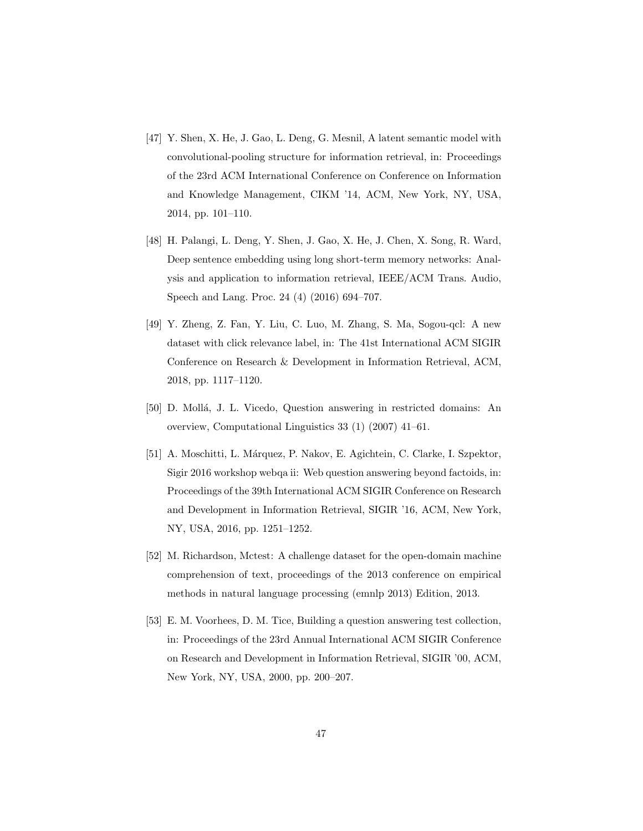- <span id="page-46-0"></span>[47] Y. Shen, X. He, J. Gao, L. Deng, G. Mesnil, A latent semantic model with convolutional-pooling structure for information retrieval, in: Proceedings of the 23rd ACM International Conference on Conference on Information and Knowledge Management, CIKM '14, ACM, New York, NY, USA, 2014, pp. 101–110.
- <span id="page-46-1"></span>[48] H. Palangi, L. Deng, Y. Shen, J. Gao, X. He, J. Chen, X. Song, R. Ward, Deep sentence embedding using long short-term memory networks: Analysis and application to information retrieval, IEEE/ACM Trans. Audio, Speech and Lang. Proc. 24 (4) (2016) 694–707.
- <span id="page-46-2"></span>[49] Y. Zheng, Z. Fan, Y. Liu, C. Luo, M. Zhang, S. Ma, Sogou-qcl: A new dataset with click relevance label, in: The 41st International ACM SIGIR Conference on Research & Development in Information Retrieval, ACM, 2018, pp. 1117–1120.
- <span id="page-46-3"></span>[50] D. Moll´a, J. L. Vicedo, Question answering in restricted domains: An overview, Computational Linguistics 33 (1) (2007) 41–61.
- <span id="page-46-4"></span>[51] A. Moschitti, L. M´arquez, P. Nakov, E. Agichtein, C. Clarke, I. Szpektor, Sigir 2016 workshop webqa ii: Web question answering beyond factoids, in: Proceedings of the 39th International ACM SIGIR Conference on Research and Development in Information Retrieval, SIGIR '16, ACM, New York, NY, USA, 2016, pp. 1251–1252.
- <span id="page-46-5"></span>[52] M. Richardson, Mctest: A challenge dataset for the open-domain machine comprehension of text, proceedings of the 2013 conference on empirical methods in natural language processing (emnlp 2013) Edition, 2013.
- <span id="page-46-6"></span>[53] E. M. Voorhees, D. M. Tice, Building a question answering test collection, in: Proceedings of the 23rd Annual International ACM SIGIR Conference on Research and Development in Information Retrieval, SIGIR '00, ACM, New York, NY, USA, 2000, pp. 200–207.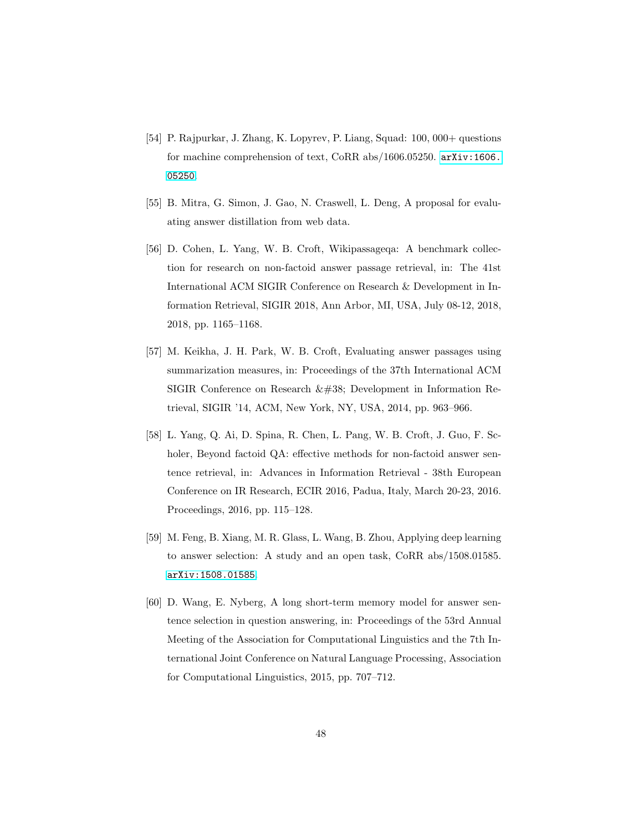- <span id="page-47-0"></span>[54] P. Rajpurkar, J. Zhang, K. Lopyrev, P. Liang, Squad: 100, 000+ questions for machine comprehension of text, CoRR abs/1606.05250. [arXiv:1606.](http://arxiv.org/abs/1606.05250) [05250](http://arxiv.org/abs/1606.05250).
- <span id="page-47-1"></span>[55] B. Mitra, G. Simon, J. Gao, N. Craswell, L. Deng, A proposal for evaluating answer distillation from web data.
- <span id="page-47-2"></span>[56] D. Cohen, L. Yang, W. B. Croft, Wikipassageqa: A benchmark collection for research on non-factoid answer passage retrieval, in: The 41st International ACM SIGIR Conference on Research & Development in Information Retrieval, SIGIR 2018, Ann Arbor, MI, USA, July 08-12, 2018, 2018, pp. 1165–1168.
- <span id="page-47-3"></span>[57] M. Keikha, J. H. Park, W. B. Croft, Evaluating answer passages using summarization measures, in: Proceedings of the 37th International ACM SIGIR Conference on Research  $\&\#38$ ; Development in Information Retrieval, SIGIR '14, ACM, New York, NY, USA, 2014, pp. 963–966.
- <span id="page-47-4"></span>[58] L. Yang, Q. Ai, D. Spina, R. Chen, L. Pang, W. B. Croft, J. Guo, F. Scholer, Beyond factoid QA: effective methods for non-factoid answer sentence retrieval, in: Advances in Information Retrieval - 38th European Conference on IR Research, ECIR 2016, Padua, Italy, March 20-23, 2016. Proceedings, 2016, pp. 115–128.
- <span id="page-47-5"></span>[59] M. Feng, B. Xiang, M. R. Glass, L. Wang, B. Zhou, Applying deep learning to answer selection: A study and an open task, CoRR abs/1508.01585. [arXiv:1508.01585](http://arxiv.org/abs/1508.01585).
- <span id="page-47-6"></span>[60] D. Wang, E. Nyberg, A long short-term memory model for answer sentence selection in question answering, in: Proceedings of the 53rd Annual Meeting of the Association for Computational Linguistics and the 7th International Joint Conference on Natural Language Processing, Association for Computational Linguistics, 2015, pp. 707–712.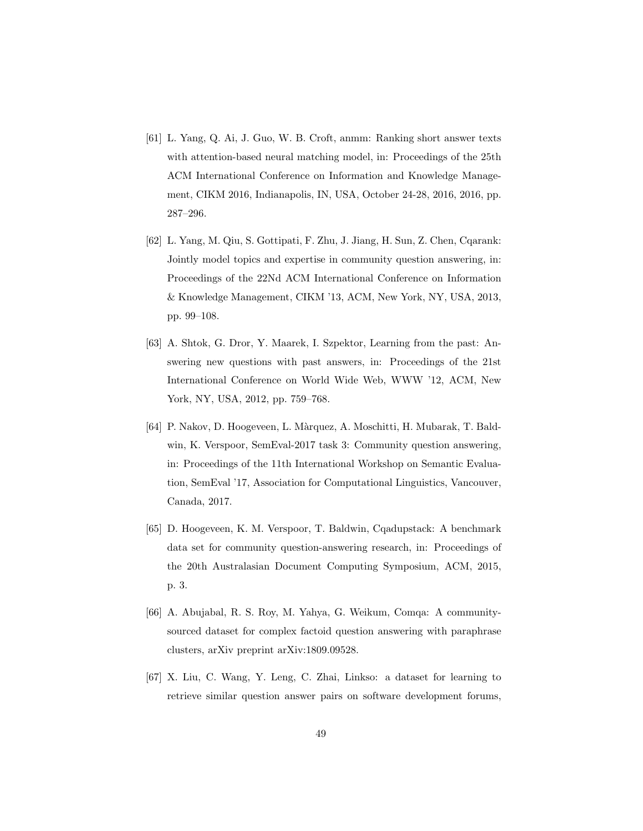- <span id="page-48-0"></span>[61] L. Yang, Q. Ai, J. Guo, W. B. Croft, anmm: Ranking short answer texts with attention-based neural matching model, in: Proceedings of the 25th ACM International Conference on Information and Knowledge Management, CIKM 2016, Indianapolis, IN, USA, October 24-28, 2016, 2016, pp. 287–296.
- <span id="page-48-1"></span>[62] L. Yang, M. Qiu, S. Gottipati, F. Zhu, J. Jiang, H. Sun, Z. Chen, Cqarank: Jointly model topics and expertise in community question answering, in: Proceedings of the 22Nd ACM International Conference on Information & Knowledge Management, CIKM '13, ACM, New York, NY, USA, 2013, pp. 99–108.
- <span id="page-48-2"></span>[63] A. Shtok, G. Dror, Y. Maarek, I. Szpektor, Learning from the past: Answering new questions with past answers, in: Proceedings of the 21st International Conference on World Wide Web, WWW '12, ACM, New York, NY, USA, 2012, pp. 759–768.
- <span id="page-48-3"></span>[64] P. Nakov, D. Hoogeveen, L. Màrquez, A. Moschitti, H. Mubarak, T. Baldwin, K. Verspoor, SemEval-2017 task 3: Community question answering, in: Proceedings of the 11th International Workshop on Semantic Evaluation, SemEval '17, Association for Computational Linguistics, Vancouver, Canada, 2017.
- <span id="page-48-4"></span>[65] D. Hoogeveen, K. M. Verspoor, T. Baldwin, Cqadupstack: A benchmark data set for community question-answering research, in: Proceedings of the 20th Australasian Document Computing Symposium, ACM, 2015, p. 3.
- <span id="page-48-5"></span>[66] A. Abujabal, R. S. Roy, M. Yahya, G. Weikum, Comqa: A communitysourced dataset for complex factoid question answering with paraphrase clusters, arXiv preprint arXiv:1809.09528.
- <span id="page-48-6"></span>[67] X. Liu, C. Wang, Y. Leng, C. Zhai, Linkso: a dataset for learning to retrieve similar question answer pairs on software development forums,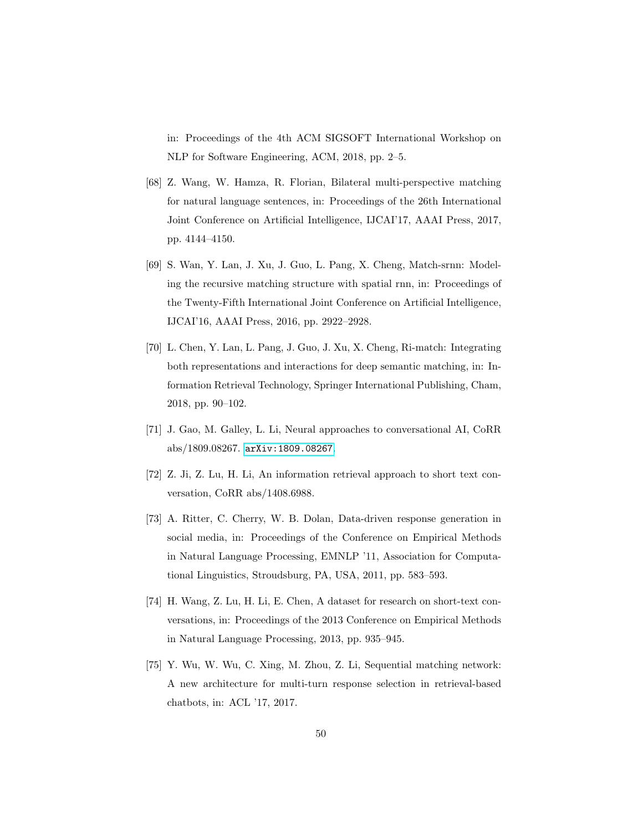in: Proceedings of the 4th ACM SIGSOFT International Workshop on NLP for Software Engineering, ACM, 2018, pp. 2–5.

- <span id="page-49-0"></span>[68] Z. Wang, W. Hamza, R. Florian, Bilateral multi-perspective matching for natural language sentences, in: Proceedings of the 26th International Joint Conference on Artificial Intelligence, IJCAI'17, AAAI Press, 2017, pp. 4144–4150.
- <span id="page-49-1"></span>[69] S. Wan, Y. Lan, J. Xu, J. Guo, L. Pang, X. Cheng, Match-srnn: Modeling the recursive matching structure with spatial rnn, in: Proceedings of the Twenty-Fifth International Joint Conference on Artificial Intelligence, IJCAI'16, AAAI Press, 2016, pp. 2922–2928.
- <span id="page-49-2"></span>[70] L. Chen, Y. Lan, L. Pang, J. Guo, J. Xu, X. Cheng, Ri-match: Integrating both representations and interactions for deep semantic matching, in: Information Retrieval Technology, Springer International Publishing, Cham, 2018, pp. 90–102.
- <span id="page-49-3"></span>[71] J. Gao, M. Galley, L. Li, Neural approaches to conversational AI, CoRR abs/1809.08267. [arXiv:1809.08267](http://arxiv.org/abs/1809.08267).
- <span id="page-49-4"></span>[72] Z. Ji, Z. Lu, H. Li, An information retrieval approach to short text conversation, CoRR abs/1408.6988.
- <span id="page-49-5"></span>[73] A. Ritter, C. Cherry, W. B. Dolan, Data-driven response generation in social media, in: Proceedings of the Conference on Empirical Methods in Natural Language Processing, EMNLP '11, Association for Computational Linguistics, Stroudsburg, PA, USA, 2011, pp. 583–593.
- <span id="page-49-6"></span>[74] H. Wang, Z. Lu, H. Li, E. Chen, A dataset for research on short-text conversations, in: Proceedings of the 2013 Conference on Empirical Methods in Natural Language Processing, 2013, pp. 935–945.
- <span id="page-49-7"></span>[75] Y. Wu, W. Wu, C. Xing, M. Zhou, Z. Li, Sequential matching network: A new architecture for multi-turn response selection in retrieval-based chatbots, in: ACL '17, 2017.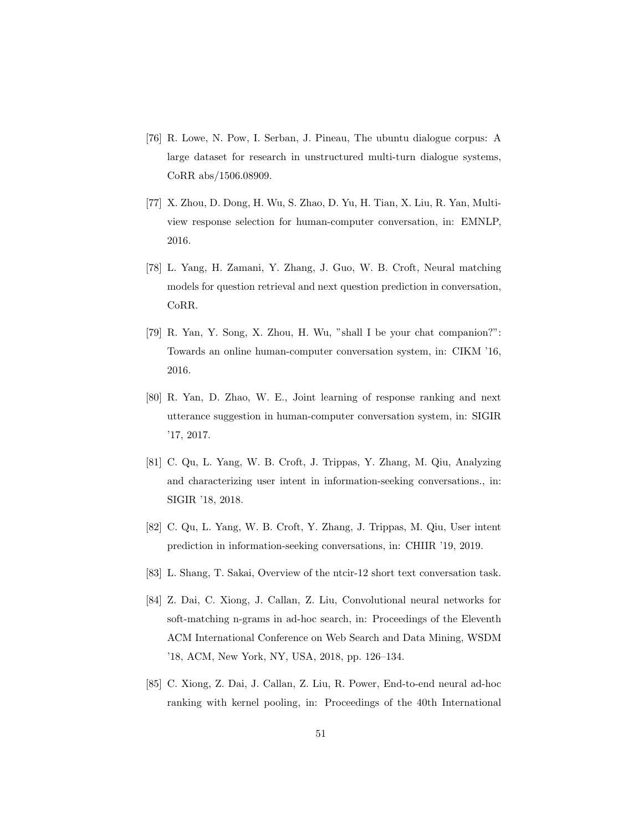- <span id="page-50-0"></span>[76] R. Lowe, N. Pow, I. Serban, J. Pineau, The ubuntu dialogue corpus: A large dataset for research in unstructured multi-turn dialogue systems, CoRR abs/1506.08909.
- <span id="page-50-1"></span>[77] X. Zhou, D. Dong, H. Wu, S. Zhao, D. Yu, H. Tian, X. Liu, R. Yan, Multiview response selection for human-computer conversation, in: EMNLP, 2016.
- <span id="page-50-2"></span>[78] L. Yang, H. Zamani, Y. Zhang, J. Guo, W. B. Croft, Neural matching models for question retrieval and next question prediction in conversation, CoRR.
- <span id="page-50-3"></span>[79] R. Yan, Y. Song, X. Zhou, H. Wu, "shall I be your chat companion?": Towards an online human-computer conversation system, in: CIKM '16, 2016.
- <span id="page-50-4"></span>[80] R. Yan, D. Zhao, W. E., Joint learning of response ranking and next utterance suggestion in human-computer conversation system, in: SIGIR '17, 2017.
- <span id="page-50-5"></span>[81] C. Qu, L. Yang, W. B. Croft, J. Trippas, Y. Zhang, M. Qiu, Analyzing and characterizing user intent in information-seeking conversations., in: SIGIR '18, 2018.
- <span id="page-50-6"></span>[82] C. Qu, L. Yang, W. B. Croft, Y. Zhang, J. Trippas, M. Qiu, User intent prediction in information-seeking conversations, in: CHIIR '19, 2019.
- <span id="page-50-7"></span>[83] L. Shang, T. Sakai, Overview of the ntcir-12 short text conversation task.
- <span id="page-50-8"></span>[84] Z. Dai, C. Xiong, J. Callan, Z. Liu, Convolutional neural networks for soft-matching n-grams in ad-hoc search, in: Proceedings of the Eleventh ACM International Conference on Web Search and Data Mining, WSDM '18, ACM, New York, NY, USA, 2018, pp. 126–134.
- <span id="page-50-9"></span>[85] C. Xiong, Z. Dai, J. Callan, Z. Liu, R. Power, End-to-end neural ad-hoc ranking with kernel pooling, in: Proceedings of the 40th International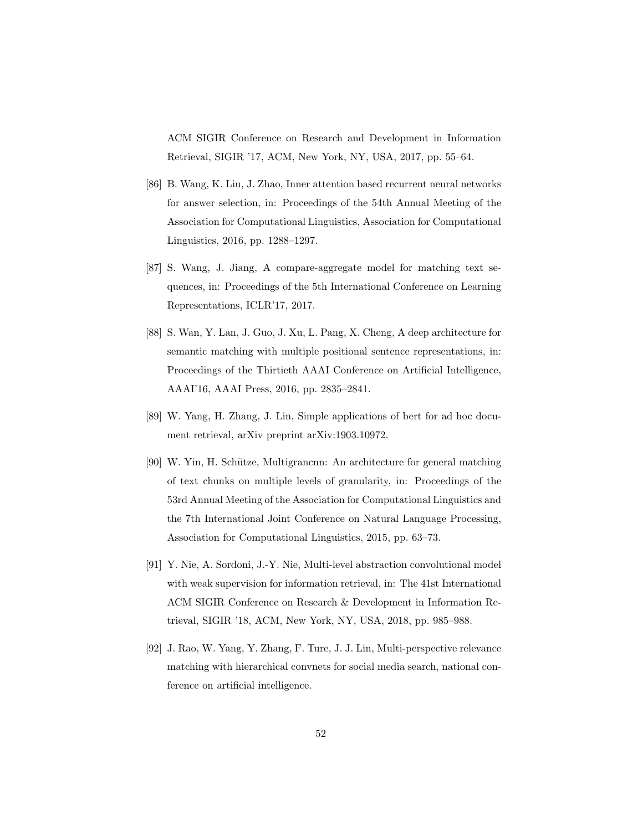ACM SIGIR Conference on Research and Development in Information Retrieval, SIGIR '17, ACM, New York, NY, USA, 2017, pp. 55–64.

- <span id="page-51-0"></span>[86] B. Wang, K. Liu, J. Zhao, Inner attention based recurrent neural networks for answer selection, in: Proceedings of the 54th Annual Meeting of the Association for Computational Linguistics, Association for Computational Linguistics, 2016, pp. 1288–1297.
- <span id="page-51-1"></span>[87] S. Wang, J. Jiang, A compare-aggregate model for matching text sequences, in: Proceedings of the 5th International Conference on Learning Representations, ICLR'17, 2017.
- <span id="page-51-2"></span>[88] S. Wan, Y. Lan, J. Guo, J. Xu, L. Pang, X. Cheng, A deep architecture for semantic matching with multiple positional sentence representations, in: Proceedings of the Thirtieth AAAI Conference on Artificial Intelligence, AAAI'16, AAAI Press, 2016, pp. 2835–2841.
- <span id="page-51-3"></span>[89] W. Yang, H. Zhang, J. Lin, Simple applications of bert for ad hoc document retrieval, arXiv preprint arXiv:1903.10972.
- <span id="page-51-4"></span>[90] W. Yin, H. Schütze, Multigrancnn: An architecture for general matching of text chunks on multiple levels of granularity, in: Proceedings of the 53rd Annual Meeting of the Association for Computational Linguistics and the 7th International Joint Conference on Natural Language Processing, Association for Computational Linguistics, 2015, pp. 63–73.
- <span id="page-51-5"></span>[91] Y. Nie, A. Sordoni, J.-Y. Nie, Multi-level abstraction convolutional model with weak supervision for information retrieval, in: The 41st International ACM SIGIR Conference on Research & Development in Information Retrieval, SIGIR '18, ACM, New York, NY, USA, 2018, pp. 985–988.
- <span id="page-51-6"></span>[92] J. Rao, W. Yang, Y. Zhang, F. Ture, J. J. Lin, Multi-perspective relevance matching with hierarchical convnets for social media search, national conference on artificial intelligence.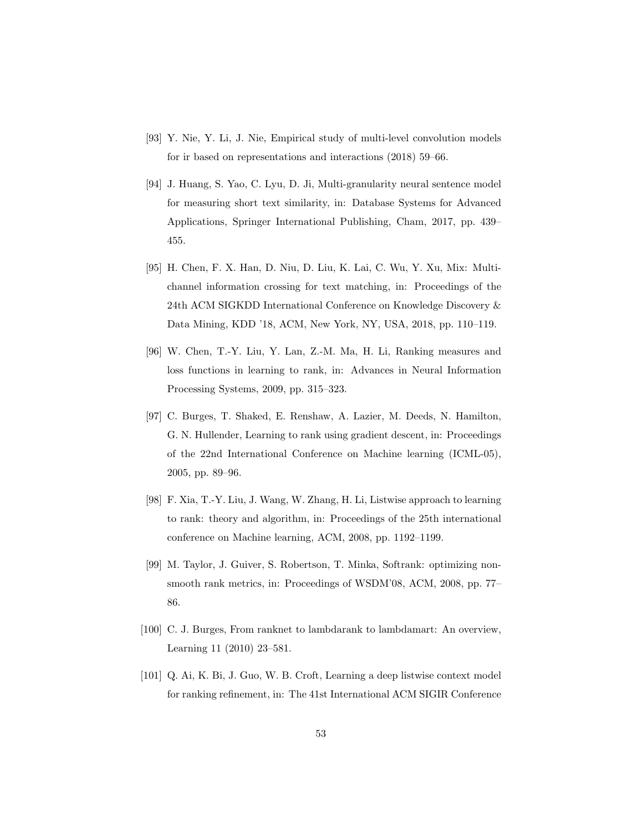- <span id="page-52-0"></span>[93] Y. Nie, Y. Li, J. Nie, Empirical study of multi-level convolution models for ir based on representations and interactions (2018) 59–66.
- <span id="page-52-1"></span>[94] J. Huang, S. Yao, C. Lyu, D. Ji, Multi-granularity neural sentence model for measuring short text similarity, in: Database Systems for Advanced Applications, Springer International Publishing, Cham, 2017, pp. 439– 455.
- <span id="page-52-2"></span>[95] H. Chen, F. X. Han, D. Niu, D. Liu, K. Lai, C. Wu, Y. Xu, Mix: Multichannel information crossing for text matching, in: Proceedings of the 24th ACM SIGKDD International Conference on Knowledge Discovery & Data Mining, KDD '18, ACM, New York, NY, USA, 2018, pp. 110–119.
- <span id="page-52-3"></span>[96] W. Chen, T.-Y. Liu, Y. Lan, Z.-M. Ma, H. Li, Ranking measures and loss functions in learning to rank, in: Advances in Neural Information Processing Systems, 2009, pp. 315–323.
- <span id="page-52-4"></span>[97] C. Burges, T. Shaked, E. Renshaw, A. Lazier, M. Deeds, N. Hamilton, G. N. Hullender, Learning to rank using gradient descent, in: Proceedings of the 22nd International Conference on Machine learning (ICML-05), 2005, pp. 89–96.
- <span id="page-52-5"></span>[98] F. Xia, T.-Y. Liu, J. Wang, W. Zhang, H. Li, Listwise approach to learning to rank: theory and algorithm, in: Proceedings of the 25th international conference on Machine learning, ACM, 2008, pp. 1192–1199.
- <span id="page-52-6"></span>[99] M. Taylor, J. Guiver, S. Robertson, T. Minka, Softrank: optimizing nonsmooth rank metrics, in: Proceedings of WSDM'08, ACM, 2008, pp. 77– 86.
- <span id="page-52-7"></span>[100] C. J. Burges, From ranknet to lambdarank to lambdamart: An overview, Learning 11 (2010) 23–581.
- <span id="page-52-8"></span>[101] Q. Ai, K. Bi, J. Guo, W. B. Croft, Learning a deep listwise context model for ranking refinement, in: The 41st International ACM SIGIR Conference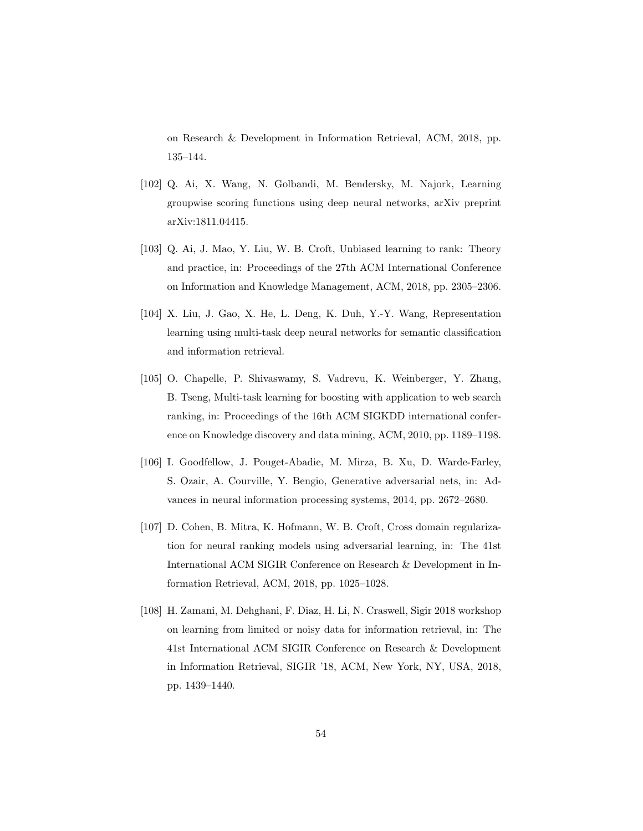on Research & Development in Information Retrieval, ACM, 2018, pp. 135–144.

- <span id="page-53-0"></span>[102] Q. Ai, X. Wang, N. Golbandi, M. Bendersky, M. Najork, Learning groupwise scoring functions using deep neural networks, arXiv preprint arXiv:1811.04415.
- <span id="page-53-1"></span>[103] Q. Ai, J. Mao, Y. Liu, W. B. Croft, Unbiased learning to rank: Theory and practice, in: Proceedings of the 27th ACM International Conference on Information and Knowledge Management, ACM, 2018, pp. 2305–2306.
- <span id="page-53-2"></span>[104] X. Liu, J. Gao, X. He, L. Deng, K. Duh, Y.-Y. Wang, Representation learning using multi-task deep neural networks for semantic classification and information retrieval.
- <span id="page-53-3"></span>[105] O. Chapelle, P. Shivaswamy, S. Vadrevu, K. Weinberger, Y. Zhang, B. Tseng, Multi-task learning for boosting with application to web search ranking, in: Proceedings of the 16th ACM SIGKDD international conference on Knowledge discovery and data mining, ACM, 2010, pp. 1189–1198.
- <span id="page-53-4"></span>[106] I. Goodfellow, J. Pouget-Abadie, M. Mirza, B. Xu, D. Warde-Farley, S. Ozair, A. Courville, Y. Bengio, Generative adversarial nets, in: Advances in neural information processing systems, 2014, pp. 2672–2680.
- <span id="page-53-5"></span>[107] D. Cohen, B. Mitra, K. Hofmann, W. B. Croft, Cross domain regularization for neural ranking models using adversarial learning, in: The 41st International ACM SIGIR Conference on Research & Development in Information Retrieval, ACM, 2018, pp. 1025–1028.
- <span id="page-53-6"></span>[108] H. Zamani, M. Dehghani, F. Diaz, H. Li, N. Craswell, Sigir 2018 workshop on learning from limited or noisy data for information retrieval, in: The 41st International ACM SIGIR Conference on Research & Development in Information Retrieval, SIGIR '18, ACM, New York, NY, USA, 2018, pp. 1439–1440.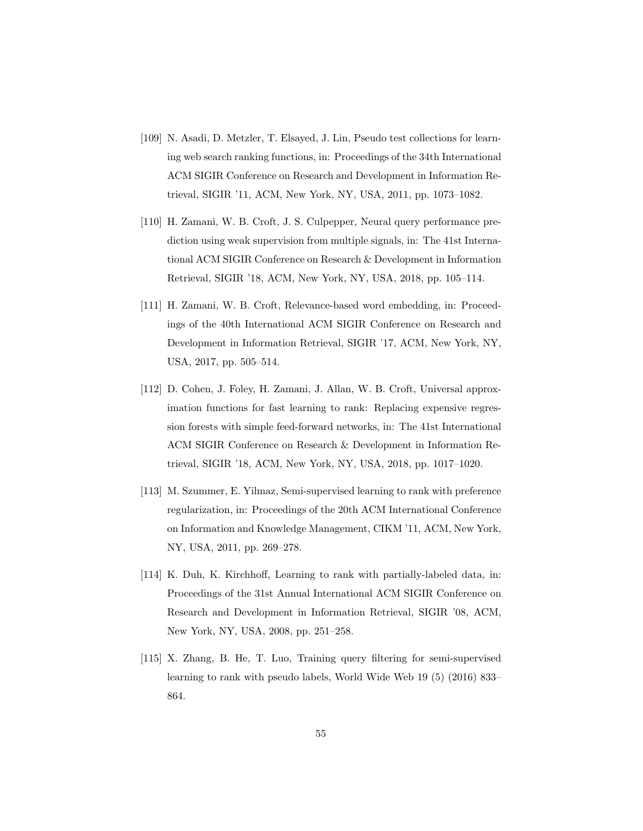- <span id="page-54-0"></span>[109] N. Asadi, D. Metzler, T. Elsayed, J. Lin, Pseudo test collections for learning web search ranking functions, in: Proceedings of the 34th International ACM SIGIR Conference on Research and Development in Information Retrieval, SIGIR '11, ACM, New York, NY, USA, 2011, pp. 1073–1082.
- <span id="page-54-1"></span>[110] H. Zamani, W. B. Croft, J. S. Culpepper, Neural query performance prediction using weak supervision from multiple signals, in: The 41st International ACM SIGIR Conference on Research & Development in Information Retrieval, SIGIR '18, ACM, New York, NY, USA, 2018, pp. 105–114.
- <span id="page-54-2"></span>[111] H. Zamani, W. B. Croft, Relevance-based word embedding, in: Proceedings of the 40th International ACM SIGIR Conference on Research and Development in Information Retrieval, SIGIR '17, ACM, New York, NY, USA, 2017, pp. 505–514.
- <span id="page-54-3"></span>[112] D. Cohen, J. Foley, H. Zamani, J. Allan, W. B. Croft, Universal approximation functions for fast learning to rank: Replacing expensive regression forests with simple feed-forward networks, in: The 41st International ACM SIGIR Conference on Research & Development in Information Retrieval, SIGIR '18, ACM, New York, NY, USA, 2018, pp. 1017–1020.
- <span id="page-54-4"></span>[113] M. Szummer, E. Yilmaz, Semi-supervised learning to rank with preference regularization, in: Proceedings of the 20th ACM International Conference on Information and Knowledge Management, CIKM '11, ACM, New York, NY, USA, 2011, pp. 269–278.
- <span id="page-54-5"></span>[114] K. Duh, K. Kirchhoff, Learning to rank with partially-labeled data, in: Proceedings of the 31st Annual International ACM SIGIR Conference on Research and Development in Information Retrieval, SIGIR '08, ACM, New York, NY, USA, 2008, pp. 251–258.
- <span id="page-54-6"></span>[115] X. Zhang, B. He, T. Luo, Training query filtering for semi-supervised learning to rank with pseudo labels, World Wide Web 19 (5) (2016) 833– 864.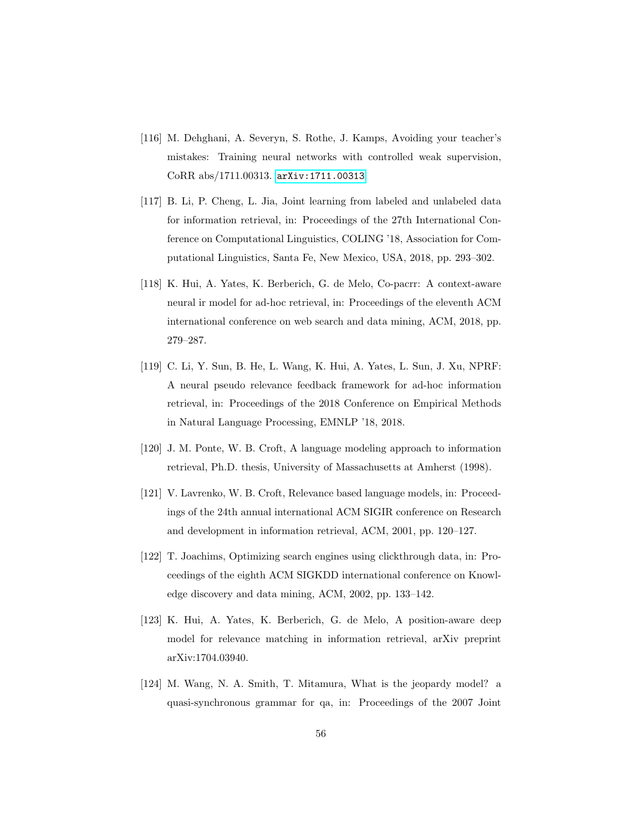- <span id="page-55-0"></span>[116] M. Dehghani, A. Severyn, S. Rothe, J. Kamps, Avoiding your teacher's mistakes: Training neural networks with controlled weak supervision, CoRR abs/1711.00313. [arXiv:1711.00313](http://arxiv.org/abs/1711.00313).
- <span id="page-55-1"></span>[117] B. Li, P. Cheng, L. Jia, Joint learning from labeled and unlabeled data for information retrieval, in: Proceedings of the 27th International Conference on Computational Linguistics, COLING '18, Association for Computational Linguistics, Santa Fe, New Mexico, USA, 2018, pp. 293–302.
- <span id="page-55-2"></span>[118] K. Hui, A. Yates, K. Berberich, G. de Melo, Co-pacrr: A context-aware neural ir model for ad-hoc retrieval, in: Proceedings of the eleventh ACM international conference on web search and data mining, ACM, 2018, pp. 279–287.
- <span id="page-55-3"></span>[119] C. Li, Y. Sun, B. He, L. Wang, K. Hui, A. Yates, L. Sun, J. Xu, NPRF: A neural pseudo relevance feedback framework for ad-hoc information retrieval, in: Proceedings of the 2018 Conference on Empirical Methods in Natural Language Processing, EMNLP '18, 2018.
- <span id="page-55-4"></span>[120] J. M. Ponte, W. B. Croft, A language modeling approach to information retrieval, Ph.D. thesis, University of Massachusetts at Amherst (1998).
- <span id="page-55-5"></span>[121] V. Lavrenko, W. B. Croft, Relevance based language models, in: Proceedings of the 24th annual international ACM SIGIR conference on Research and development in information retrieval, ACM, 2001, pp. 120–127.
- <span id="page-55-6"></span>[122] T. Joachims, Optimizing search engines using clickthrough data, in: Proceedings of the eighth ACM SIGKDD international conference on Knowledge discovery and data mining, ACM, 2002, pp. 133–142.
- <span id="page-55-7"></span>[123] K. Hui, A. Yates, K. Berberich, G. de Melo, A position-aware deep model for relevance matching in information retrieval, arXiv preprint arXiv:1704.03940.
- <span id="page-55-8"></span>[124] M. Wang, N. A. Smith, T. Mitamura, What is the jeopardy model? a quasi-synchronous grammar for qa, in: Proceedings of the 2007 Joint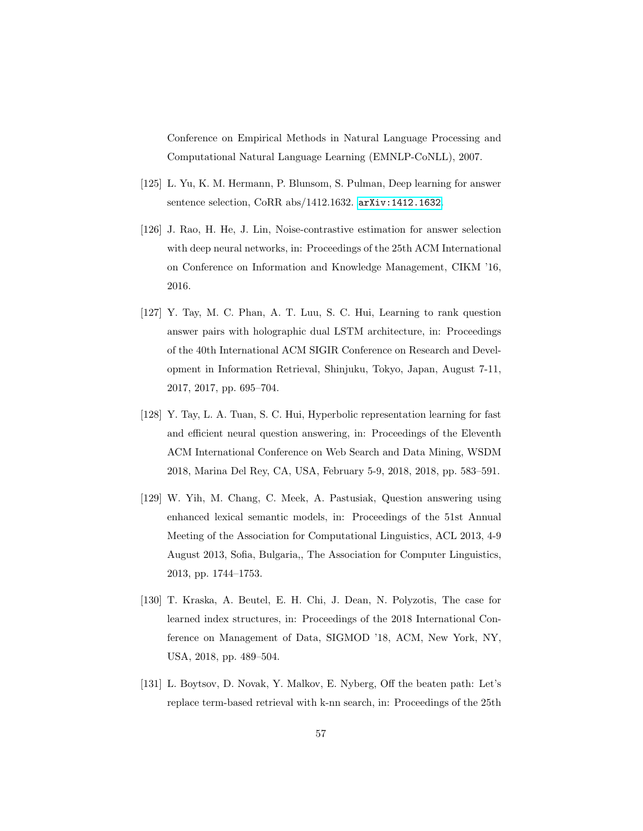Conference on Empirical Methods in Natural Language Processing and Computational Natural Language Learning (EMNLP-CoNLL), 2007.

- <span id="page-56-0"></span>[125] L. Yu, K. M. Hermann, P. Blunsom, S. Pulman, Deep learning for answer sentence selection, CoRR abs/1412.1632. [arXiv:1412.1632](http://arxiv.org/abs/1412.1632).
- <span id="page-56-1"></span>[126] J. Rao, H. He, J. Lin, Noise-contrastive estimation for answer selection with deep neural networks, in: Proceedings of the 25th ACM International on Conference on Information and Knowledge Management, CIKM '16, 2016.
- <span id="page-56-2"></span>[127] Y. Tay, M. C. Phan, A. T. Luu, S. C. Hui, Learning to rank question answer pairs with holographic dual LSTM architecture, in: Proceedings of the 40th International ACM SIGIR Conference on Research and Development in Information Retrieval, Shinjuku, Tokyo, Japan, August 7-11, 2017, 2017, pp. 695–704.
- <span id="page-56-3"></span>[128] Y. Tay, L. A. Tuan, S. C. Hui, Hyperbolic representation learning for fast and efficient neural question answering, in: Proceedings of the Eleventh ACM International Conference on Web Search and Data Mining, WSDM 2018, Marina Del Rey, CA, USA, February 5-9, 2018, 2018, pp. 583–591.
- <span id="page-56-4"></span>[129] W. Yih, M. Chang, C. Meek, A. Pastusiak, Question answering using enhanced lexical semantic models, in: Proceedings of the 51st Annual Meeting of the Association for Computational Linguistics, ACL 2013, 4-9 August 2013, Sofia, Bulgaria,, The Association for Computer Linguistics, 2013, pp. 1744–1753.
- <span id="page-56-5"></span>[130] T. Kraska, A. Beutel, E. H. Chi, J. Dean, N. Polyzotis, The case for learned index structures, in: Proceedings of the 2018 International Conference on Management of Data, SIGMOD '18, ACM, New York, NY, USA, 2018, pp. 489–504.
- <span id="page-56-6"></span>[131] L. Boytsov, D. Novak, Y. Malkov, E. Nyberg, Off the beaten path: Let's replace term-based retrieval with k-nn search, in: Proceedings of the 25th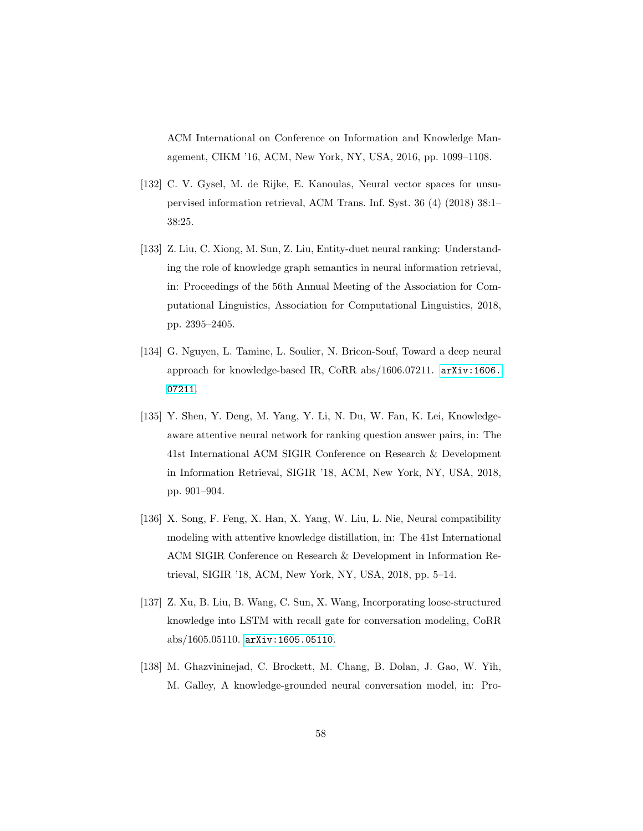ACM International on Conference on Information and Knowledge Management, CIKM '16, ACM, New York, NY, USA, 2016, pp. 1099–1108.

- <span id="page-57-0"></span>[132] C. V. Gysel, M. de Rijke, E. Kanoulas, Neural vector spaces for unsupervised information retrieval, ACM Trans. Inf. Syst. 36 (4) (2018) 38:1– 38:25.
- <span id="page-57-1"></span>[133] Z. Liu, C. Xiong, M. Sun, Z. Liu, Entity-duet neural ranking: Understanding the role of knowledge graph semantics in neural information retrieval, in: Proceedings of the 56th Annual Meeting of the Association for Computational Linguistics, Association for Computational Linguistics, 2018, pp. 2395–2405.
- <span id="page-57-2"></span>[134] G. Nguyen, L. Tamine, L. Soulier, N. Bricon-Souf, Toward a deep neural approach for knowledge-based IR, CoRR abs/1606.07211. [arXiv:1606.](http://arxiv.org/abs/1606.07211) [07211](http://arxiv.org/abs/1606.07211).
- <span id="page-57-3"></span>[135] Y. Shen, Y. Deng, M. Yang, Y. Li, N. Du, W. Fan, K. Lei, Knowledgeaware attentive neural network for ranking question answer pairs, in: The 41st International ACM SIGIR Conference on Research & Development in Information Retrieval, SIGIR '18, ACM, New York, NY, USA, 2018, pp. 901–904.
- <span id="page-57-4"></span>[136] X. Song, F. Feng, X. Han, X. Yang, W. Liu, L. Nie, Neural compatibility modeling with attentive knowledge distillation, in: The 41st International ACM SIGIR Conference on Research & Development in Information Retrieval, SIGIR '18, ACM, New York, NY, USA, 2018, pp. 5–14.
- <span id="page-57-5"></span>[137] Z. Xu, B. Liu, B. Wang, C. Sun, X. Wang, Incorporating loose-structured knowledge into LSTM with recall gate for conversation modeling, CoRR abs/1605.05110. [arXiv:1605.05110](http://arxiv.org/abs/1605.05110).
- <span id="page-57-6"></span>[138] M. Ghazvininejad, C. Brockett, M. Chang, B. Dolan, J. Gao, W. Yih, M. Galley, A knowledge-grounded neural conversation model, in: Pro-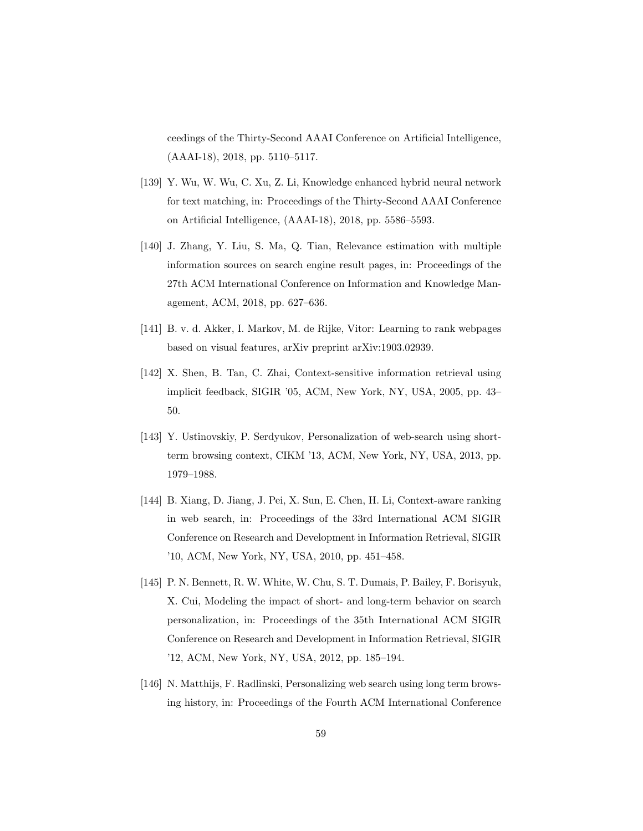ceedings of the Thirty-Second AAAI Conference on Artificial Intelligence, (AAAI-18), 2018, pp. 5110–5117.

- <span id="page-58-0"></span>[139] Y. Wu, W. Wu, C. Xu, Z. Li, Knowledge enhanced hybrid neural network for text matching, in: Proceedings of the Thirty-Second AAAI Conference on Artificial Intelligence, (AAAI-18), 2018, pp. 5586–5593.
- <span id="page-58-1"></span>[140] J. Zhang, Y. Liu, S. Ma, Q. Tian, Relevance estimation with multiple information sources on search engine result pages, in: Proceedings of the 27th ACM International Conference on Information and Knowledge Management, ACM, 2018, pp. 627–636.
- <span id="page-58-2"></span>[141] B. v. d. Akker, I. Markov, M. de Rijke, Vitor: Learning to rank webpages based on visual features, arXiv preprint arXiv:1903.02939.
- <span id="page-58-3"></span>[142] X. Shen, B. Tan, C. Zhai, Context-sensitive information retrieval using implicit feedback, SIGIR '05, ACM, New York, NY, USA, 2005, pp. 43– 50.
- <span id="page-58-4"></span>[143] Y. Ustinovskiy, P. Serdyukov, Personalization of web-search using shortterm browsing context, CIKM '13, ACM, New York, NY, USA, 2013, pp. 1979–1988.
- <span id="page-58-5"></span>[144] B. Xiang, D. Jiang, J. Pei, X. Sun, E. Chen, H. Li, Context-aware ranking in web search, in: Proceedings of the 33rd International ACM SIGIR Conference on Research and Development in Information Retrieval, SIGIR '10, ACM, New York, NY, USA, 2010, pp. 451–458.
- <span id="page-58-6"></span>[145] P. N. Bennett, R. W. White, W. Chu, S. T. Dumais, P. Bailey, F. Borisyuk, X. Cui, Modeling the impact of short- and long-term behavior on search personalization, in: Proceedings of the 35th International ACM SIGIR Conference on Research and Development in Information Retrieval, SIGIR '12, ACM, New York, NY, USA, 2012, pp. 185–194.
- <span id="page-58-7"></span>[146] N. Matthijs, F. Radlinski, Personalizing web search using long term browsing history, in: Proceedings of the Fourth ACM International Conference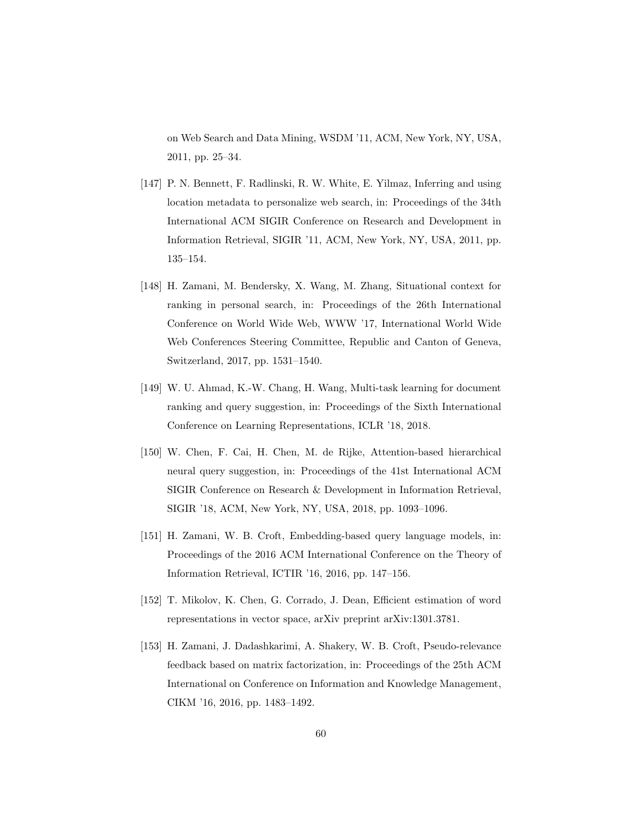on Web Search and Data Mining, WSDM '11, ACM, New York, NY, USA, 2011, pp. 25–34.

- <span id="page-59-0"></span>[147] P. N. Bennett, F. Radlinski, R. W. White, E. Yilmaz, Inferring and using location metadata to personalize web search, in: Proceedings of the 34th International ACM SIGIR Conference on Research and Development in Information Retrieval, SIGIR '11, ACM, New York, NY, USA, 2011, pp. 135–154.
- <span id="page-59-1"></span>[148] H. Zamani, M. Bendersky, X. Wang, M. Zhang, Situational context for ranking in personal search, in: Proceedings of the 26th International Conference on World Wide Web, WWW '17, International World Wide Web Conferences Steering Committee, Republic and Canton of Geneva, Switzerland, 2017, pp. 1531–1540.
- <span id="page-59-2"></span>[149] W. U. Ahmad, K.-W. Chang, H. Wang, Multi-task learning for document ranking and query suggestion, in: Proceedings of the Sixth International Conference on Learning Representations, ICLR '18, 2018.
- <span id="page-59-3"></span>[150] W. Chen, F. Cai, H. Chen, M. de Rijke, Attention-based hierarchical neural query suggestion, in: Proceedings of the 41st International ACM SIGIR Conference on Research & Development in Information Retrieval, SIGIR '18, ACM, New York, NY, USA, 2018, pp. 1093–1096.
- <span id="page-59-4"></span>[151] H. Zamani, W. B. Croft, Embedding-based query language models, in: Proceedings of the 2016 ACM International Conference on the Theory of Information Retrieval, ICTIR '16, 2016, pp. 147–156.
- <span id="page-59-5"></span>[152] T. Mikolov, K. Chen, G. Corrado, J. Dean, Efficient estimation of word representations in vector space, arXiv preprint arXiv:1301.3781.
- <span id="page-59-6"></span>[153] H. Zamani, J. Dadashkarimi, A. Shakery, W. B. Croft, Pseudo-relevance feedback based on matrix factorization, in: Proceedings of the 25th ACM International on Conference on Information and Knowledge Management, CIKM '16, 2016, pp. 1483–1492.